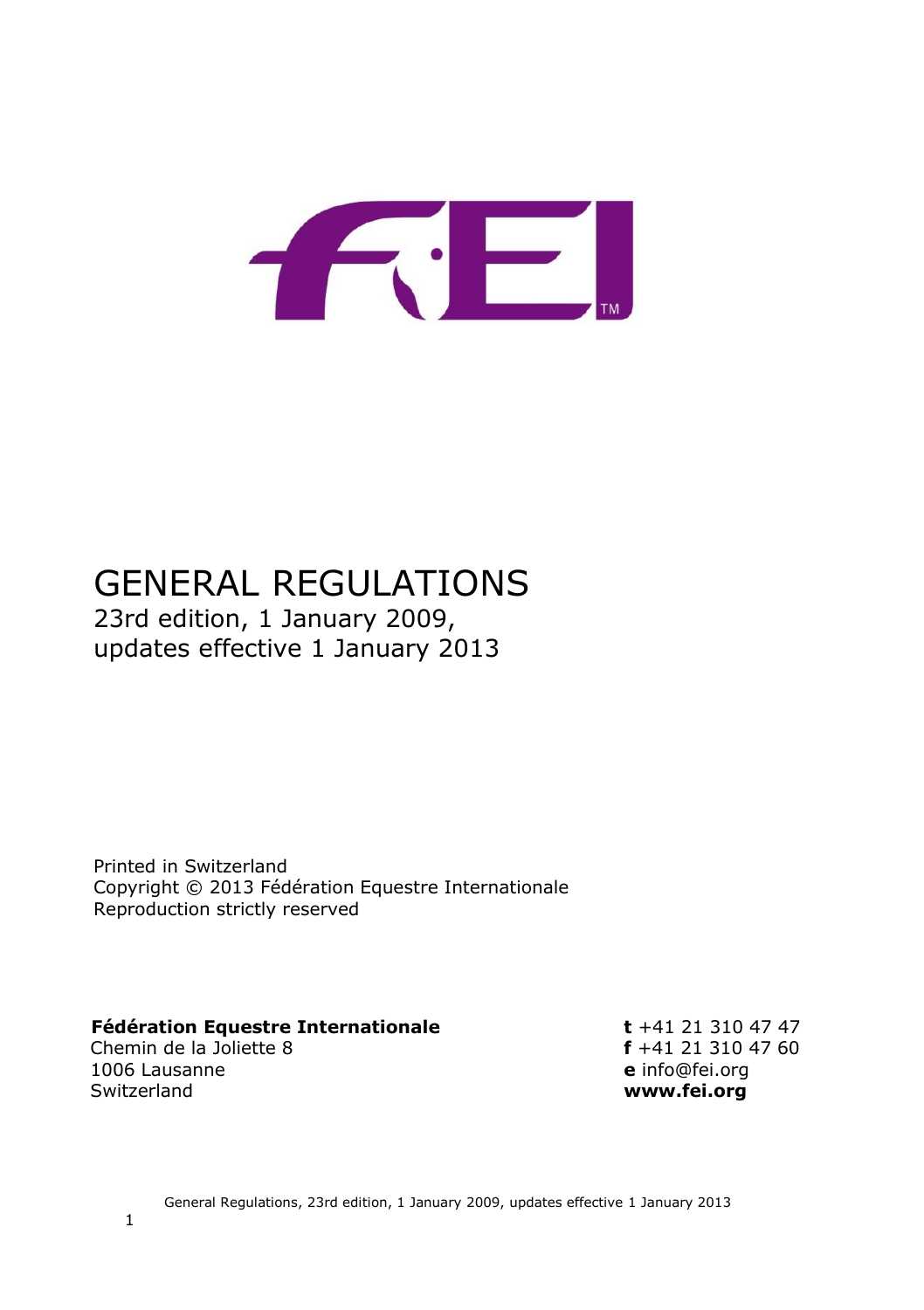

# GENERAL REGULATIONS 23rd edition, 1 January 2009, updates effective 1 January 2013

Printed in Switzerland Copyright © 2013 Fédération Equestre Internationale Reproduction strictly reserved

# **Fédération Equestre Internationale t** +41 21 310 47 47<br>Chemin de la Joliette 8 **f** +41 21 310 47 60

Chemin de la Joliette 8<br>1006 Lausanne 1006 Lausanne **e** info@fei.org

www.fei.org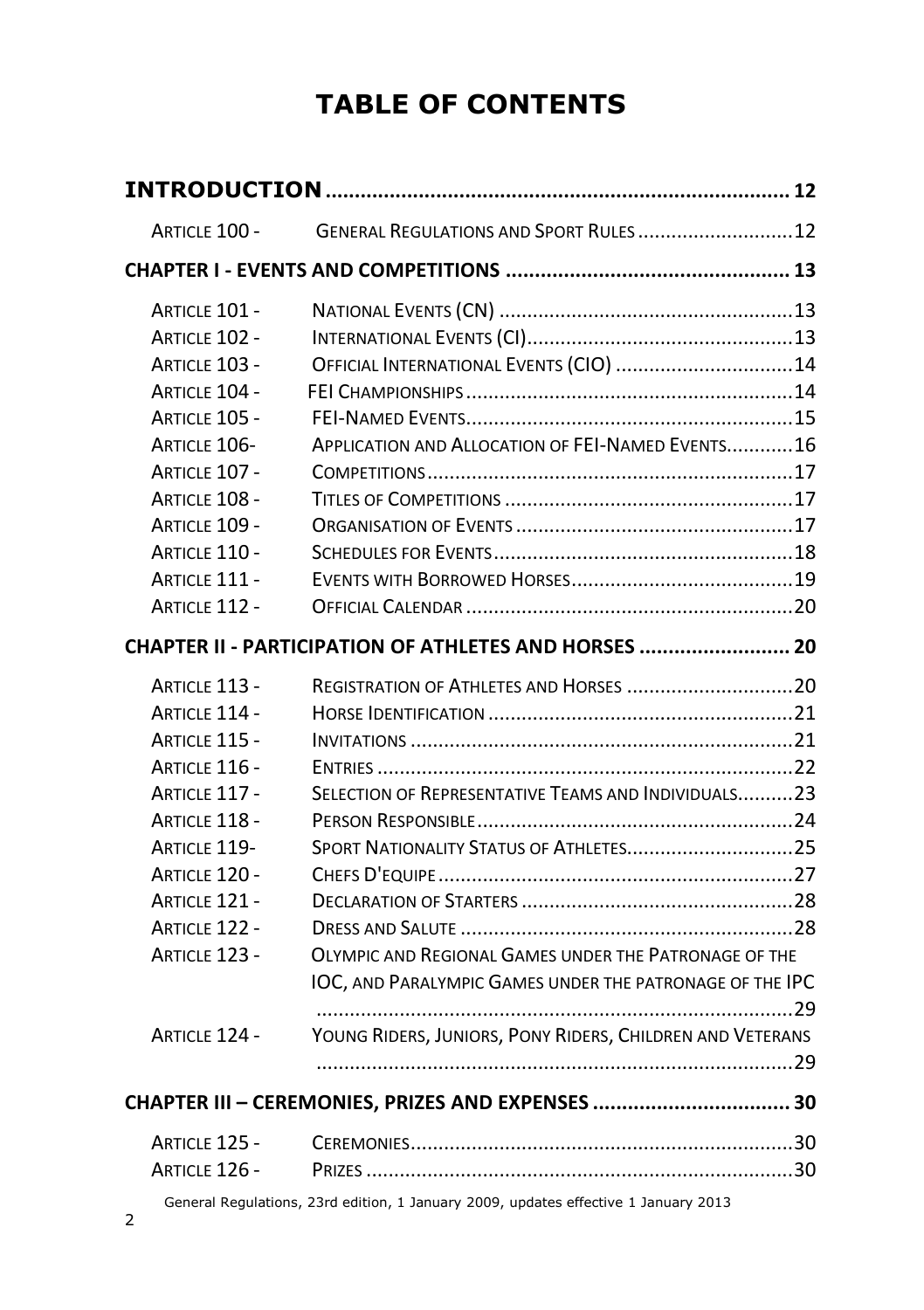# **TABLE OF CONTENTS**

| <b>ARTICLE 100 -</b> | GENERAL REGULATIONS AND SPORT RULES 12                    |  |
|----------------------|-----------------------------------------------------------|--|
|                      |                                                           |  |
| <b>ARTICLE 101 -</b> |                                                           |  |
| <b>ARTICLE 102 -</b> |                                                           |  |
| ARTICLE 103 -        | OFFICIAL INTERNATIONAL EVENTS (CIO)  14                   |  |
| ARTICLE 104 -        |                                                           |  |
| ARTICLE 105 -        |                                                           |  |
| ARTICLE 106-         | APPLICATION AND ALLOCATION OF FEI-NAMED EVENTS16          |  |
| <b>ARTICLE 107 -</b> |                                                           |  |
| <b>ARTICLE 108 -</b> |                                                           |  |
| <b>ARTICLE 109 -</b> |                                                           |  |
| <b>ARTICLE 110 -</b> |                                                           |  |
| <b>ARTICLE 111 -</b> |                                                           |  |
| ARTICLE 112 -        |                                                           |  |
|                      | CHAPTER II - PARTICIPATION OF ATHLETES AND HORSES  20     |  |
| ARTICLE 113 -        |                                                           |  |
| ARTICLE 114 -        |                                                           |  |
| ARTICLE 115 -        |                                                           |  |
| ARTICLE 116 -        |                                                           |  |
| <b>ARTICLE 117 -</b> | SELECTION OF REPRESENTATIVE TEAMS AND INDIVIDUALS23       |  |
| <b>ARTICLE 118 -</b> |                                                           |  |
| <b>ARTICLE 119-</b>  |                                                           |  |
| <b>ARTICLE 120 -</b> |                                                           |  |
| <b>ARTICLE 121 -</b> |                                                           |  |
| <b>ARTICLE 122 -</b> |                                                           |  |
| ARTICLE 123 -        | OLYMPIC AND REGIONAL GAMES UNDER THE PATRONAGE OF THE     |  |
|                      | IOC, AND PARALYMPIC GAMES UNDER THE PATRONAGE OF THE IPC  |  |
|                      |                                                           |  |
| <b>ARTICLE 124 -</b> | YOUNG RIDERS, JUNIORS, PONY RIDERS, CHILDREN AND VETERANS |  |
|                      |                                                           |  |
|                      |                                                           |  |
| <b>ARTICLE 125 -</b> |                                                           |  |
| ARTICLE 126 -        |                                                           |  |
|                      |                                                           |  |

General Regulations, 23rd edition, 1 January 2009, updates effective 1 January 2013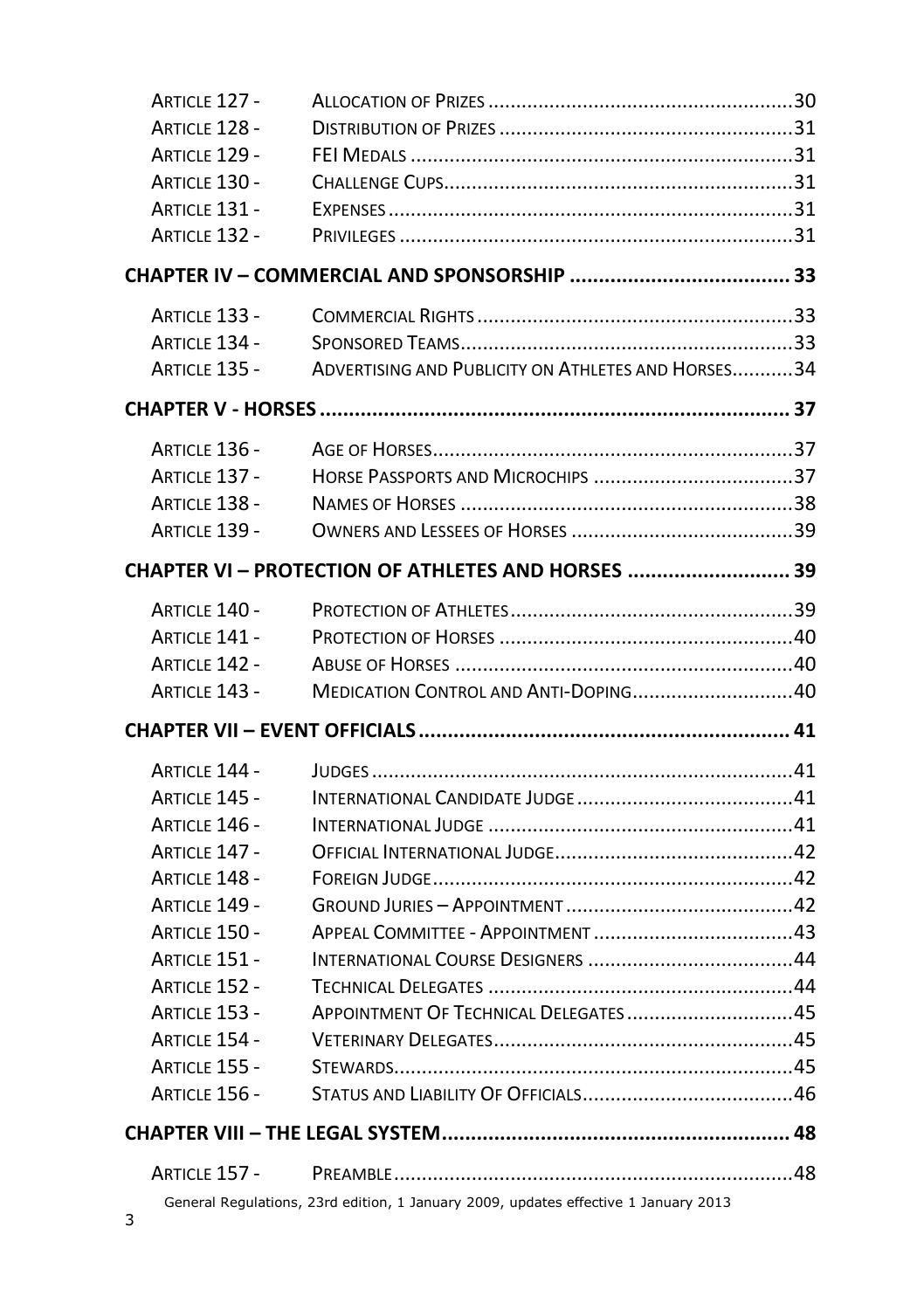| Article 127 -        |                                                                                     |  |
|----------------------|-------------------------------------------------------------------------------------|--|
| ARTICLE 128 -        |                                                                                     |  |
| ARTICLE 129 -        |                                                                                     |  |
| <b>ARTICLE 130 -</b> |                                                                                     |  |
| ARTICLE 131 -        |                                                                                     |  |
| <b>ARTICLE 132 -</b> |                                                                                     |  |
|                      |                                                                                     |  |
| <b>ARTICLE 133 -</b> |                                                                                     |  |
| <b>ARTICLE 134 -</b> |                                                                                     |  |
| ARTICLE 135 -        | ADVERTISING AND PUBLICITY ON ATHLETES AND HORSES34                                  |  |
|                      |                                                                                     |  |
| ARTICLE 136 -        |                                                                                     |  |
| <b>ARTICLE 137 -</b> |                                                                                     |  |
| <b>ARTICLE 138 -</b> |                                                                                     |  |
| <b>ARTICLE 139 -</b> |                                                                                     |  |
|                      | CHAPTER VI - PROTECTION OF ATHLETES AND HORSES  39                                  |  |
| <b>ARTICLE 140 -</b> |                                                                                     |  |
| <b>ARTICLE 141 -</b> |                                                                                     |  |
| <b>ARTICLE 142 -</b> |                                                                                     |  |
| ARTICLE 143 -        | MEDICATION CONTROL AND ANTI-DOPING40                                                |  |
|                      |                                                                                     |  |
| <b>ARTICLE 144 -</b> |                                                                                     |  |
| ARTICLE 145 -        |                                                                                     |  |
| ARTICLE 146 -        |                                                                                     |  |
| <b>ARTICLE 147 -</b> |                                                                                     |  |
| <b>ARTICLE 148 -</b> |                                                                                     |  |
| ARTICLE 149 -        |                                                                                     |  |
| <b>ARTICLE 150 -</b> |                                                                                     |  |
| ARTICLE 151 -        |                                                                                     |  |
| <b>ARTICLE 152 -</b> |                                                                                     |  |
| ARTICLE 153 -        | APPOINTMENT OF TECHNICAL DELEGATES45                                                |  |
| ARTICLE 154 -        |                                                                                     |  |
| ARTICLE 155 -        |                                                                                     |  |
| ARTICLE 156 -        |                                                                                     |  |
|                      |                                                                                     |  |
| <b>ARTICLE 157 -</b> |                                                                                     |  |
|                      | General Regulations, 23rd edition, 1 January 2009, updates effective 1 January 2013 |  |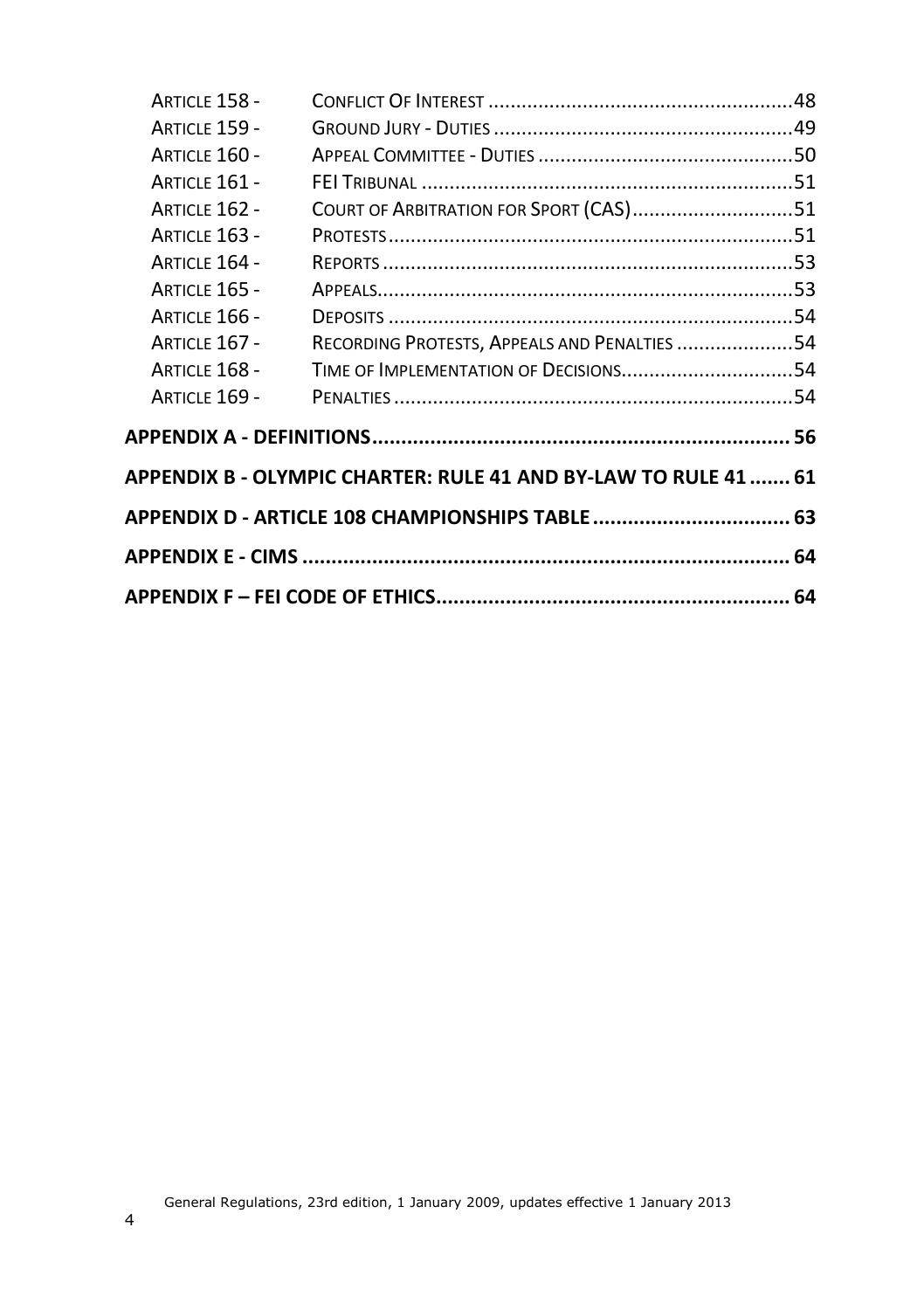| COURT OF ARBITRATION FOR SPORT (CAS)51                          |  |
|-----------------------------------------------------------------|--|
|                                                                 |  |
|                                                                 |  |
|                                                                 |  |
|                                                                 |  |
| RECORDING PROTESTS, APPEALS AND PENALTIES 54                    |  |
|                                                                 |  |
|                                                                 |  |
|                                                                 |  |
| APPENDIX B - OLYMPIC CHARTER: RULE 41 AND BY-LAW TO RULE 41  61 |  |
| APPENDIX D - ARTICLE 108 CHAMPIONSHIPS TABLE  63                |  |
|                                                                 |  |
|                                                                 |  |
|                                                                 |  |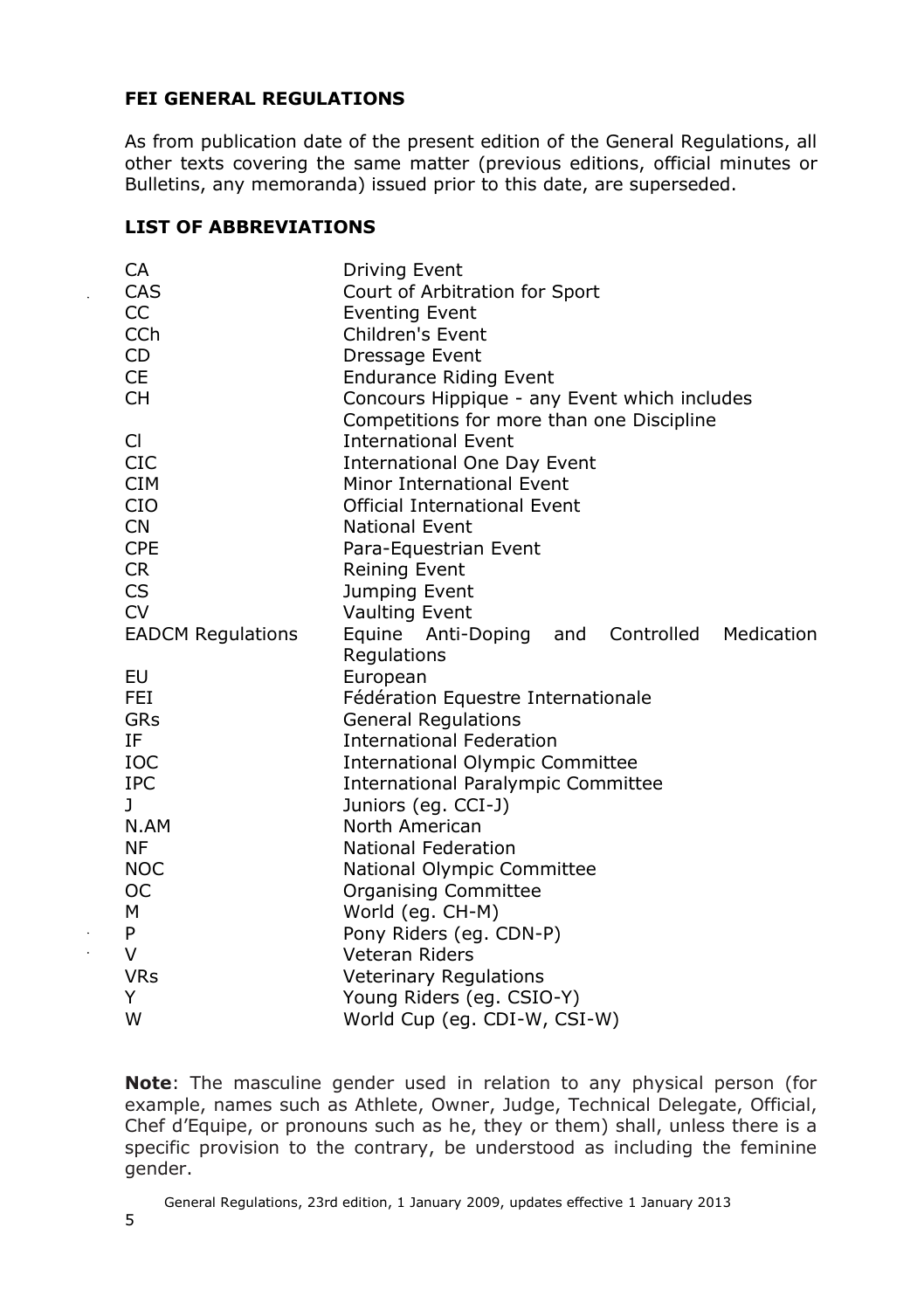#### **FEI GENERAL REGULATIONS**

As from publication date of the present edition of the General Regulations, all other texts covering the same matter (previous editions, official minutes or Bulletins, any memoranda) issued prior to this date, are superseded.

#### **LIST OF ABBREVIATIONS**

| CA                       | Driving Event                                |
|--------------------------|----------------------------------------------|
| CAS                      | Court of Arbitration for Sport               |
| CC                       | <b>Eventing Event</b>                        |
| <b>CCh</b>               | Children's Event                             |
| CD.                      | Dressage Event                               |
| CE                       | <b>Endurance Riding Event</b>                |
| <b>CH</b>                | Concours Hippique - any Event which includes |
|                          | Competitions for more than one Discipline    |
| CI.                      | <b>International Event</b>                   |
| <b>CIC</b>               | International One Day Event                  |
| <b>CIM</b>               | Minor International Event                    |
| <b>CIO</b>               | <b>Official International Event</b>          |
| <b>CN</b>                | <b>National Event</b>                        |
| <b>CPE</b>               | Para-Equestrian Event                        |
| CR.                      | <b>Reining Event</b>                         |
| CS.                      | Jumping Event                                |
| <b>CV</b>                | Vaulting Event                               |
| <b>EADCM Regulations</b> | Equine Anti-Doping and Controlled Medication |
|                          | Regulations                                  |
| EU                       | European                                     |
| <b>FEI</b>               | Fédération Equestre Internationale           |
| GRs                      | <b>General Regulations</b>                   |
| ΙF                       | <b>International Federation</b>              |
| <b>IOC</b>               | <b>International Olympic Committee</b>       |
| <b>IPC</b>               | International Paralympic Committee           |
| $\mathbf{J}$             | Juniors (eg. CCI-J)                          |
| N.AM                     | North American                               |
| <b>NF</b>                | <b>National Federation</b>                   |
| <b>NOC</b>               | National Olympic Committee                   |
| <b>OC</b>                | Organising Committee                         |
| м                        | World (eg. CH-M)                             |
| P                        | Pony Riders (eq. CDN-P)                      |
| V                        | <b>Veteran Riders</b>                        |
| <b>VRs</b>               | <b>Veterinary Regulations</b>                |
| Y                        | Young Riders (eg. CSIO-Y)                    |
| W                        | World Cup (eq. CDI-W, CSI-W)                 |

**Note**: The masculine gender used in relation to any physical person (for example, names such as Athlete, Owner, Judge, Technical Delegate, Official, Chef d'Equipe, or pronouns such as he, they or them) shall, unless there is a specific provision to the contrary, be understood as including the feminine gender.

 $\ddot{\phantom{a}}$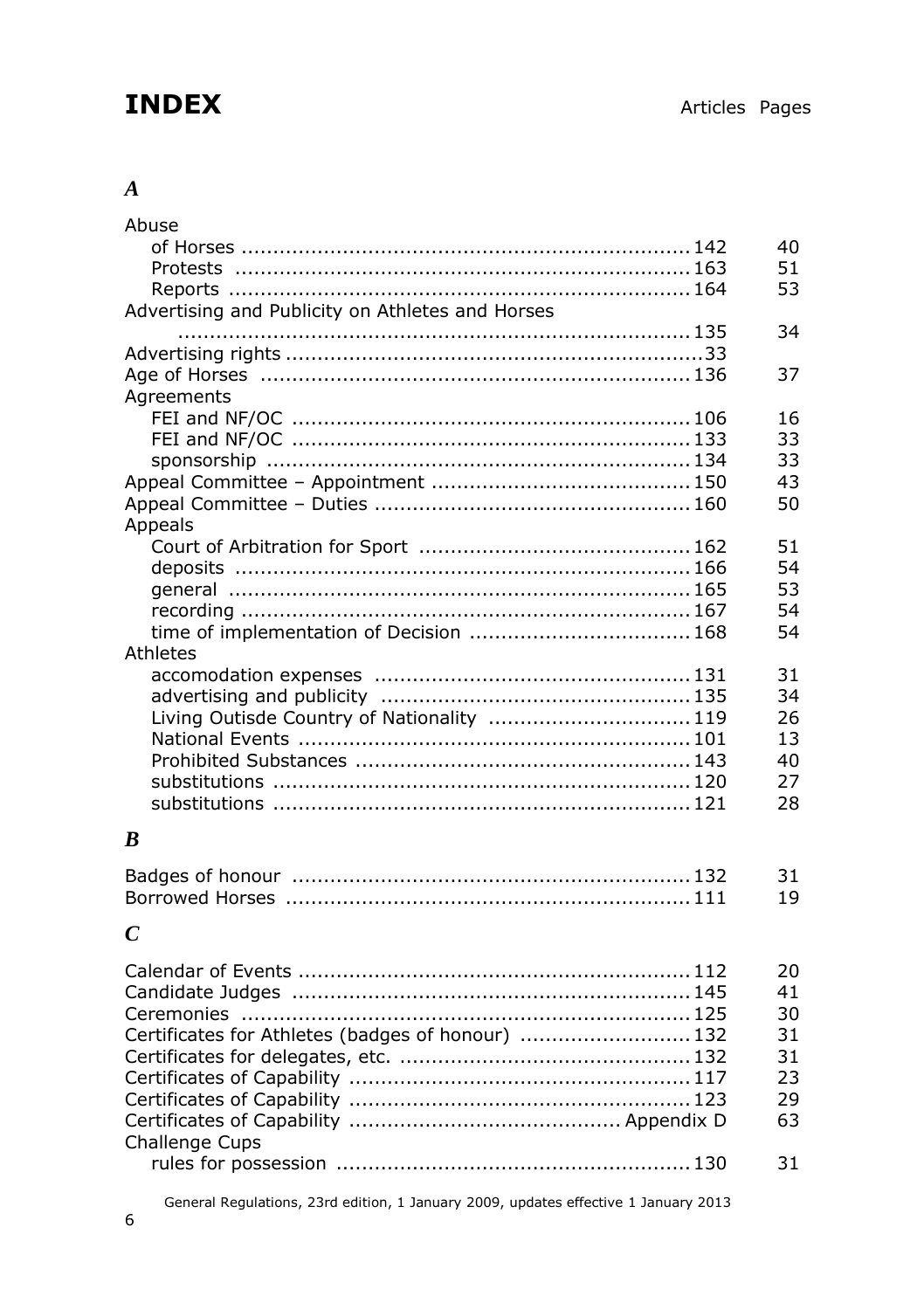# **INDEX** Articles Pages

#### *A*

| Abuse                                             |    |
|---------------------------------------------------|----|
|                                                   | 40 |
|                                                   | 51 |
|                                                   | 53 |
| Advertising and Publicity on Athletes and Horses  |    |
|                                                   | 34 |
|                                                   |    |
|                                                   | 37 |
| Agreements                                        |    |
|                                                   | 16 |
|                                                   | 33 |
|                                                   | 33 |
|                                                   | 43 |
|                                                   | 50 |
|                                                   |    |
| Appeals                                           |    |
|                                                   | 51 |
|                                                   | 54 |
|                                                   | 53 |
|                                                   | 54 |
| time of implementation of Decision  168           | 54 |
| Athletes                                          |    |
|                                                   | 31 |
|                                                   | 34 |
| Living Outisde Country of Nationality  119        | 26 |
|                                                   | 13 |
|                                                   | 40 |
|                                                   | 27 |
|                                                   | 28 |
|                                                   |    |
| $\boldsymbol{B}$                                  |    |
|                                                   |    |
|                                                   | 31 |
|                                                   | 19 |
| $\mathcal{C}$                                     |    |
|                                                   |    |
|                                                   | 20 |
|                                                   | 41 |
|                                                   | 30 |
| Certificates for Athletes (badges of honour)  132 | 31 |
|                                                   | 31 |
|                                                   | 23 |
|                                                   | 29 |
|                                                   | 63 |

General Regulations, 23rd edition, 1 January 2009, updates effective 1 January 2013

rules for possession ........................................................130 31

Challenge Cups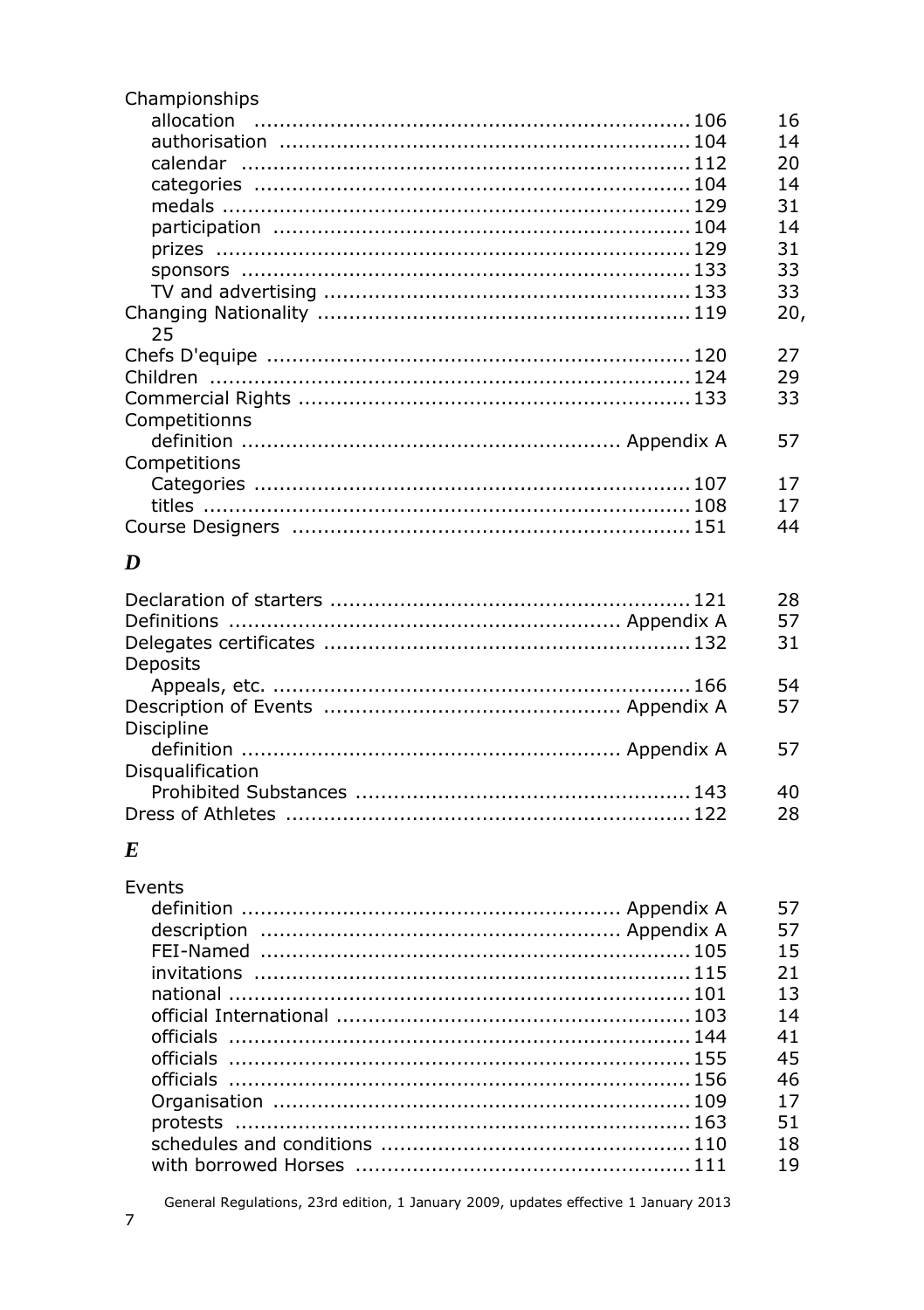| Championships |     |
|---------------|-----|
|               | 16  |
|               | 14  |
|               | 20  |
|               | 14  |
|               | 31  |
|               | 14  |
|               | 31  |
|               | 33  |
|               | 33  |
|               | 20, |
| 25            |     |
|               | 27  |
|               | 29  |
|               | 33  |
| Competitionns |     |
|               | 57  |
| Competitions  |     |
|               | 17  |
|               | 17  |
|               | 44  |
|               |     |

#### $\boldsymbol{D}$

|                   | 28 |
|-------------------|----|
|                   | 57 |
|                   | 31 |
| Deposits          |    |
|                   | 54 |
|                   | 57 |
| <b>Discipline</b> |    |
|                   | 57 |
| Disqualification  |    |
|                   | 40 |
|                   | 28 |

#### $\pmb{E}$

| <b>Fvents</b> |    |
|---------------|----|
|               |    |
|               | 57 |
|               | 15 |
|               | 21 |
|               | 13 |
|               | 14 |
|               | 41 |
|               | 45 |
|               | 46 |
|               | 17 |
|               | 51 |
|               | 18 |
|               | 19 |

General Regulations, 23rd edition, 1 January 2009, updates effective 1 January 2013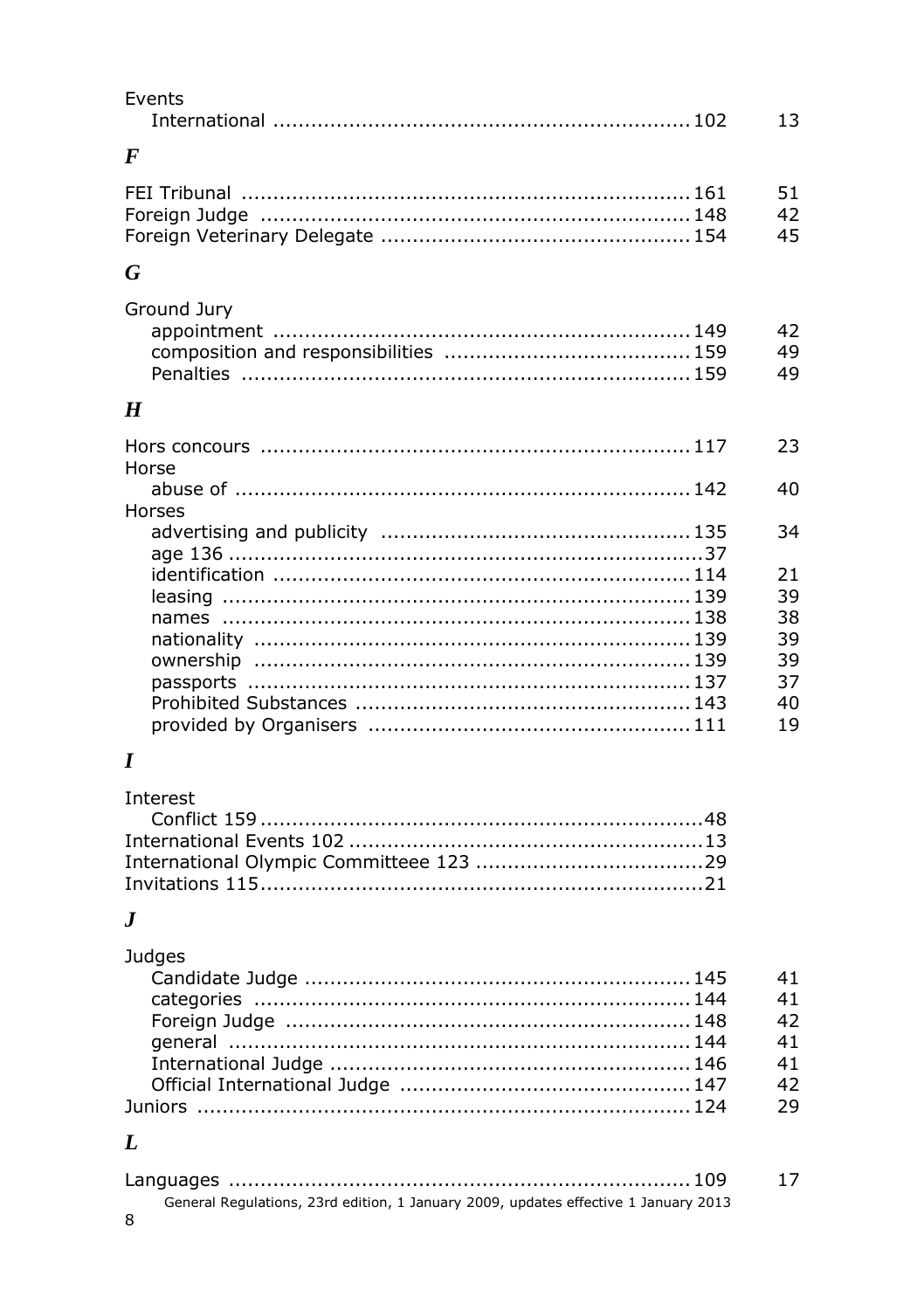| Events           | 13             |
|------------------|----------------|
| $\bm{F}$         |                |
|                  | 51<br>42<br>45 |
| G                |                |
| Ground Jury      | 42<br>49<br>49 |
| $\boldsymbol{H}$ |                |
| Horse            | 23             |
| Horses           | 40             |
|                  | 34             |
|                  | 21<br>39       |
|                  | 38<br>39       |
|                  | 39             |
|                  | 37<br>40<br>19 |
|                  |                |

## $\boldsymbol{I}$

| Interest |  |
|----------|--|
|          |  |
|          |  |
|          |  |
|          |  |

### $\boldsymbol{J}$

| Judges |    |
|--------|----|
|        | 41 |
|        | 41 |
|        | 42 |
|        | 41 |
|        | 41 |
|        | 42 |
|        | 29 |
|        |    |

## $\boldsymbol{L}$

|                                                                                     | 17 |
|-------------------------------------------------------------------------------------|----|
| General Regulations, 23rd edition, 1 January 2009, updates effective 1 January 2013 |    |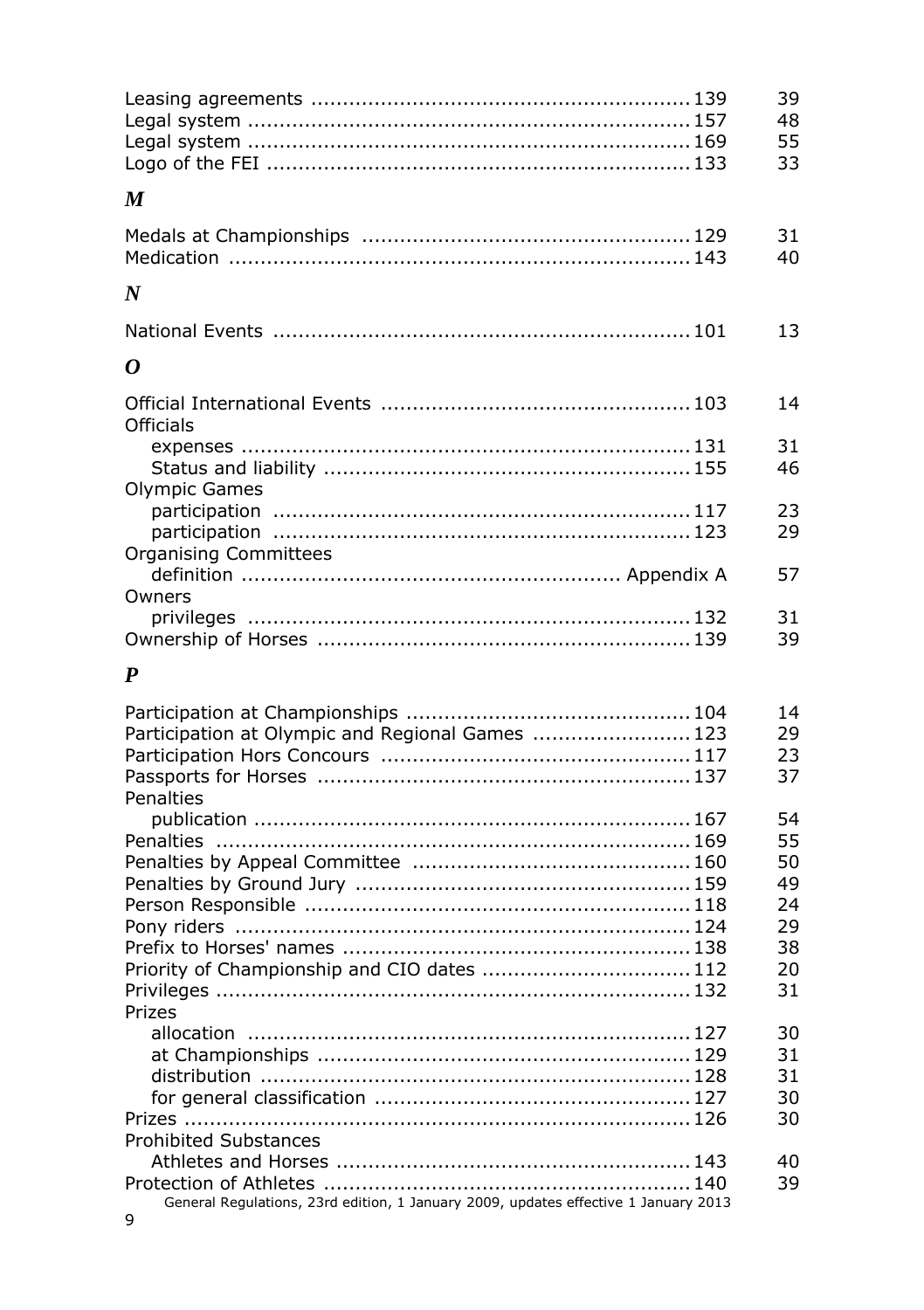|                                                                                     | 39<br>48<br>55<br>33                         |
|-------------------------------------------------------------------------------------|----------------------------------------------|
| M                                                                                   |                                              |
|                                                                                     | 31<br>40                                     |
| N                                                                                   |                                              |
|                                                                                     | 13                                           |
| 0                                                                                   |                                              |
| Officials                                                                           | 14                                           |
|                                                                                     | 31<br>46                                     |
| Olympic Games                                                                       | 23<br>29                                     |
| <b>Organising Committees</b>                                                        | 57                                           |
| Owners                                                                              | 31<br>39                                     |
| P                                                                                   |                                              |
| Participation at Olympic and Regional Games  123<br>Penalties                       | 14<br>29<br>23<br>37                         |
|                                                                                     | 54<br>55<br>50<br>49<br>24<br>29<br>38<br>20 |
| Priority of Championship and CIO dates  112<br>Prizes                               | 31                                           |
| <b>Prohibited Substances</b>                                                        | 30<br>31<br>31<br>30<br>30                   |
| General Regulations, 23rd edition, 1 January 2009, updates effective 1 January 2013 | 40<br>39                                     |

9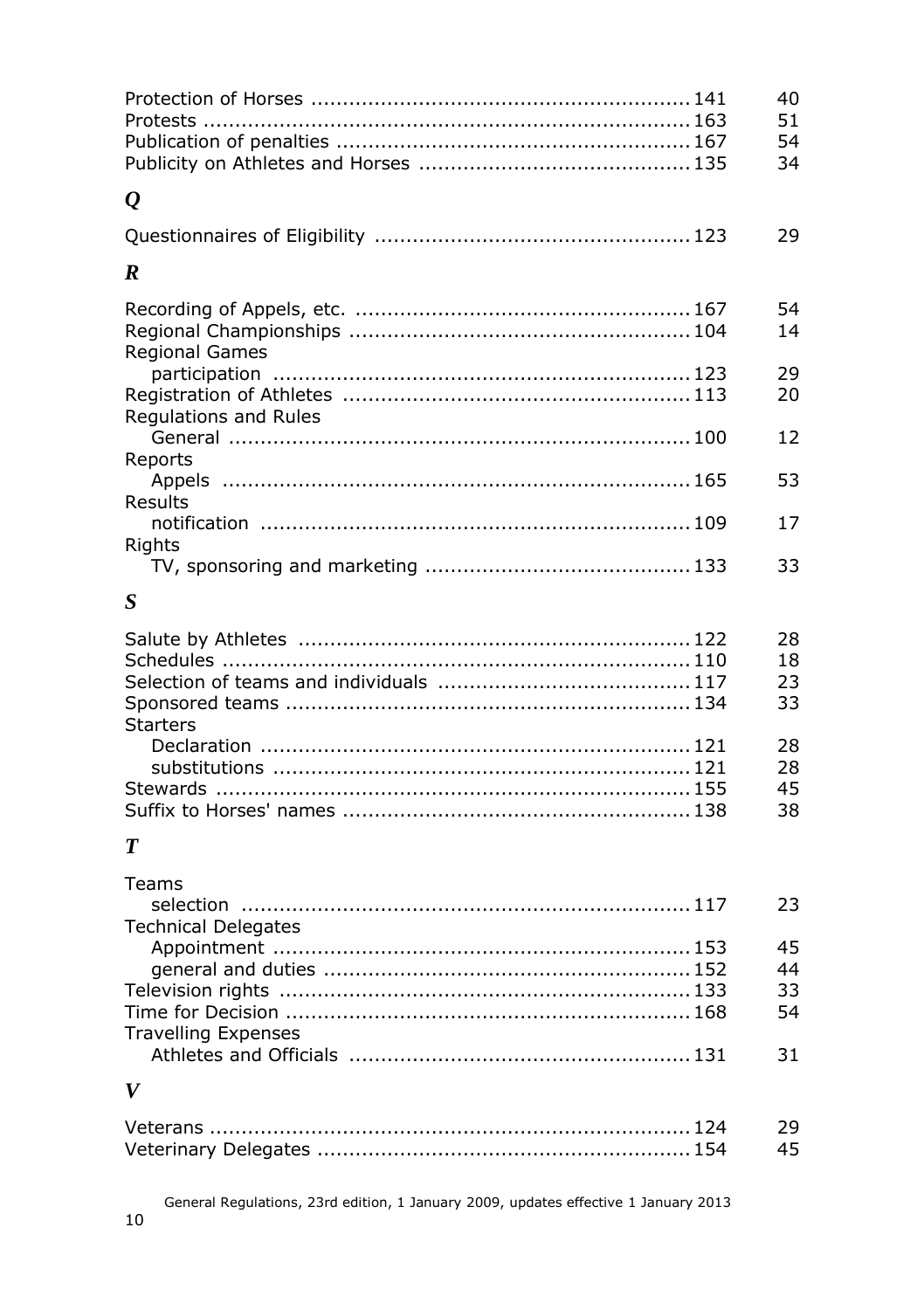|                                     | 40<br>51             |
|-------------------------------------|----------------------|
|                                     | 54<br>34             |
| $\varrho$                           |                      |
|                                     | 29                   |
| R                                   |                      |
| <b>Regional Games</b>               | 54<br>14             |
| Regulations and Rules               | 29<br>20             |
| Reports                             | 12                   |
|                                     | 53                   |
| Results                             | 17                   |
| Rights                              | 33                   |
| S                                   |                      |
| <b>Starters</b>                     | 28<br>18<br>23<br>33 |
|                                     | 28<br>28<br>45<br>38 |
| T                                   |                      |
| Teams<br><b>Technical Delegates</b> | 23                   |
|                                     | 45                   |
|                                     | 44                   |
|                                     | 33                   |
| <b>Travelling Expenses</b>          | 54<br>31             |
| V                                   |                      |
|                                     |                      |
|                                     | 29                   |
|                                     | 45                   |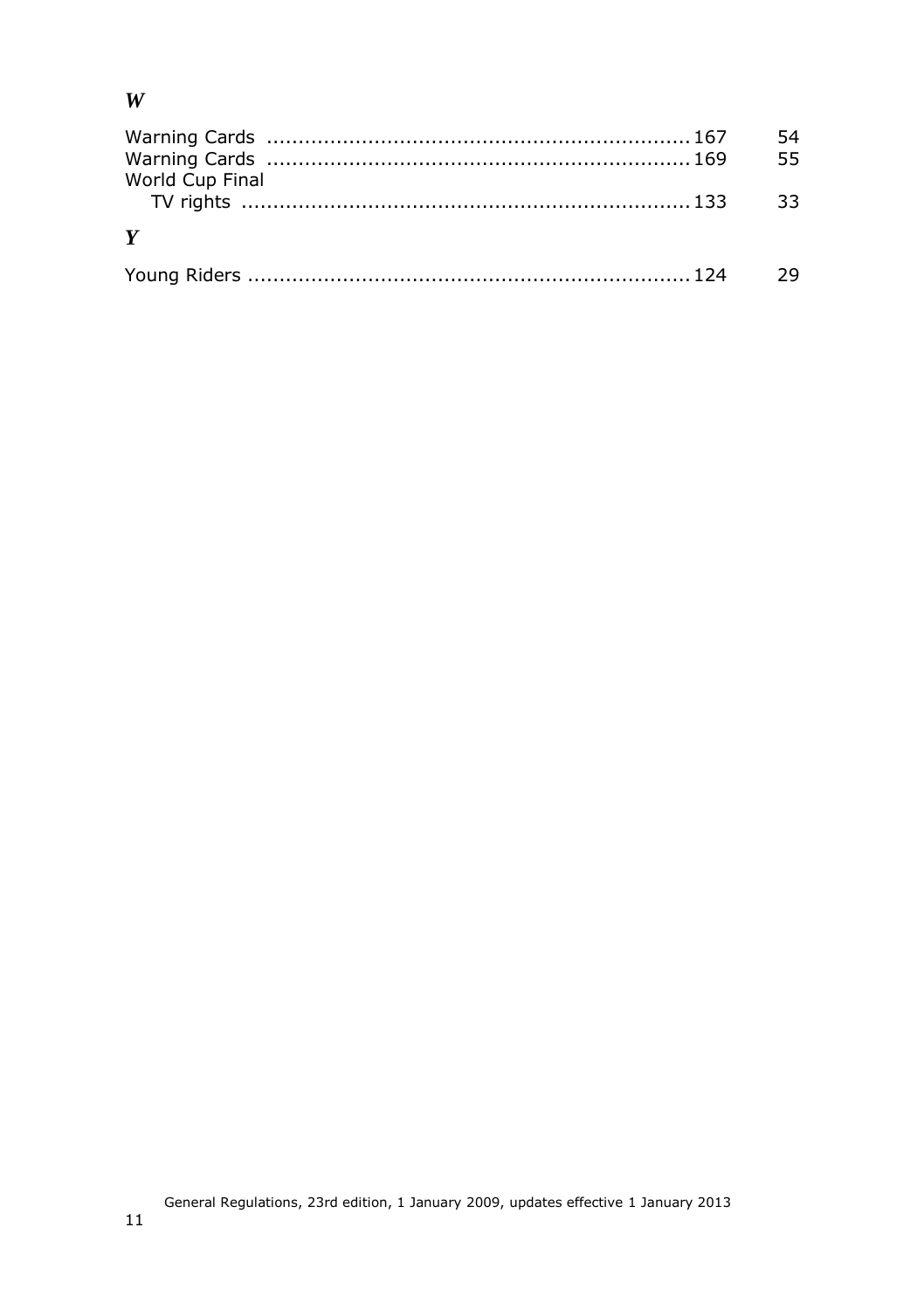#### *W*

|                 | 55 | 54   |
|-----------------|----|------|
| World Cup Final |    | - 33 |
| Y               |    |      |
|                 |    | - 29 |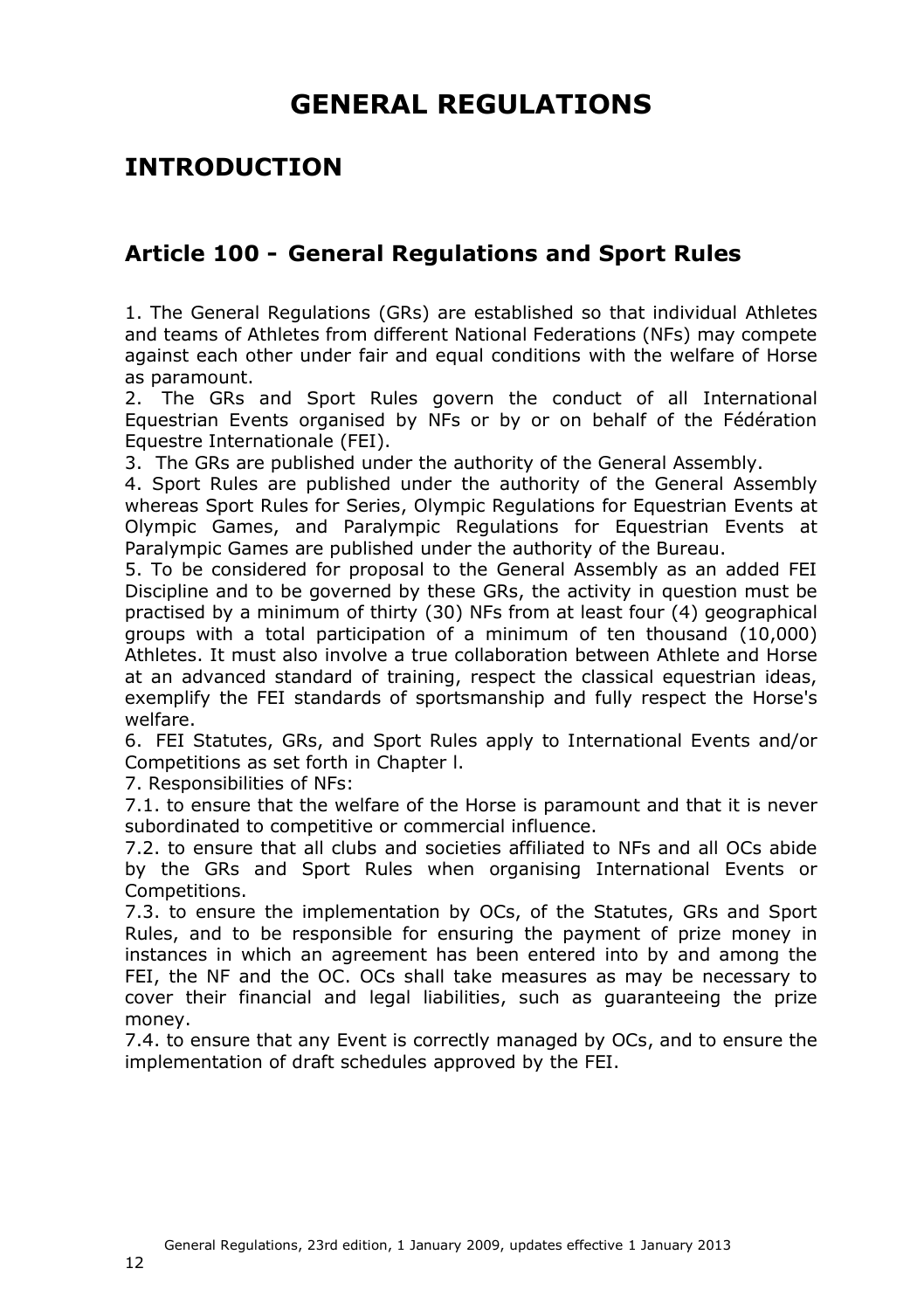# **GENERAL REGULATIONS**

### <span id="page-11-0"></span>**INTRODUCTION**

#### <span id="page-11-1"></span>**Article 100 - General Regulations and Sport Rules**

1. The General Regulations (GRs) are established so that individual Athletes and teams of Athletes from different National Federations (NFs) may compete against each other under fair and equal conditions with the welfare of Horse as paramount.

2. The GRs and Sport Rules govern the conduct of all International Equestrian Events organised by NFs or by or on behalf of the Fédération Equestre Internationale (FEI).

3. The GRs are published under the authority of the General Assembly.

4. Sport Rules are published under the authority of the General Assembly whereas Sport Rules for Series, Olympic Regulations for Equestrian Events at Olympic Games, and Paralympic Regulations for Equestrian Events at Paralympic Games are published under the authority of the Bureau.

5. To be considered for proposal to the General Assembly as an added FEI Discipline and to be governed by these GRs, the activity in question must be practised by a minimum of thirty (30) NFs from at least four (4) geographical groups with a total participation of a minimum of ten thousand (10,000) Athletes. It must also involve a true collaboration between Athlete and Horse at an advanced standard of training, respect the classical equestrian ideas, exemplify the FEI standards of sportsmanship and fully respect the Horse's welfare.

6. FEI Statutes, GRs, and Sport Rules apply to International Events and/or Competitions as set forth in Chapter l.

7. Responsibilities of NFs:

7.1. to ensure that the welfare of the Horse is paramount and that it is never subordinated to competitive or commercial influence.

7.2. to ensure that all clubs and societies affiliated to NFs and all OCs abide by the GRs and Sport Rules when organising International Events or Competitions.

7.3. to ensure the implementation by OCs, of the Statutes, GRs and Sport Rules, and to be responsible for ensuring the payment of prize money in instances in which an agreement has been entered into by and among the FEI, the NF and the OC. OCs shall take measures as may be necessary to cover their financial and legal liabilities, such as guaranteeing the prize money.

7.4. to ensure that any Event is correctly managed by OCs, and to ensure the implementation of draft schedules approved by the FEI.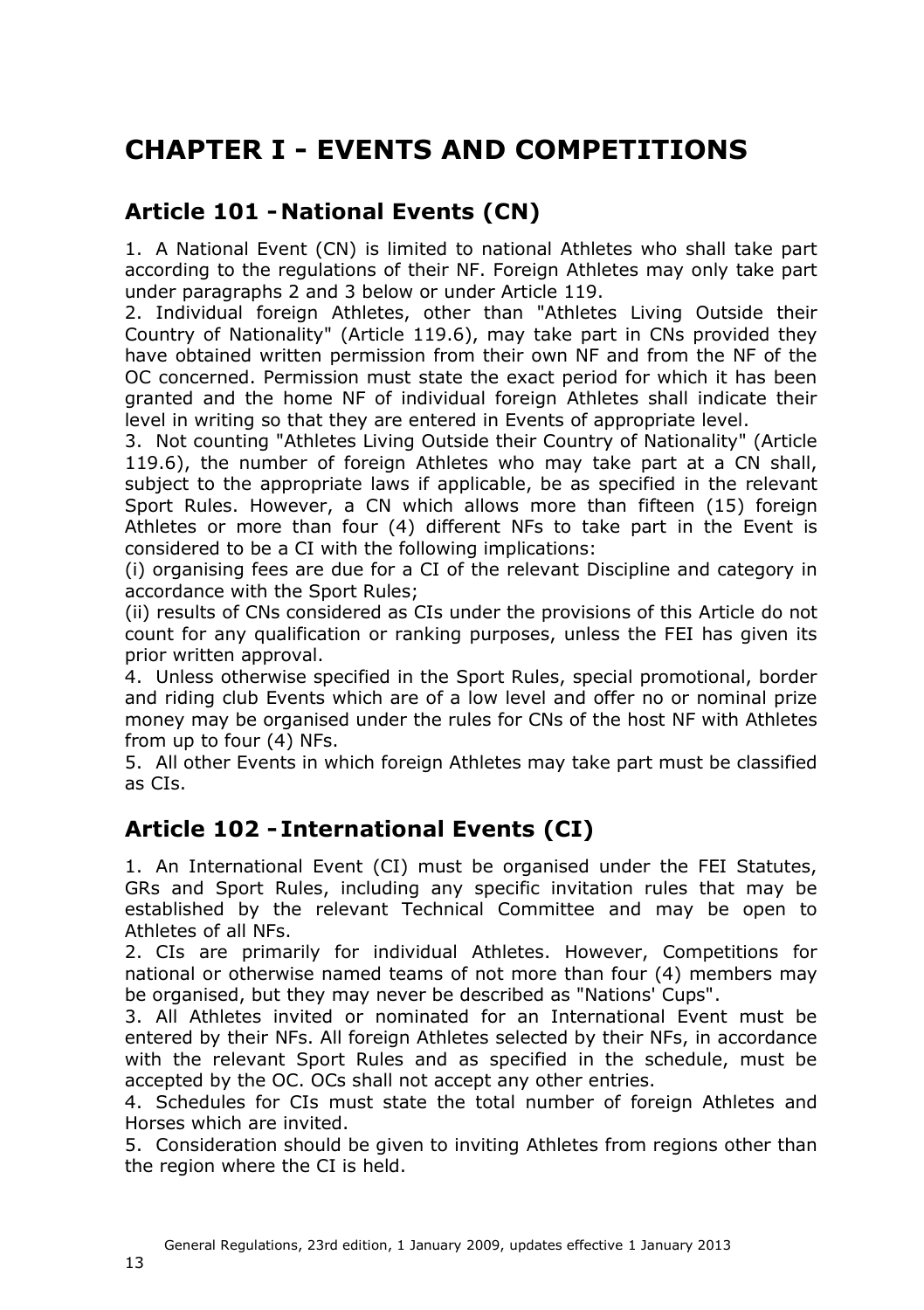# <span id="page-12-0"></span>**CHAPTER I - EVENTS AND COMPETITIONS**

### <span id="page-12-1"></span>**Article 101 - National Events (CN)**

1. A National Event (CN) is limited to national Athletes who shall take part according to the regulations of their NF. Foreign Athletes may only take part under paragraphs 2 and 3 below or under Article [119.](#page-24-1)

2. Individual foreign Athletes, other than "Athletes Living Outside their Country of Nationality" (Article 119.6), may take part in CNs provided they have obtained written permission from their own NF and from the NF of the OC concerned. Permission must state the exact period for which it has been granted and the home NF of individual foreign Athletes shall indicate their level in writing so that they are entered in Events of appropriate level.

3. Not counting "Athletes Living Outside their Country of Nationality" (Article 119.6), the number of foreign Athletes who may take part at a CN shall, subject to the appropriate laws if applicable, be as specified in the relevant Sport Rules. However, a CN which allows more than fifteen (15) foreign Athletes or more than four (4) different NFs to take part in the Event is considered to be a CI with the following implications:

(i) organising fees are due for a CI of the relevant Discipline and category in accordance with the Sport Rules;

(ii) results of CNs considered as CIs under the provisions of this Article do not count for any qualification or ranking purposes, unless the FEI has given its prior written approval.

4. Unless otherwise specified in the Sport Rules, special promotional, border and riding club Events which are of a low level and offer no or nominal prize money may be organised under the rules for CNs of the host NF with Athletes from up to four (4) NFs.

5. All other Events in which foreign Athletes may take part must be classified as CIs.

### <span id="page-12-2"></span>**Article 102 - International Events (CI)**

1. An International Event (CI) must be organised under the FEI Statutes, GRs and Sport Rules, including any specific invitation rules that may be established by the relevant Technical Committee and may be open to Athletes of all NFs.

2. CIs are primarily for individual Athletes. However, Competitions for national or otherwise named teams of not more than four (4) members may be organised, but they may never be described as "Nations' Cups".

3. All Athletes invited or nominated for an International Event must be entered by their NFs. All foreign Athletes selected by their NFs, in accordance with the relevant Sport Rules and as specified in the schedule, must be accepted by the OC. OCs shall not accept any other entries.

4. Schedules for CIs must state the total number of foreign Athletes and Horses which are invited.

5. Consideration should be given to inviting Athletes from regions other than the region where the CI is held.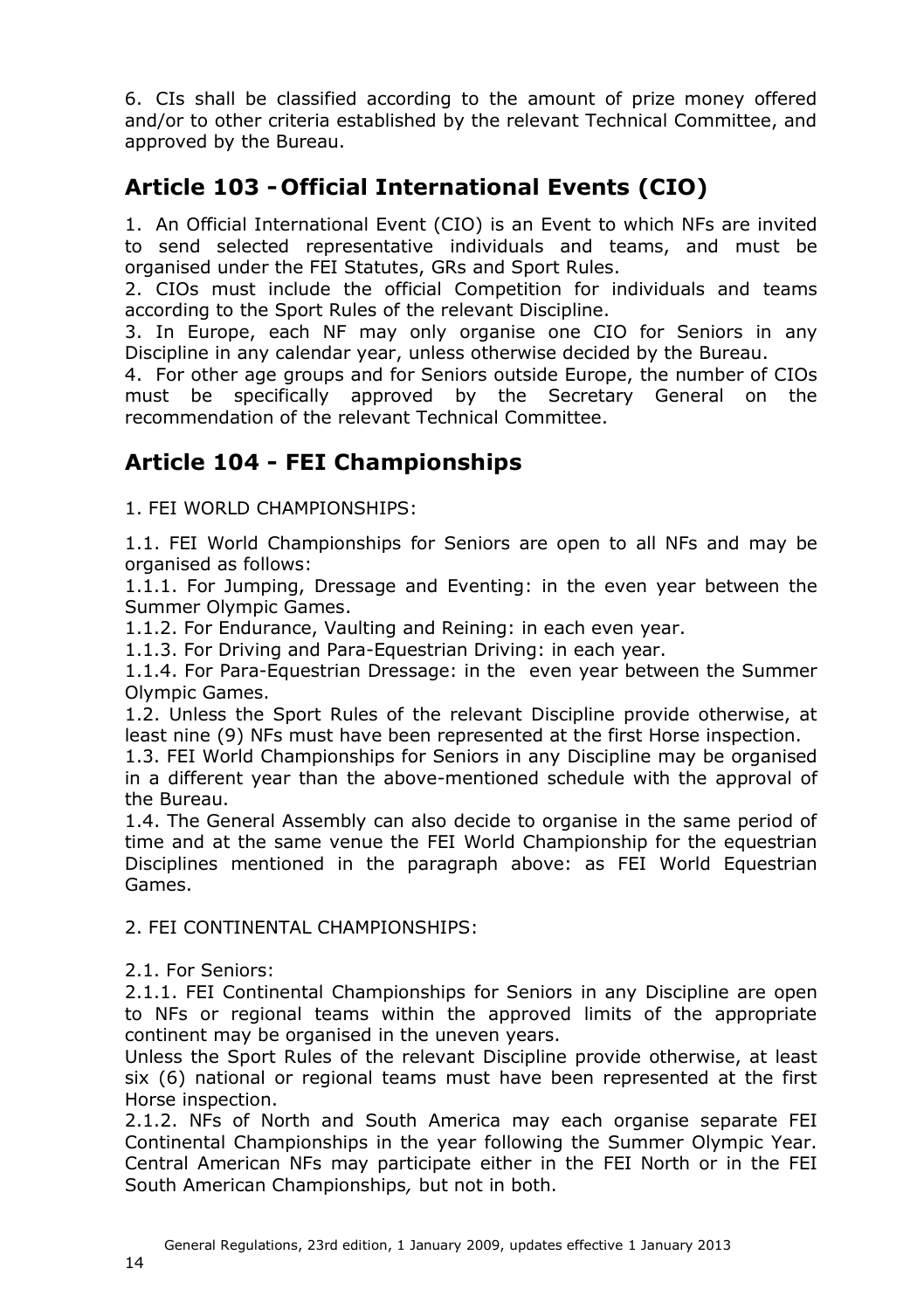6. CIs shall be classified according to the amount of prize money offered and/or to other criteria established by the relevant Technical Committee, and approved by the Bureau.

## <span id="page-13-2"></span><span id="page-13-0"></span>**Article 103 - Official International Events (CIO)**

1. An Official International Event (CIO) is an Event to which NFs are invited to send selected representative individuals and teams, and must be organised under the FEI Statutes, GRs and Sport Rules.

2. CIOs must include the official Competition for individuals and teams according to the Sport Rules of the relevant Discipline.

3. In Europe, each NF may only organise one CIO for Seniors in any Discipline in any calendar year, unless otherwise decided by the Bureau.

4. For other age groups and for Seniors outside Europe, the number of CIOs must be specifically approved by the Secretary General on the recommendation of the relevant Technical Committee.

### <span id="page-13-1"></span>**Article 104 - FEI Championships**

1. FEI WORLD CHAMPIONSHIPS:

1.1. FEI World Championships for Seniors are open to all NFs and may be organised as follows:

1.1.1. For Jumping, Dressage and Eventing: in the even year between the Summer Olympic Games.

1.1.2. For Endurance, Vaulting and Reining: in each even year.

1.1.3. For Driving and Para-Equestrian Driving: in each year.

1.1.4. For Para-Equestrian Dressage: in the even year between the Summer Olympic Games.

1.2. Unless the Sport Rules of the relevant Discipline provide otherwise, at least nine (9) NFs must have been represented at the first Horse inspection.

1.3. FEI World Championships for Seniors in any Discipline may be organised in a different year than the above-mentioned schedule with the approval of the Bureau.

1.4. The General Assembly can also decide to organise in the same period of time and at the same venue the FEI World Championship for the equestrian Disciplines mentioned in the paragraph above: as FEI World Equestrian Games.

2. FEI CONTINENTAL CHAMPIONSHIPS:

2.1. For Seniors:

2.1.1. FEI Continental Championships for Seniors in any Discipline are open to NFs or regional teams within the approved limits of the appropriate continent may be organised in the uneven years.

Unless the Sport Rules of the relevant Discipline provide otherwise, at least six (6) national or regional teams must have been represented at the first Horse inspection.

2.1.2. NFs of North and South America may each organise separate FEI Continental Championships in the year following the Summer Olympic Year. Central American NFs may participate either in the FEI North or in the FEI South American Championships*,* but not in both.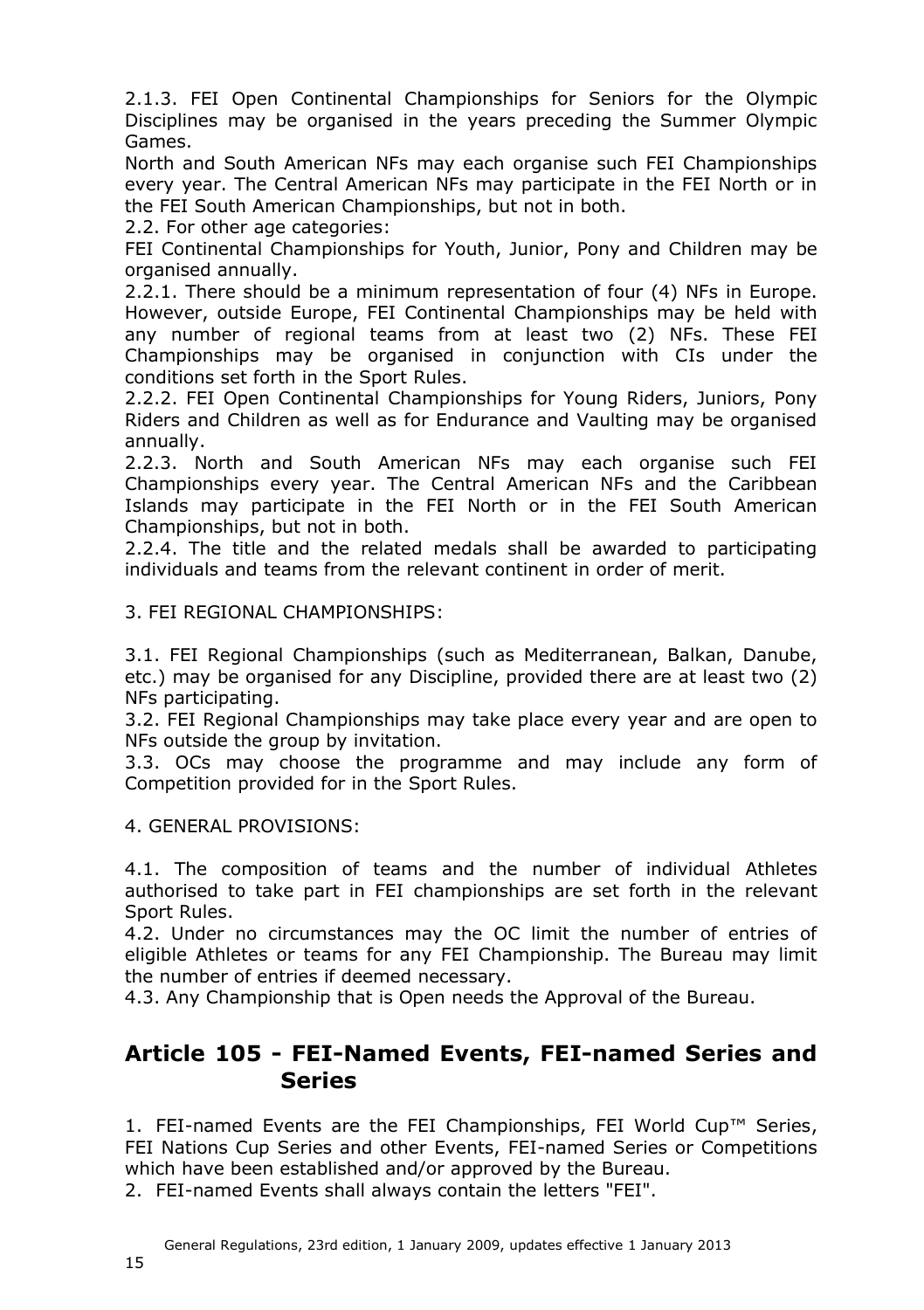2.1.3. FEI Open Continental Championships for Seniors for the Olympic Disciplines may be organised in the years preceding the Summer Olympic Games.

North and South American NFs may each organise such FEI Championships every year. The Central American NFs may participate in the FEI North or in the FEI South American Championships, but not in both.

2.2. For other age categories:

FEI Continental Championships for Youth, Junior, Pony and Children may be organised annually.

2.2.1. There should be a minimum representation of four (4) NFs in Europe. However, outside Europe, FEI Continental Championships may be held with any number of regional teams from at least two (2) NFs. These FEI Championships may be organised in conjunction with CIs under the conditions set forth in the Sport Rules.

2.2.2. FEI Open Continental Championships for Young Riders, Juniors, Pony Riders and Children as well as for Endurance and Vaulting may be organised annually.

2.2.3. North and South American NFs may each organise such FEI Championships every year. The Central American NFs and the Caribbean Islands may participate in the FEI North or in the FEI South American Championships, but not in both.

2.2.4. The title and the related medals shall be awarded to participating individuals and teams from the relevant continent in order of merit.

3. FEI REGIONAL CHAMPIONSHIPS:

3.1. FEI Regional Championships (such as Mediterranean, Balkan, Danube, etc.) may be organised for any Discipline, provided there are at least two (2) NFs participating.

3.2. FEI Regional Championships may take place every year and are open to NFs outside the group by invitation.

3.3. OCs may choose the programme and may include any form of Competition provided for in the Sport Rules.

4. GENERAL PROVISIONS:

4.1. The composition of teams and the number of individual Athletes authorised to take part in FEI championships are set forth in the relevant Sport Rules.

4.2. Under no circumstances may the OC limit the number of entries of eligible Athletes or teams for any FEI Championship. The Bureau may limit the number of entries if deemed necessary.

4.3. Any Championship that is Open needs the Approval of the Bureau.

#### <span id="page-14-0"></span>**Article 105 - FEI-Named Events, FEI-named Series and Series**

1. FEI-named Events are the FEI Championships, FEI World Cup™ Series, FEI Nations Cup Series and other Events, FEI-named Series or Competitions which have been established and/or approved by the Bureau.

2. FEI-named Events shall always contain the letters "FEI".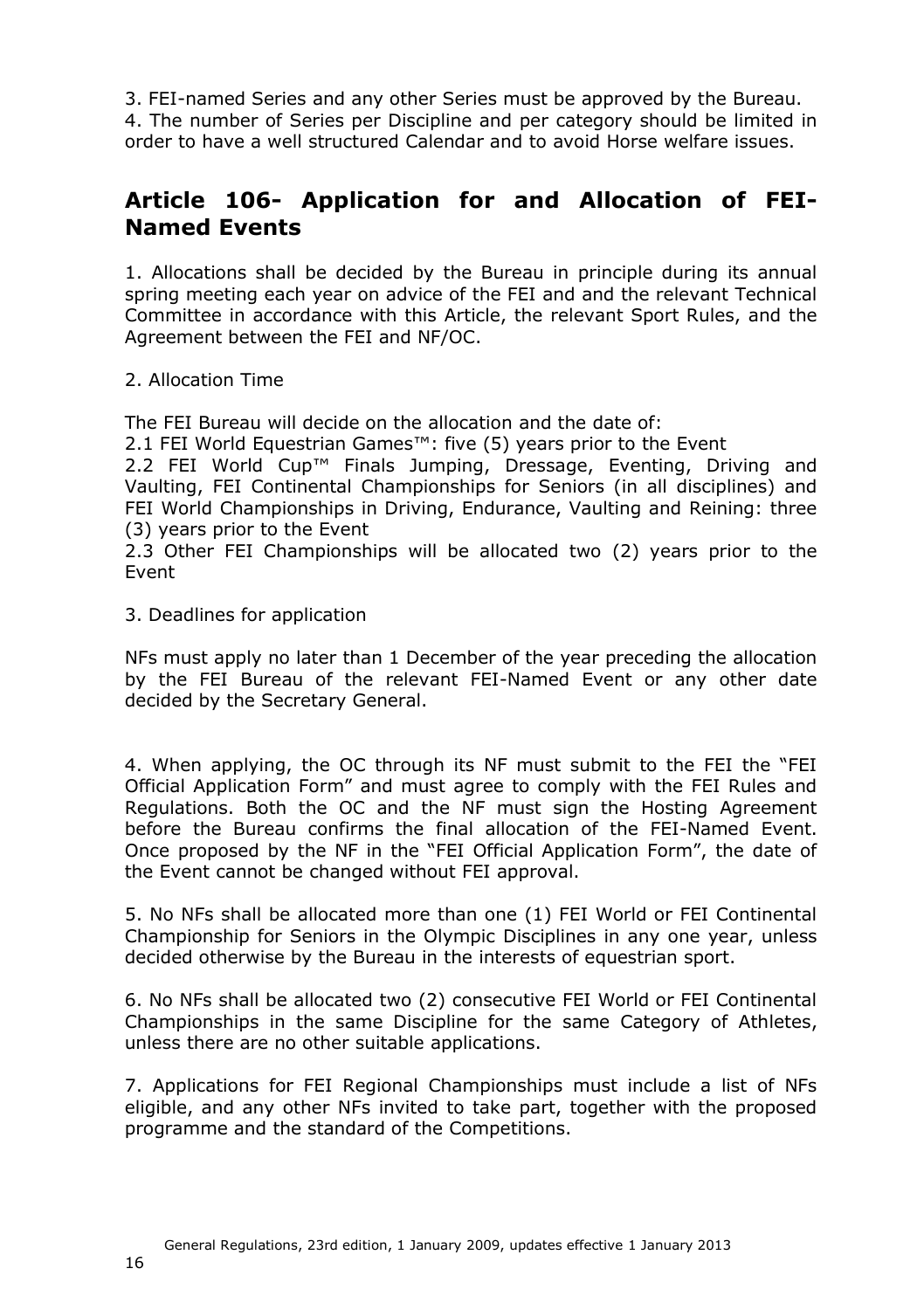3. FEI-named Series and any other Series must be approved by the Bureau. 4. The number of Series per Discipline and per category should be limited in order to have a well structured Calendar and to avoid Horse welfare issues.

### <span id="page-15-0"></span>**Article 106- Application for and Allocation of FEI-Named Events**

1. Allocations shall be decided by the Bureau in principle during its annual spring meeting each year on advice of the FEI and and the relevant Technical Committee in accordance with this Article, the relevant Sport Rules, and the Agreement between the FEI and NF/OC.

#### 2. Allocation Time

The FEI Bureau will decide on the allocation and the date of:

2.1 FEI World Equestrian Games<sup>™</sup>: five (5) years prior to the Event

2.2 FEI World Cup™ Finals Jumping, Dressage, Eventing, Driving and Vaulting, FEI Continental Championships for Seniors (in all disciplines) and FEI World Championships in Driving, Endurance, Vaulting and Reining: three (3) years prior to the Event

2.3 Other FEI Championships will be allocated two (2) years prior to the Event

3. Deadlines for application

NFs must apply no later than 1 December of the year preceding the allocation by the FEI Bureau of the relevant FEI-Named Event or any other date decided by the Secretary General.

4. When applying, the OC through its NF must submit to the FEI the "FEI Official Application Form" and must agree to comply with the FEI Rules and Regulations. Both the OC and the NF must sign the Hosting Agreement before the Bureau confirms the final allocation of the FEI-Named Event. Once proposed by the NF in the "FEI Official Application Form", the date of the Event cannot be changed without FEI approval.

5. No NFs shall be allocated more than one (1) FEI World or FEI Continental Championship for Seniors in the Olympic Disciplines in any one year, unless decided otherwise by the Bureau in the interests of equestrian sport.

6. No NFs shall be allocated two (2) consecutive FEI World or FEI Continental Championships in the same Discipline for the same Category of Athletes, unless there are no other suitable applications.

7. Applications for FEI Regional Championships must include a list of NFs eligible, and any other NFs invited to take part, together with the proposed programme and the standard of the Competitions.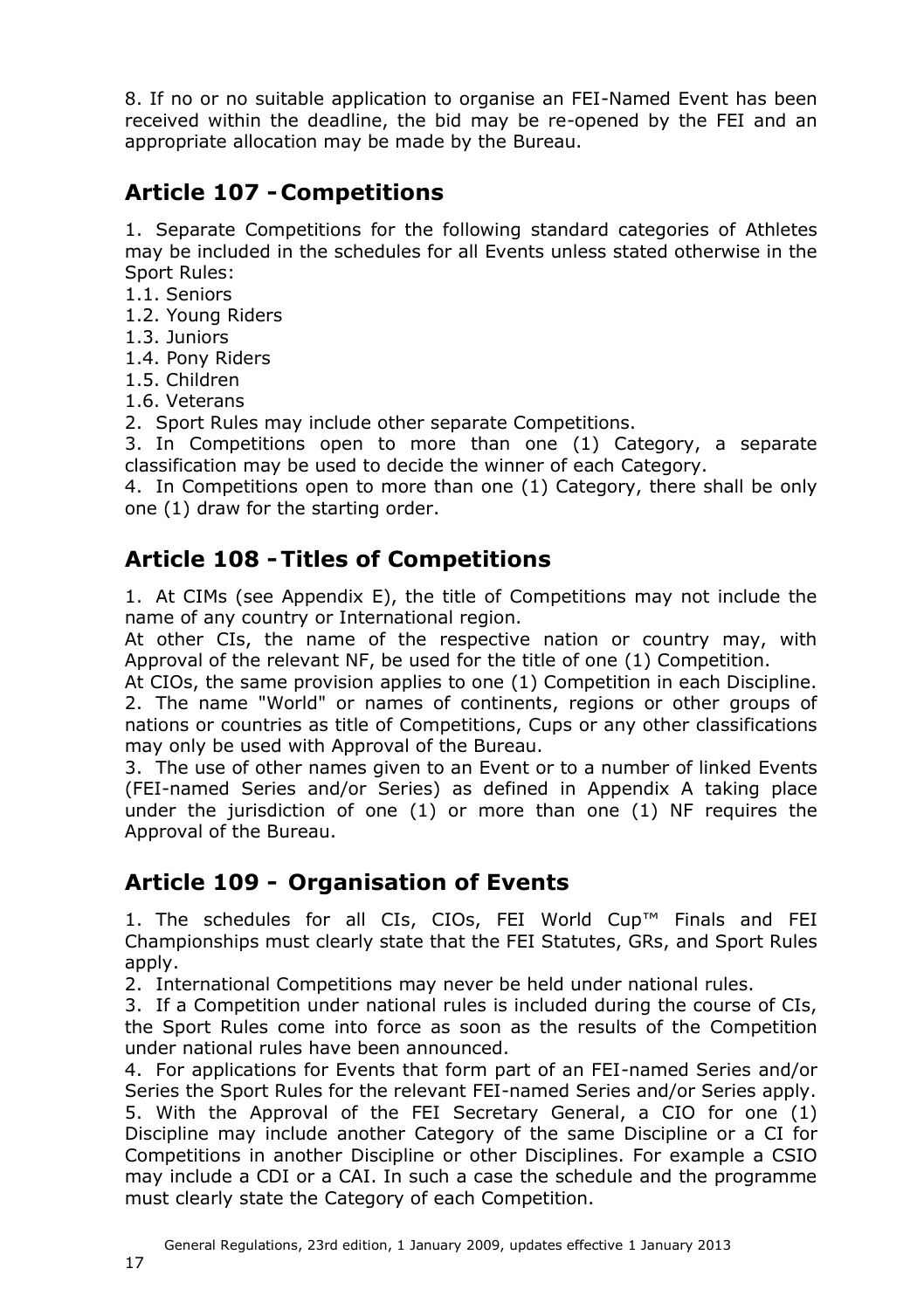8. If no or no suitable application to organise an FEI-Named Event has been received within the deadline, the bid may be re-opened by the FEI and an appropriate allocation may be made by the Bureau.

## <span id="page-16-0"></span>**Article 107 - Competitions**

1. Separate Competitions for the following standard categories of Athletes may be included in the schedules for all Events unless stated otherwise in the Sport Rules:

- 1.1. Seniors
- 1.2. Young Riders
- 1.3. Juniors
- 1.4. Pony Riders
- 1.5. Children
- 1.6. Veterans

2. Sport Rules may include other separate Competitions.

3. In Competitions open to more than one (1) Category, a separate classification may be used to decide the winner of each Category.

4. In Competitions open to more than one (1) Category, there shall be only one (1) draw for the starting order.

### <span id="page-16-1"></span>**Article 108 -Titles of Competitions**

1. At CIMs (see Appendix E), the title of Competitions may not include the name of any country or International region.

At other CIs, the name of the respective nation or country may, with Approval of the relevant NF, be used for the title of one (1) Competition.

At CIOs, the same provision applies to one (1) Competition in each Discipline. 2. The name "World" or names of continents, regions or other groups of nations or countries as title of Competitions, Cups or any other classifications may only be used with Approval of the Bureau.

3. The use of other names given to an Event or to a number of linked Events (FEI-named Series and/or Series) as defined in Appendix A taking place under the jurisdiction of one (1) or more than one (1) NF requires the Approval of the Bureau.

### <span id="page-16-2"></span>**Article 109 - Organisation of Events**

1. The schedules for all CIs, CIOs, FEI World Cup™ Finals and FEI Championships must clearly state that the FEI Statutes, GRs, and Sport Rules apply.

2. International Competitions may never be held under national rules.

3. If a Competition under national rules is included during the course of CIs, the Sport Rules come into force as soon as the results of the Competition under national rules have been announced.

4. For applications for Events that form part of an FEI-named Series and/or Series the Sport Rules for the relevant FEI-named Series and/or Series apply. 5. With the Approval of the FEI Secretary General, a CIO for one (1) Discipline may include another Category of the same Discipline or a CI for Competitions in another Discipline or other Disciplines. For example a CSIO may include a CDI or a CAI. In such a case the schedule and the programme must clearly state the Category of each Competition.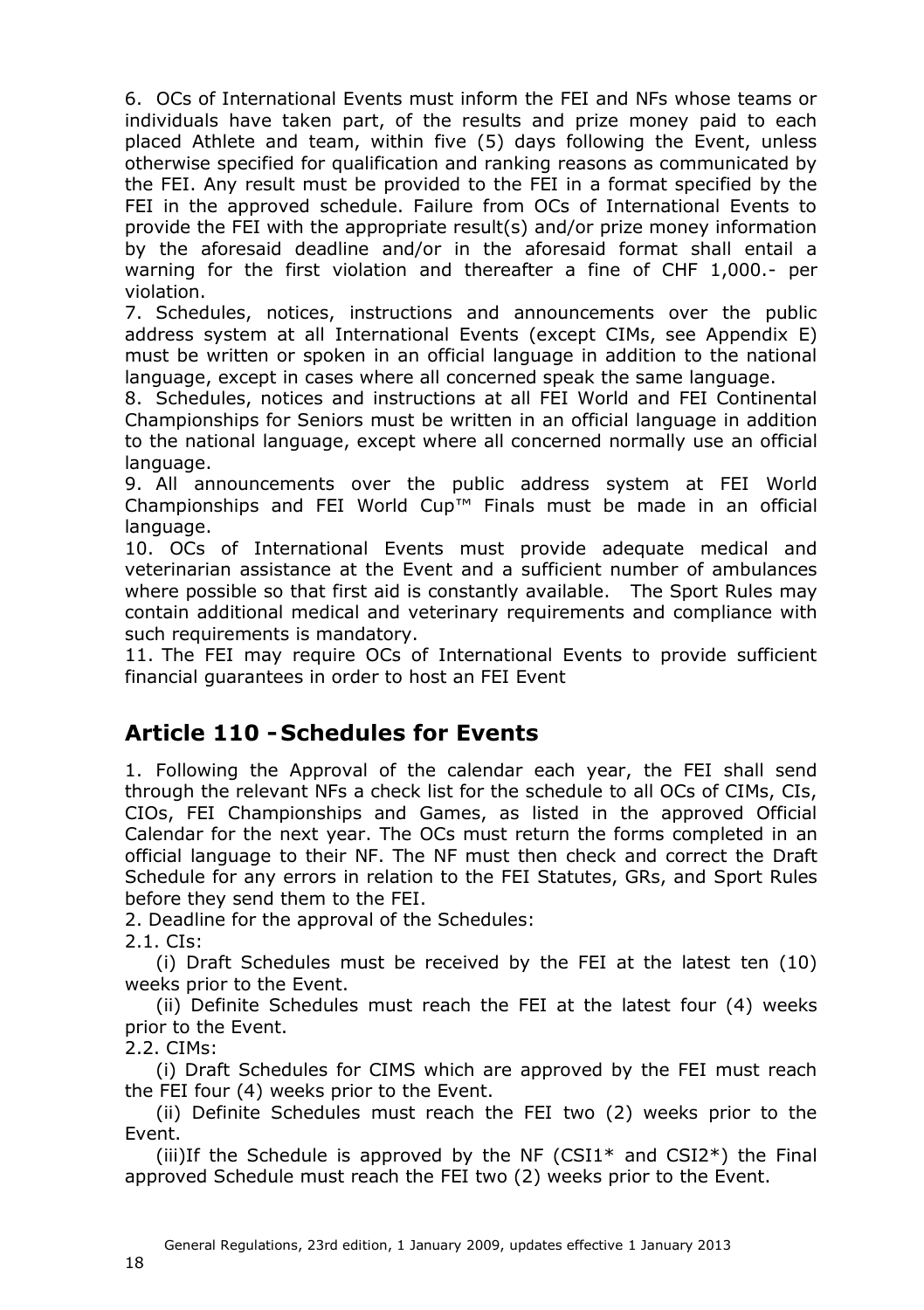6. OCs of International Events must inform the FEI and NFs whose teams or individuals have taken part, of the results and prize money paid to each placed Athlete and team, within five (5) days following the Event, unless otherwise specified for qualification and ranking reasons as communicated by the FEI. Any result must be provided to the FEI in a format specified by the FEI in the approved schedule. Failure from OCs of International Events to provide the FEI with the appropriate result(s) and/or prize money information by the aforesaid deadline and/or in the aforesaid format shall entail a warning for the first violation and thereafter a fine of CHF 1,000.- per violation.

7. Schedules, notices, instructions and announcements over the public address system at all International Events (except CIMs, see Appendix E) must be written or spoken in an official language in addition to the national language, except in cases where all concerned speak the same language.

8. Schedules, notices and instructions at all FEI World and FEI Continental Championships for Seniors must be written in an official language in addition to the national language, except where all concerned normally use an official language.

9. All announcements over the public address system at FEI World Championships and FEI World Cup™ Finals must be made in an official language.

10. OCs of International Events must provide adequate medical and veterinarian assistance at the Event and a sufficient number of ambulances where possible so that first aid is constantly available. The Sport Rules may contain additional medical and veterinary requirements and compliance with such requirements is mandatory.

11. The FEI may require OCs of International Events to provide sufficient financial guarantees in order to host an FEI Event

### <span id="page-17-0"></span>**Article 110 - Schedules for Events**

1. Following the Approval of the calendar each year, the FEI shall send through the relevant NFs a check list for the schedule to all OCs of CIMs, CIs, CIOs, FEI Championships and Games, as listed in the approved Official Calendar for the next year. The OCs must return the forms completed in an official language to their NF. The NF must then check and correct the Draft Schedule for any errors in relation to the FEI Statutes, GRs, and Sport Rules before they send them to the FEI.

2. Deadline for the approval of the Schedules:

2.1. CIs:

(i) Draft Schedules must be received by the FEI at the latest ten (10) weeks prior to the Event.

(ii) Definite Schedules must reach the FEI at the latest four (4) weeks prior to the Event.

2.2. CIMs:

(i) Draft Schedules for CIMS which are approved by the FEI must reach the FEI four (4) weeks prior to the Event.

(ii) Definite Schedules must reach the FEI two (2) weeks prior to the Event.

(iii)If the Schedule is approved by the NF  $(CSI1*$  and  $CSI2*)$  the Final approved Schedule must reach the FEI two (2) weeks prior to the Event.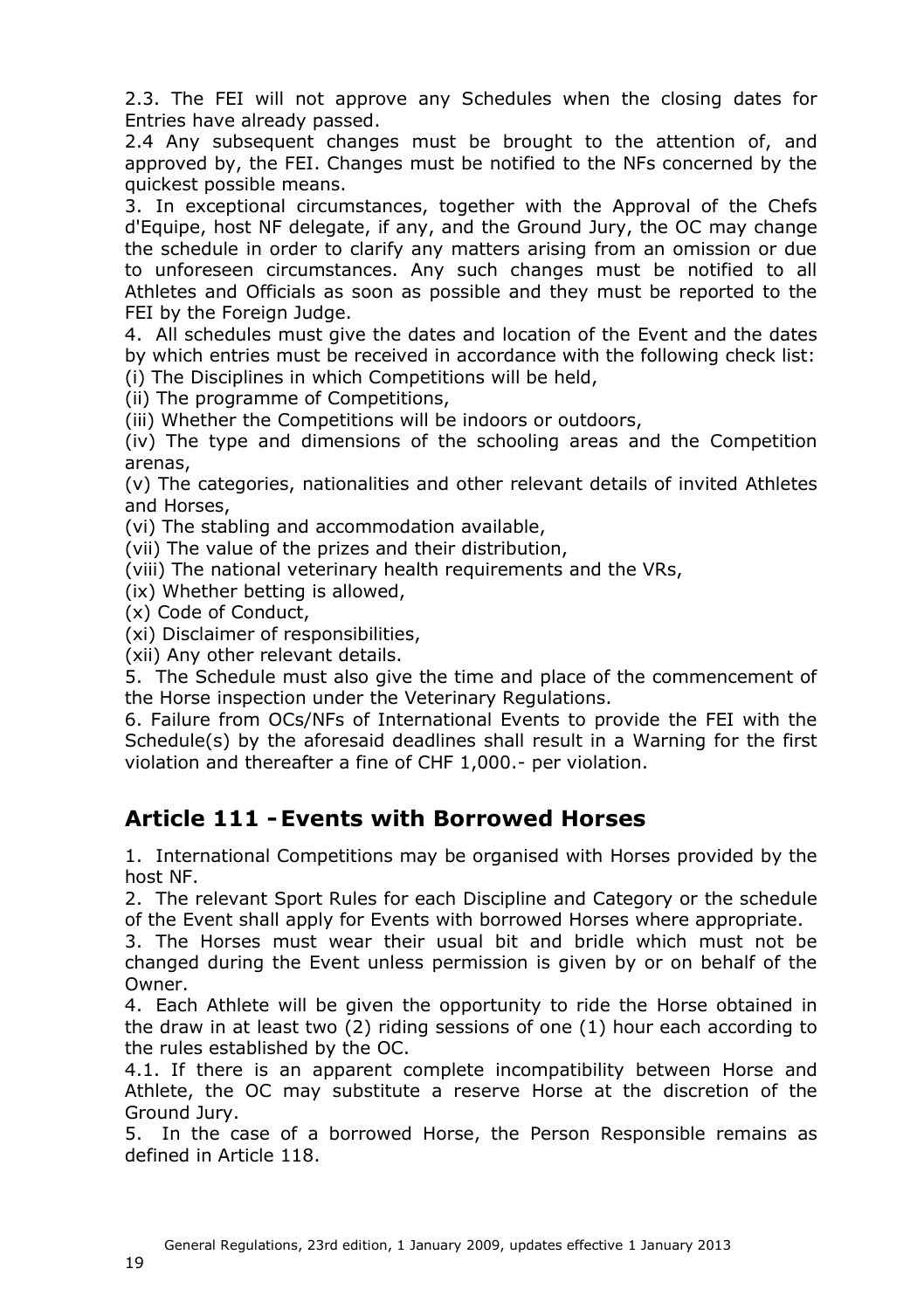2.3. The FEI will not approve any Schedules when the closing dates for Entries have already passed.

2.4 Any subsequent changes must be brought to the attention of, and approved by, the FEI. Changes must be notified to the NFs concerned by the quickest possible means.

3. In exceptional circumstances, together with the Approval of the Chefs d'Equipe, host NF delegate, if any, and the Ground Jury, the OC may change the schedule in order to clarify any matters arising from an omission or due to unforeseen circumstances. Any such changes must be notified to all Athletes and Officials as soon as possible and they must be reported to the FEI by the Foreign Judge.

4. All schedules must give the dates and location of the Event and the dates by which entries must be received in accordance with the following check list: (i) The Disciplines in which Competitions will be held,

(ii) The programme of Competitions,

(iii) Whether the Competitions will be indoors or outdoors,

(iv) The type and dimensions of the schooling areas and the Competition arenas,

(v) The categories, nationalities and other relevant details of invited Athletes and Horses,

(vi) The stabling and accommodation available,

(vii) The value of the prizes and their distribution,

(viii) The national veterinary health requirements and the VRs,

(ix) Whether betting is allowed,

(x) Code of Conduct,

(xi) Disclaimer of responsibilities,

(xii) Any other relevant details.

5. The Schedule must also give the time and place of the commencement of the Horse inspection under the Veterinary Regulations.

6. Failure from OCs/NFs of International Events to provide the FEI with the Schedule(s) by the aforesaid deadlines shall result in a Warning for the first violation and thereafter a fine of CHF 1,000.- per violation.

#### <span id="page-18-0"></span>**Article 111 -Events with Borrowed Horses**

1. International Competitions may be organised with Horses provided by the host NF.

2. The relevant Sport Rules for each Discipline and Category or the schedule of the Event shall apply for Events with borrowed Horses where appropriate.

3. The Horses must wear their usual bit and bridle which must not be changed during the Event unless permission is given by or on behalf of the Owner.

4. Each Athlete will be given the opportunity to ride the Horse obtained in the draw in at least two (2) riding sessions of one (1) hour each according to the rules established by the OC.

4.1. If there is an apparent complete incompatibility between Horse and Athlete, the OC may substitute a reserve Horse at the discretion of the Ground Jury.

5. In the case of a borrowed Horse, the Person Responsible remains as defined in Article 118.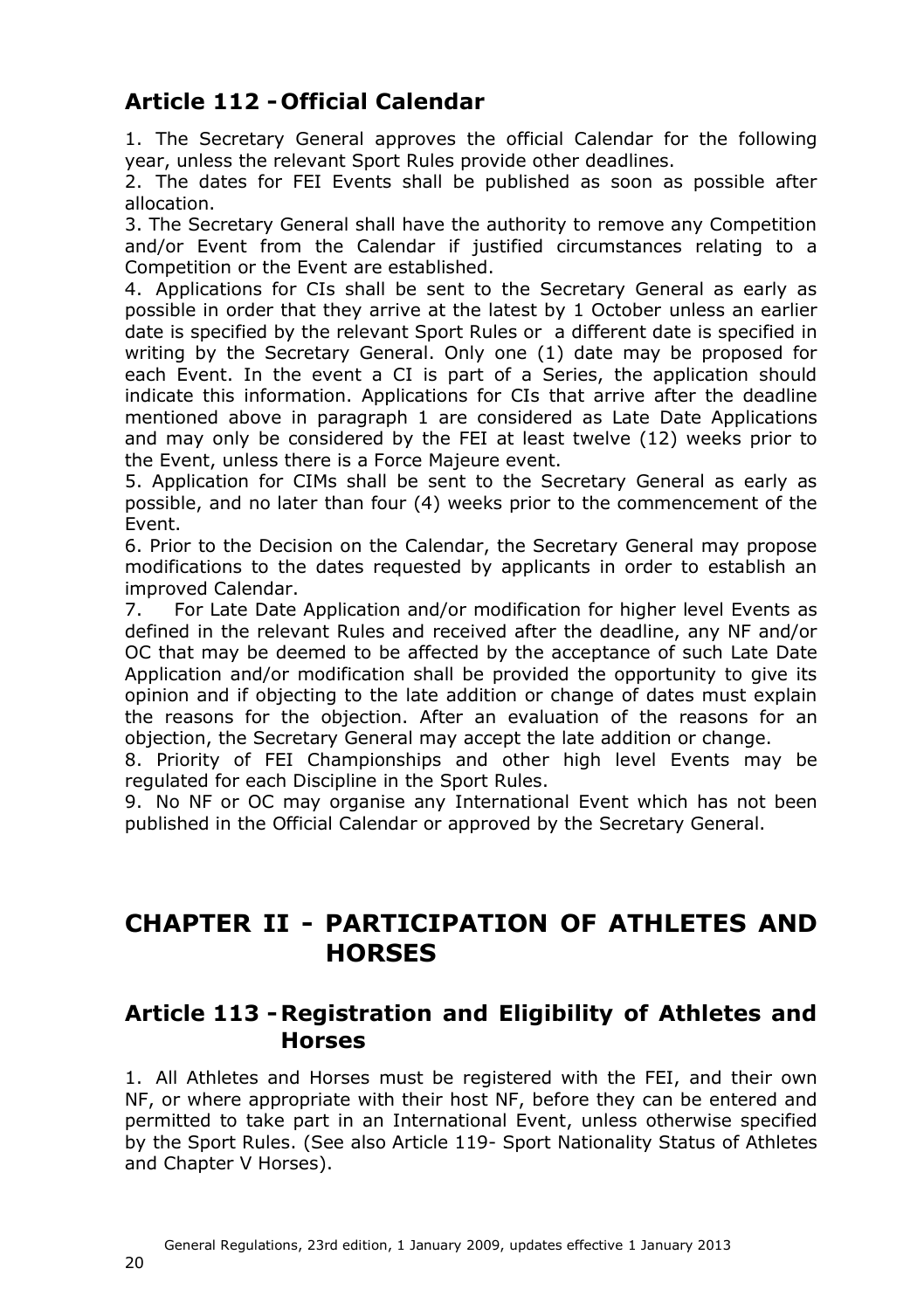### <span id="page-19-0"></span>**Article 112 - Official Calendar**

1. The Secretary General approves the official Calendar for the following year, unless the relevant Sport Rules provide other deadlines.

2. The dates for FEI Events shall be published as soon as possible after allocation.

3. The Secretary General shall have the authority to remove any Competition and/or Event from the Calendar if justified circumstances relating to a Competition or the Event are established.

4. Applications for CIs shall be sent to the Secretary General as early as possible in order that they arrive at the latest by 1 October unless an earlier date is specified by the relevant Sport Rules or a different date is specified in writing by the Secretary General. Only one (1) date may be proposed for each Event. In the event a CI is part of a Series, the application should indicate this information. Applications for CIs that arrive after the deadline mentioned above in paragraph 1 are considered as Late Date Applications and may only be considered by the FEI at least twelve (12) weeks prior to the Event, unless there is a Force Majeure event.

5. Application for CIMs shall be sent to the Secretary General as early as possible, and no later than four (4) weeks prior to the commencement of the Event.

6. Prior to the Decision on the Calendar, the Secretary General may propose modifications to the dates requested by applicants in order to establish an improved Calendar.

7. For Late Date Application and/or modification for higher level Events as defined in the relevant Rules and received after the deadline, any NF and/or OC that may be deemed to be affected by the acceptance of such Late Date Application and/or modification shall be provided the opportunity to give its opinion and if objecting to the late addition or change of dates must explain the reasons for the objection. After an evaluation of the reasons for an objection, the Secretary General may accept the late addition or change.

8. Priority of FEI Championships and other high level Events may be regulated for each Discipline in the Sport Rules.

9. No NF or OC may organise any International Event which has not been published in the Official Calendar or approved by the Secretary General.

## <span id="page-19-1"></span>**CHAPTER II - PARTICIPATION OF ATHLETES AND HORSES**

### <span id="page-19-2"></span>**Article 113 -Registration and Eligibility of Athletes and Horses**

1. All Athletes and Horses must be registered with the FEI, and their own NF, or where appropriate with their host NF, before they can be entered and permitted to take part in an International Event, unless otherwise specified by the Sport Rules. (See also Article [119-](#page-24-1) Sport Nationality Status of Athletes and Chapter [V](#page-36-3) Horses).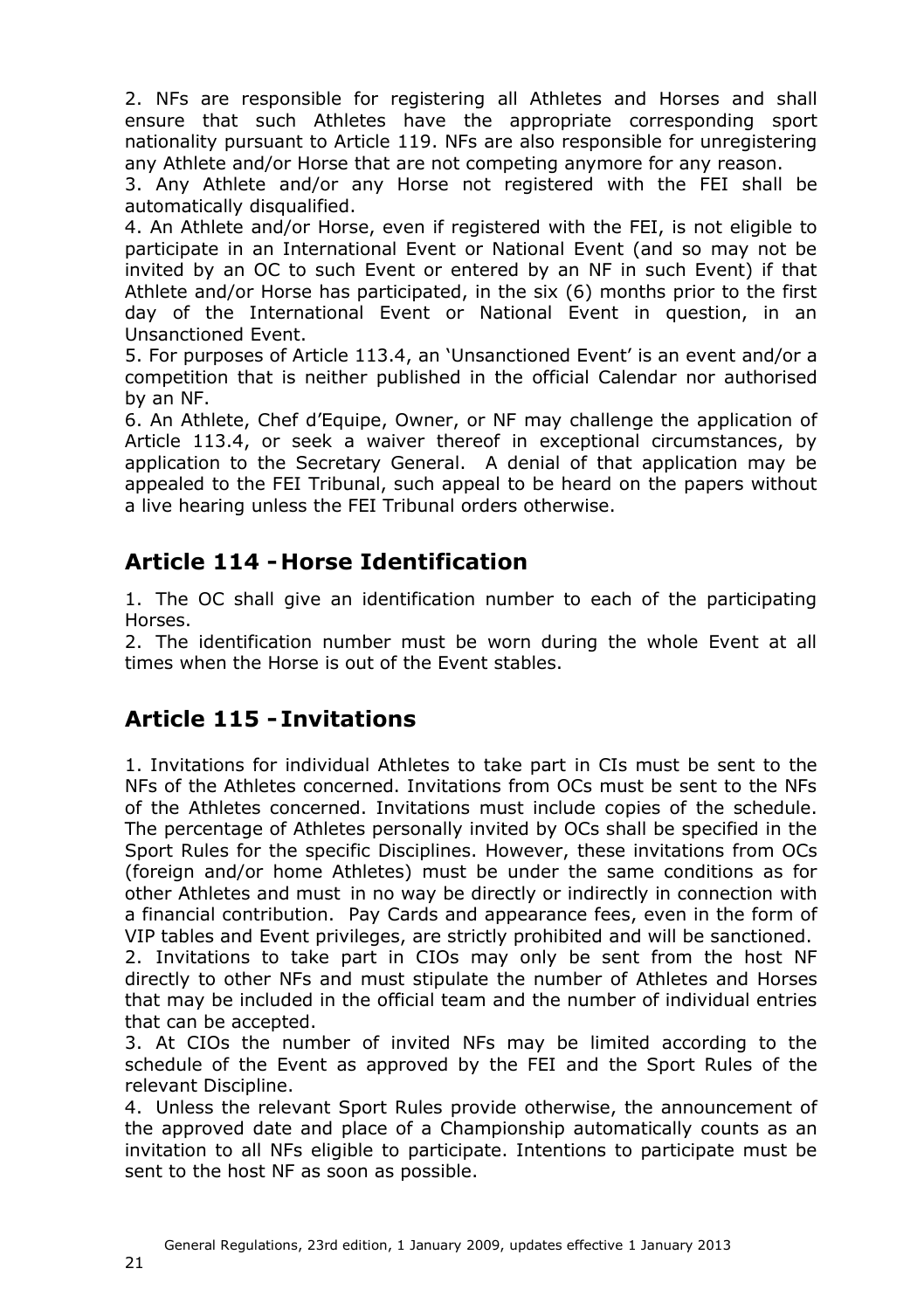2. NFs are responsible for registering all Athletes and Horses and shall ensure that such Athletes have the appropriate corresponding sport nationality pursuant to Article 119. NFs are also responsible for unregistering any Athlete and/or Horse that are not competing anymore for any reason.

3. Any Athlete and/or any Horse not registered with the FEI shall be automatically disqualified.

4. An Athlete and/or Horse, even if registered with the FEI, is not eligible to participate in an International Event or National Event (and so may not be invited by an OC to such Event or entered by an NF in such Event) if that Athlete and/or Horse has participated, in the six (6) months prior to the first day of the International Event or National Event in question, in an Unsanctioned Event.

5. For purposes of Article 113.4, an 'Unsanctioned Event' is an event and/or a competition that is neither published in the official Calendar nor authorised by an NF.

6. An Athlete, Chef d'Equipe, Owner, or NF may challenge the application of Article 113.4, or seek a waiver thereof in exceptional circumstances, by application to the Secretary General. A denial of that application may be appealed to the FEI Tribunal, such appeal to be heard on the papers without a live hearing unless the FEI Tribunal orders otherwise.

### <span id="page-20-0"></span>**Article 114 - Horse Identification**

1. The OC shall give an identification number to each of the participating Horses.

2. The identification number must be worn during the whole Event at all times when the Horse is out of the Event stables.

### <span id="page-20-1"></span>**Article 115 - Invitations**

1. Invitations for individual Athletes to take part in CIs must be sent to the NFs of the Athletes concerned. Invitations from OCs must be sent to the NFs of the Athletes concerned. Invitations must include copies of the schedule. The percentage of Athletes personally invited by OCs shall be specified in the Sport Rules for the specific Disciplines. However, these invitations from OCs (foreign and/or home Athletes) must be under the same conditions as for other Athletes and must in no way be directly or indirectly in connection with a financial contribution. Pay Cards and appearance fees, even in the form of VIP tables and Event privileges, are strictly prohibited and will be sanctioned.

2. Invitations to take part in CIOs may only be sent from the host NF directly to other NFs and must stipulate the number of Athletes and Horses that may be included in the official team and the number of individual entries that can be accepted.

3. At CIOs the number of invited NFs may be limited according to the schedule of the Event as approved by the FEI and the Sport Rules of the relevant Discipline.

4. Unless the relevant Sport Rules provide otherwise, the announcement of the approved date and place of a Championship automatically counts as an invitation to all NFs eligible to participate. Intentions to participate must be sent to the host NF as soon as possible.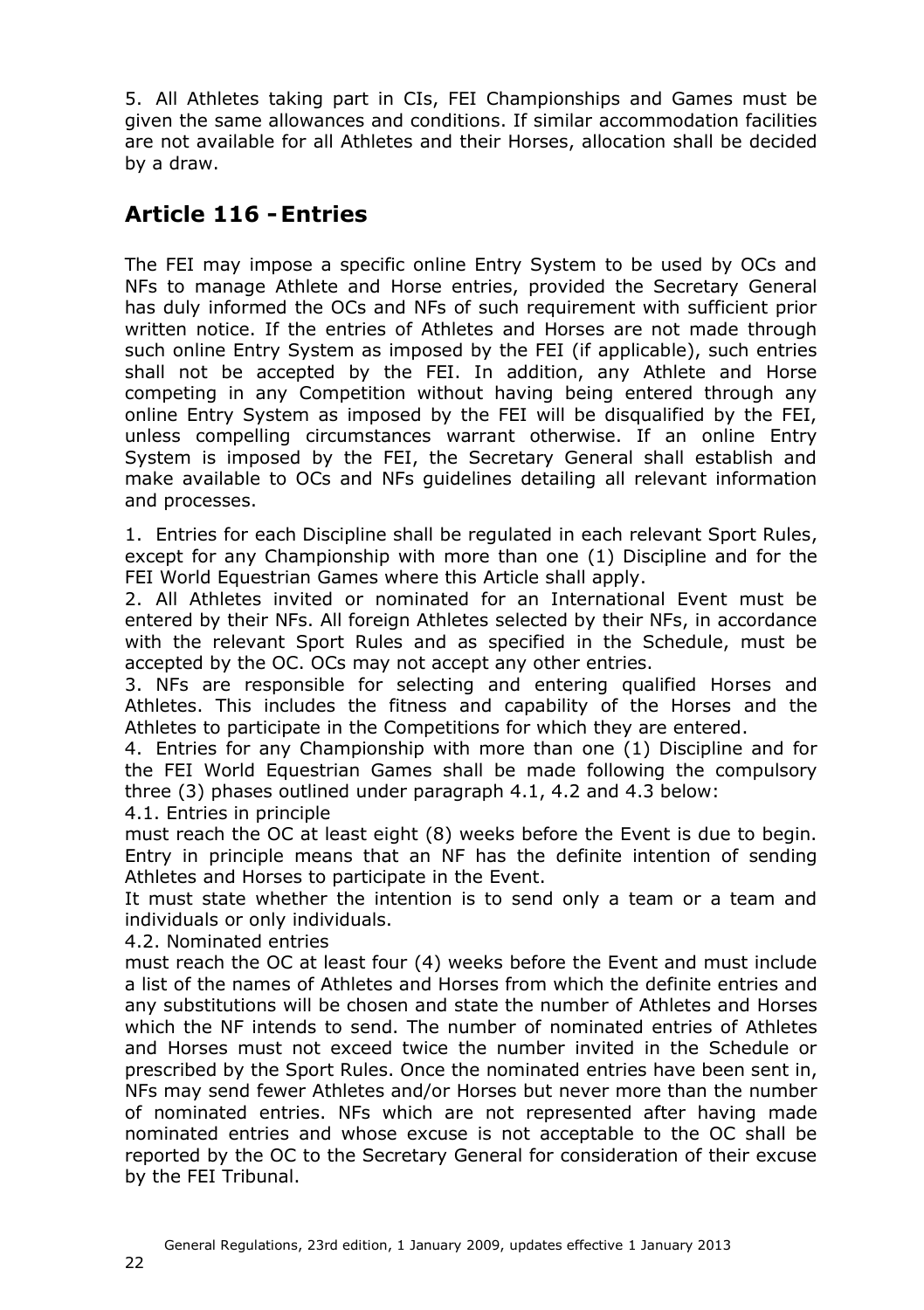5. All Athletes taking part in CIs, FEI Championships and Games must be given the same allowances and conditions. If similar accommodation facilities are not available for all Athletes and their Horses, allocation shall be decided by a draw.

### <span id="page-21-0"></span>**Article 116 -Entries**

The FEI may impose a specific online Entry System to be used by OCs and NFs to manage Athlete and Horse entries, provided the Secretary General has duly informed the OCs and NFs of such requirement with sufficient prior written notice. If the entries of Athletes and Horses are not made through such online Entry System as imposed by the FEI (if applicable), such entries shall not be accepted by the FEI. In addition, any Athlete and Horse competing in any Competition without having being entered through any online Entry System as imposed by the FEI will be disqualified by the FEI, unless compelling circumstances warrant otherwise. If an online Entry System is imposed by the FEI, the Secretary General shall establish and make available to OCs and NFs guidelines detailing all relevant information and processes.

1. Entries for each Discipline shall be regulated in each relevant Sport Rules, except for any Championship with more than one (1) Discipline and for the FEI World Equestrian Games where this Article shall apply.

2. All Athletes invited or nominated for an International Event must be entered by their NFs. All foreign Athletes selected by their NFs, in accordance with the relevant Sport Rules and as specified in the Schedule, must be accepted by the OC. OCs may not accept any other entries.

3. NFs are responsible for selecting and entering qualified Horses and Athletes. This includes the fitness and capability of the Horses and the Athletes to participate in the Competitions for which they are entered.

4. Entries for any Championship with more than one (1) Discipline and for the FEI World Equestrian Games shall be made following the compulsory three (3) phases outlined under paragraph 4.1, 4.2 and 4.3 below: 4.1. Entries in principle

must reach the OC at least eight (8) weeks before the Event is due to begin. Entry in principle means that an NF has the definite intention of sending

Athletes and Horses to participate in the Event. It must state whether the intention is to send only a team or a team and

individuals or only individuals.

4.2. Nominated entries

must reach the OC at least four (4) weeks before the Event and must include a list of the names of Athletes and Horses from which the definite entries and any substitutions will be chosen and state the number of Athletes and Horses which the NF intends to send. The number of nominated entries of Athletes and Horses must not exceed twice the number invited in the Schedule or prescribed by the Sport Rules. Once the nominated entries have been sent in, NFs may send fewer Athletes and/or Horses but never more than the number of nominated entries. NFs which are not represented after having made nominated entries and whose excuse is not acceptable to the OC shall be reported by the OC to the Secretary General for consideration of their excuse by the FEI Tribunal.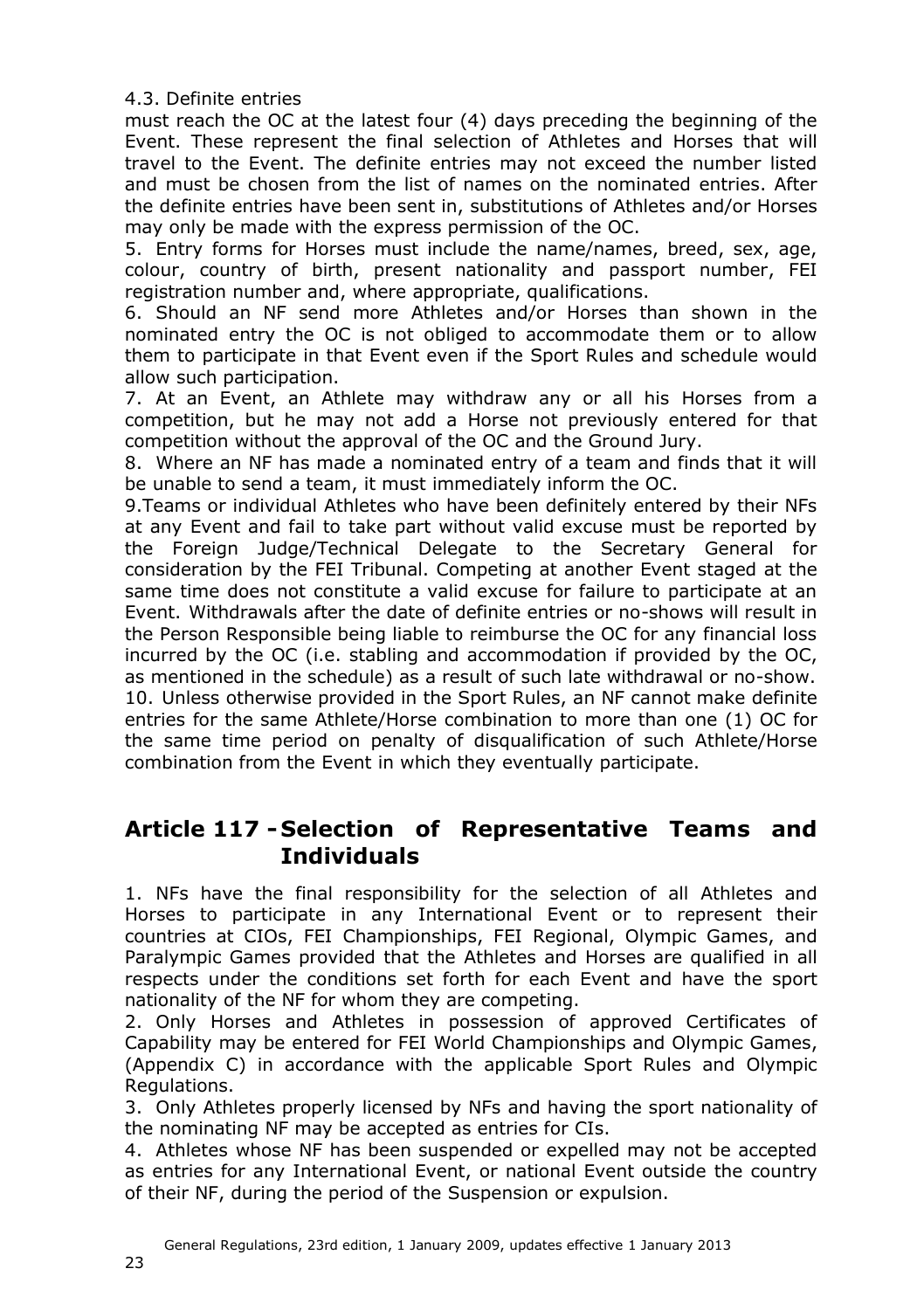4.3. Definite entries

must reach the OC at the latest four (4) days preceding the beginning of the Event. These represent the final selection of Athletes and Horses that will travel to the Event. The definite entries may not exceed the number listed and must be chosen from the list of names on the nominated entries. After the definite entries have been sent in, substitutions of Athletes and/or Horses may only be made with the express permission of the OC.

5. Entry forms for Horses must include the name/names, breed, sex, age, colour, country of birth, present nationality and passport number, FEI registration number and, where appropriate, qualifications.

6. Should an NF send more Athletes and/or Horses than shown in the nominated entry the OC is not obliged to accommodate them or to allow them to participate in that Event even if the Sport Rules and schedule would allow such participation.

7. At an Event, an Athlete may withdraw any or all his Horses from a competition, but he may not add a Horse not previously entered for that competition without the approval of the OC and the Ground Jury.

8. Where an NF has made a nominated entry of a team and finds that it will be unable to send a team, it must immediately inform the OC.

9.Teams or individual Athletes who have been definitely entered by their NFs at any Event and fail to take part without valid excuse must be reported by the Foreign Judge/Technical Delegate to the Secretary General for consideration by the FEI Tribunal. Competing at another Event staged at the same time does not constitute a valid excuse for failure to participate at an Event. Withdrawals after the date of definite entries or no-shows will result in the Person Responsible being liable to reimburse the OC for any financial loss incurred by the OC (i.e. stabling and accommodation if provided by the OC, as mentioned in the schedule) as a result of such late withdrawal or no-show. 10. Unless otherwise provided in the Sport Rules, an NF cannot make definite entries for the same Athlete/Horse combination to more than one (1) OC for the same time period on penalty of disqualification of such Athlete/Horse combination from the Event in which they eventually participate.

### <span id="page-22-0"></span>**Article 117 - Selection of Representative Teams and Individuals**

1. NFs have the final responsibility for the selection of all Athletes and Horses to participate in any International Event or to represent their countries at CIOs, FEI Championships, FEI Regional, Olympic Games, and Paralympic Games provided that the Athletes and Horses are qualified in all respects under the conditions set forth for each Event and have the sport nationality of the NF for whom they are competing.

2. Only Horses and Athletes in possession of approved Certificates of Capability may be entered for FEI World Championships and Olympic Games, (Appendix C) in accordance with the applicable Sport Rules and Olympic Regulations.

3. Only Athletes properly licensed by NFs and having the sport nationality of the nominating NF may be accepted as entries for CIs.

4. Athletes whose NF has been suspended or expelled may not be accepted as entries for any International Event, or national Event outside the country of their NF, during the period of the Suspension or expulsion.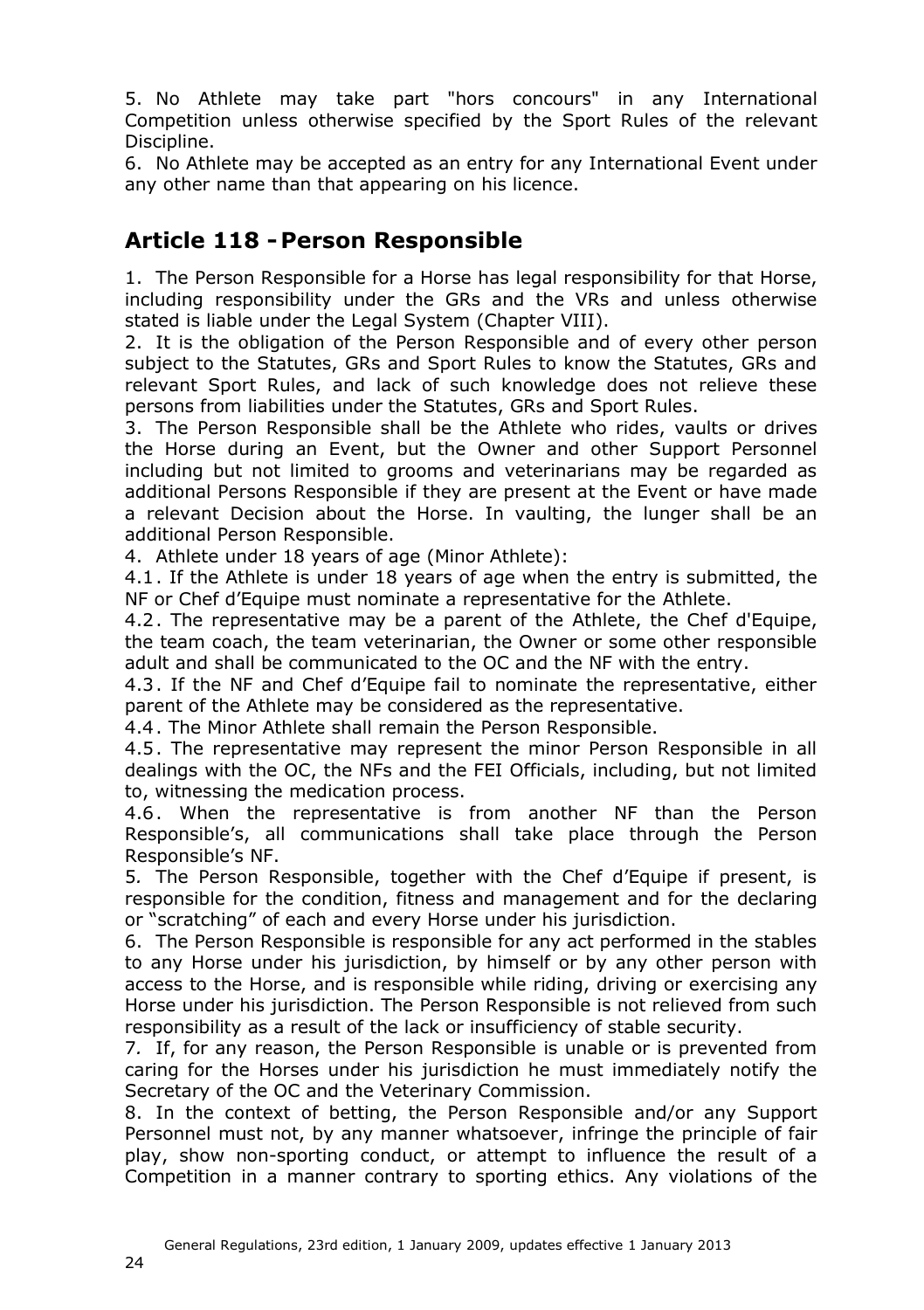5. No Athlete may take part "hors concours" in any International Competition unless otherwise specified by the Sport Rules of the relevant Discipline.

6. No Athlete may be accepted as an entry for any International Event under any other name than that appearing on his licence.

#### <span id="page-23-1"></span><span id="page-23-0"></span>**Article 118 -Person Responsible**

1. The Person Responsible for a Horse has legal responsibility for that Horse, including responsibility under the GRs and the VRs and unless otherwise stated is liable under the Legal System (Chapter [VIII\)](#page-47-3).

2. It is the obligation of the Person Responsible and of every other person subject to the Statutes, GRs and Sport Rules to know the Statutes, GRs and relevant Sport Rules, and lack of such knowledge does not relieve these persons from liabilities under the Statutes, GRs and Sport Rules.

3. The Person Responsible shall be the Athlete who rides, vaults or drives the Horse during an Event, but the Owner and other Support Personnel including but not limited to grooms and veterinarians may be regarded as additional Persons Responsible if they are present at the Event or have made a relevant Decision about the Horse. In vaulting, the lunger shall be an additional Person Responsible.

4. Athlete under 18 years of age (Minor Athlete):

4.1. If the Athlete is under 18 years of age when the entry is submitted, the NF or Chef d'Equipe must nominate a representative for the Athlete.

4.2. The representative may be a parent of the Athlete, the Chef d'Equipe, the team coach, the team veterinarian, the Owner or some other responsible adult and shall be communicated to the OC and the NF with the entry.

4.3. If the NF and Chef d'Equipe fail to nominate the representative, either parent of the Athlete may be considered as the representative.

4.4. The Minor Athlete shall remain the Person Responsible.

4.5. The representative may represent the minor Person Responsible in all dealings with the OC, the NFs and the FEI Officials, including, but not limited to, witnessing the medication process.

4.6. When the representative is from another NF than the Person Responsible's, all communications shall take place through the Person Responsible's NF.

5*.* The Person Responsible, together with the Chef d'Equipe if present, is responsible for the condition, fitness and management and for the declaring or "scratching" of each and every Horse under his jurisdiction.

6. The Person Responsible is responsible for any act performed in the stables to any Horse under his jurisdiction, by himself or by any other person with access to the Horse, and is responsible while riding, driving or exercising any Horse under his jurisdiction. The Person Responsible is not relieved from such responsibility as a result of the lack or insufficiency of stable security.

7*.* If, for any reason, the Person Responsible is unable or is prevented from caring for the Horses under his jurisdiction he must immediately notify the Secretary of the OC and the Veterinary Commission.

8. In the context of betting, the Person Responsible and/or any Support Personnel must not, by any manner whatsoever, infringe the principle of fair play, show non-sporting conduct, or attempt to influence the result of a Competition in a manner contrary to sporting ethics. Any violations of the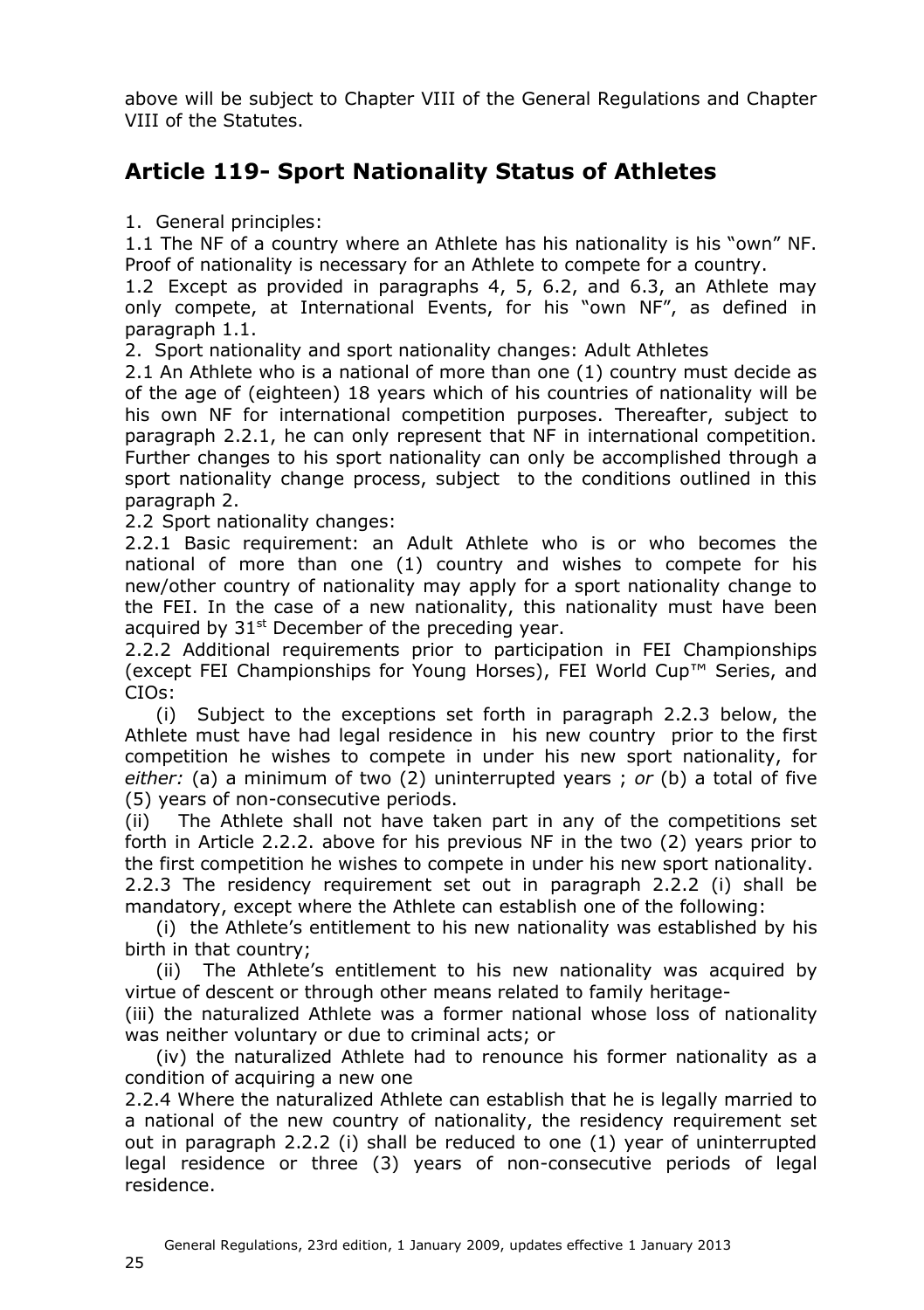above will be subject to Chapter VIII of the General Regulations and Chapter VIII of the Statutes.

### <span id="page-24-1"></span><span id="page-24-0"></span>**Article 119- Sport Nationality Status of Athletes**

1. General principles:

1.1 The NF of a country where an Athlete has his nationality is his "own" NF. Proof of nationality is necessary for an Athlete to compete for a country.

1.2 Except as provided in paragraphs 4, 5, 6.2, and 6.3, an Athlete may only compete, at International Events, for his "own NF", as defined in paragraph 1.1.

2. Sport nationality and sport nationality changes: Adult Athletes

2.1 An Athlete who is a national of more than one (1) country must decide as of the age of (eighteen) 18 years which of his countries of nationality will be his own NF for international competition purposes. Thereafter, subject to paragraph 2.2.1, he can only represent that NF in international competition. Further changes to his sport nationality can only be accomplished through a sport nationality change process, subject to the conditions outlined in this paragraph 2.

2.2 Sport nationality changes:

2.2.1 Basic requirement: an Adult Athlete who is or who becomes the national of more than one (1) country and wishes to compete for his new/other country of nationality may apply for a sport nationality change to the FEI. In the case of a new nationality, this nationality must have been acquired by  $31<sup>st</sup>$  December of the preceding year.

2.2.2 Additional requirements prior to participation in FEI Championships (except FEI Championships for Young Horses), FEI World Cup™ Series, and CIOs:

(i) Subject to the exceptions set forth in paragraph 2.2.3 below, the Athlete must have had legal residence in his new country prior to the first competition he wishes to compete in under his new sport nationality, for *either:* (a) a minimum of two (2) uninterrupted years ; *or* (b) a total of five (5) years of non-consecutive periods.

(ii) The Athlete shall not have taken part in any of the competitions set forth in Article 2.2.2. above for his previous NF in the two (2) years prior to the first competition he wishes to compete in under his new sport nationality. 2.2.3 The residency requirement set out in paragraph 2.2.2 (i) shall be mandatory, except where the Athlete can establish one of the following:

(i) the Athlete's entitlement to his new nationality was established by his birth in that country;

(ii) The Athlete's entitlement to his new nationality was acquired by virtue of descent or through other means related to family heritage-

(iii) the naturalized Athlete was a former national whose loss of nationality was neither voluntary or due to criminal acts; or

(iv) the naturalized Athlete had to renounce his former nationality as a condition of acquiring a new one

2.2.4 Where the naturalized Athlete can establish that he is legally married to a national of the new country of nationality, the residency requirement set out in paragraph 2.2.2 (i) shall be reduced to one (1) year of uninterrupted legal residence or three (3) years of non-consecutive periods of legal residence.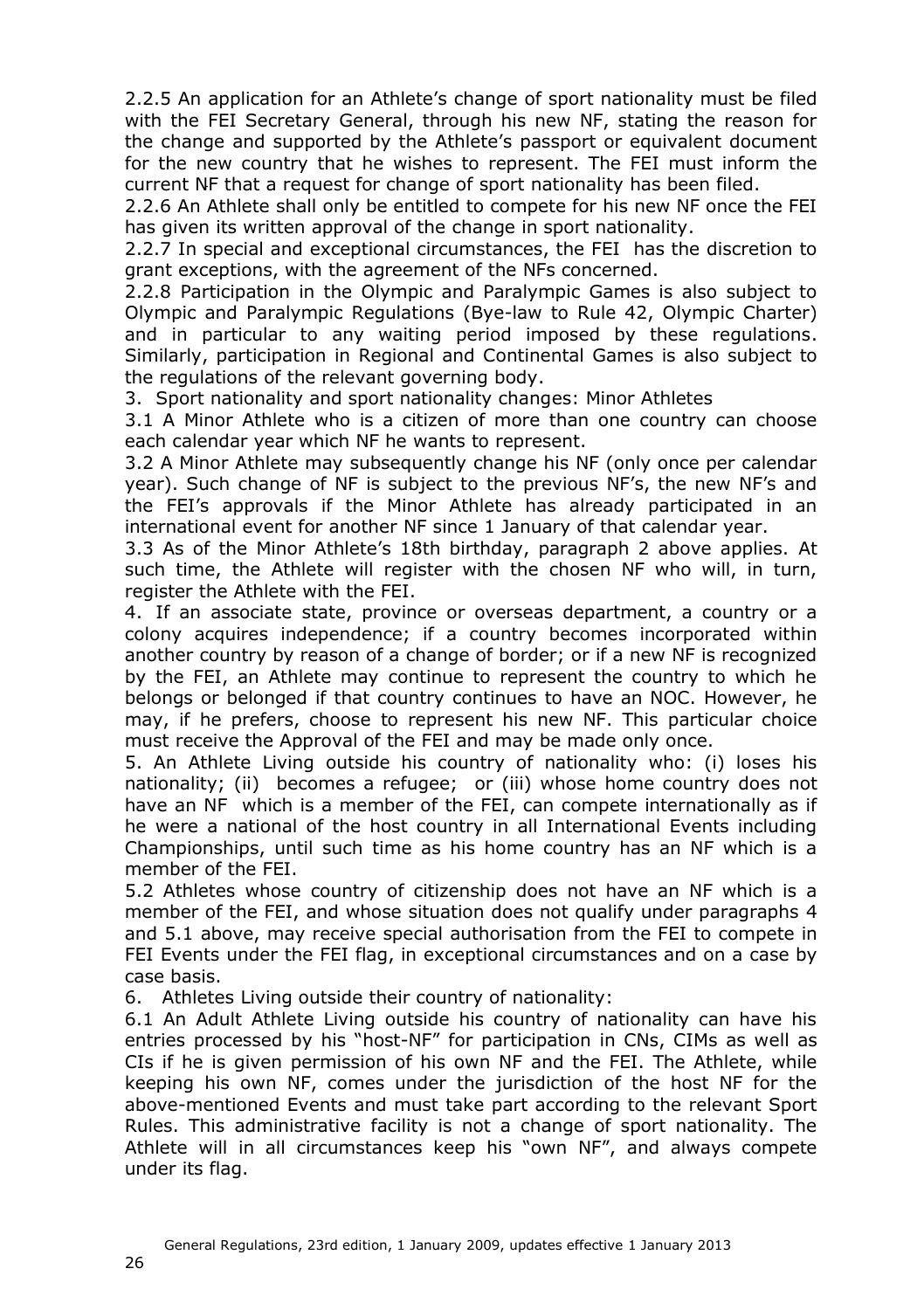2.2.5 An application for an Athlete's change of sport nationality must be filed with the FEI Secretary General, through his new NF, stating the reason for the change and supported by the Athlete's passport or equivalent document for the new country that he wishes to represent. The FEI must inform the current NF that a request for change of sport nationality has been filed.

2.2.6 An Athlete shall only be entitled to compete for his new NF once the FEI has given its written approval of the change in sport nationality.

2.2.7 In special and exceptional circumstances, the FEI has the discretion to grant exceptions, with the agreement of the NFs concerned.

2.2.8 Participation in the Olympic and Paralympic Games is also subject to Olympic and Paralympic Regulations (Bye-law to Rule 42, Olympic Charter) and in particular to any waiting period imposed by these regulations. Similarly, participation in Regional and Continental Games is also subject to the regulations of the relevant governing body.

3. Sport nationality and sport nationality changes: Minor Athletes

3.1 A Minor Athlete who is a citizen of more than one country can choose each calendar year which NF he wants to represent.

3.2 A Minor Athlete may subsequently change his NF (only once per calendar year). Such change of NF is subject to the previous NF's, the new NF's and the FEI's approvals if the Minor Athlete has already participated in an international event for another NF since 1 January of that calendar year.

3.3 As of the Minor Athlete's 18th birthday, paragraph 2 above applies. At such time, the Athlete will register with the chosen NF who will, in turn, register the Athlete with the FEI.

4. If an associate state, province or overseas department, a country or a colony acquires independence; if a country becomes incorporated within another country by reason of a change of border; or if a new NF is recognized by the FEI, an Athlete may continue to represent the country to which he belongs or belonged if that country continues to have an NOC. However, he may, if he prefers, choose to represent his new NF. This particular choice must receive the Approval of the FEI and may be made only once.

5. An Athlete Living outside his country of nationality who: (i) loses his nationality; (ii) becomes a refugee; or (iii) whose home country does not have an NF which is a member of the FEI, can compete internationally as if he were a national of the host country in all International Events including Championships, until such time as his home country has an NF which is a member of the FEI.

5.2 Athletes whose country of citizenship does not have an NF which is a member of the FEI, and whose situation does not qualify under paragraphs 4 and 5.1 above, may receive special authorisation from the FEI to compete in FEI Events under the FEI flag, in exceptional circumstances and on a case by case basis.

6. Athletes Living outside their country of nationality:

6.1 An Adult Athlete Living outside his country of nationality can have his entries processed by his "host-NF" for participation in CNs, CIMs as well as CIs if he is given permission of his own NF and the FEI. The Athlete, while keeping his own NF, comes under the jurisdiction of the host NF for the above-mentioned Events and must take part according to the relevant Sport Rules. This administrative facility is not a change of sport nationality. The Athlete will in all circumstances keep his "own NF", and always compete under its flag.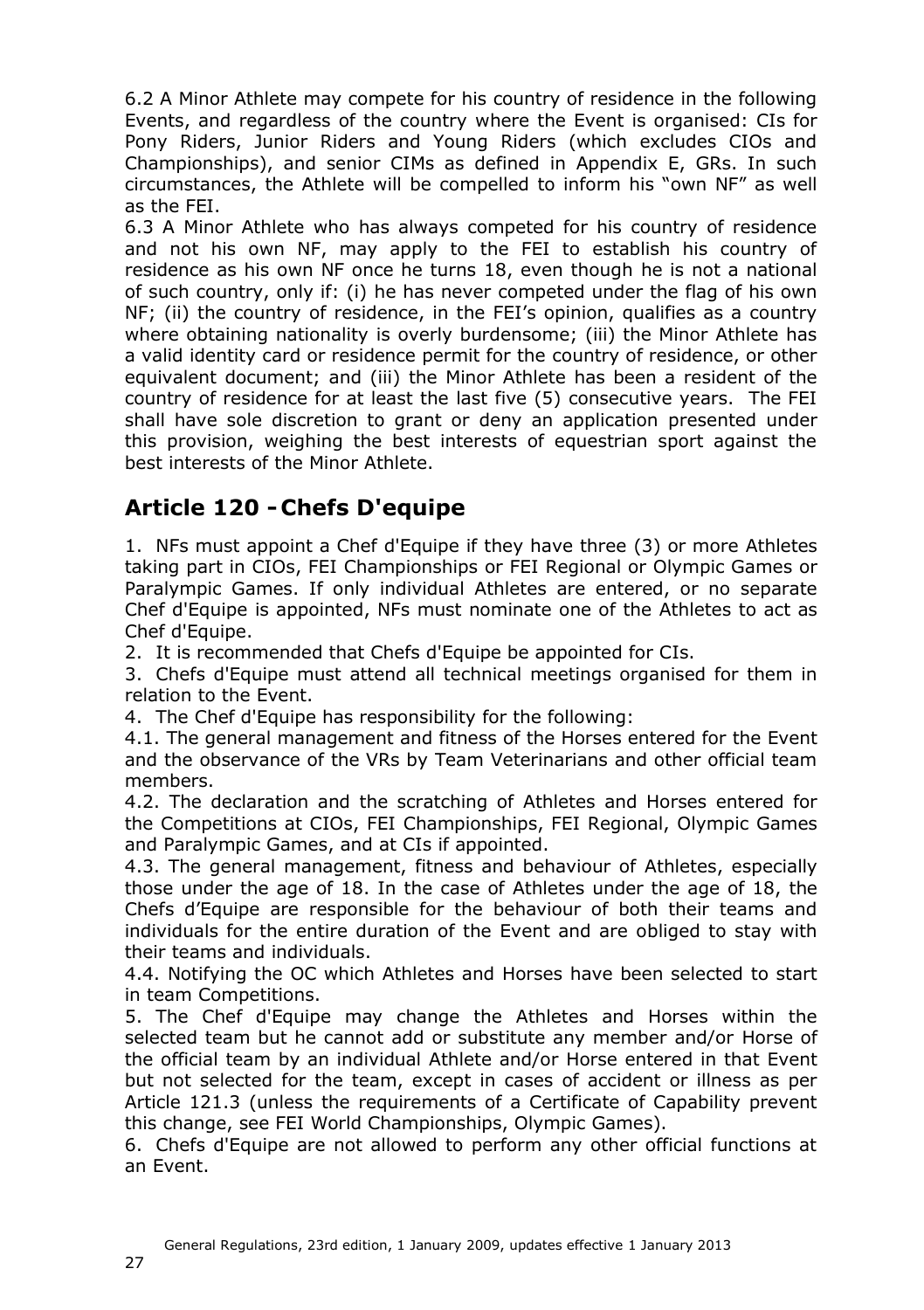6.2 A Minor Athlete may compete for his country of residence in the following Events, and regardless of the country where the Event is organised: CIs for Pony Riders, Junior Riders and Young Riders (which excludes CIOs and Championships), and senior CIMs as defined in Appendix E, GRs. In such circumstances, the Athlete will be compelled to inform his "own NF" as well as the FEI.

6.3 A Minor Athlete who has always competed for his country of residence and not his own NF, may apply to the FEI to establish his country of residence as his own NF once he turns 18, even though he is not a national of such country, only if: (i) he has never competed under the flag of his own NF; (ii) the country of residence, in the FEI's opinion, qualifies as a country where obtaining nationality is overly burdensome; (iii) the Minor Athlete has a valid identity card or residence permit for the country of residence, or other equivalent document; and (iii) the Minor Athlete has been a resident of the country of residence for at least the last five (5) consecutive years. The FEI shall have sole discretion to grant or deny an application presented under this provision, weighing the best interests of equestrian sport against the best interests of the Minor Athlete.

## <span id="page-26-0"></span>**Article 120 - Chefs D'equipe**

1. NFs must appoint a Chef d'Equipe if they have three (3) or more Athletes taking part in CIOs, FEI Championships or FEI Regional or Olympic Games or Paralympic Games. If only individual Athletes are entered, or no separate Chef d'Equipe is appointed, NFs must nominate one of the Athletes to act as Chef d'Equipe.

2. It is recommended that Chefs d'Equipe be appointed for CIs.

3. Chefs d'Equipe must attend all technical meetings organised for them in relation to the Event.

4. The Chef d'Equipe has responsibility for the following:

4.1. The general management and fitness of the Horses entered for the Event and the observance of the VRs by Team Veterinarians and other official team members.

4.2. The declaration and the scratching of Athletes and Horses entered for the Competitions at CIOs, FEI Championships, FEI Regional, Olympic Games and Paralympic Games, and at CIs if appointed.

4.3. The general management, fitness and behaviour of Athletes, especially those under the age of 18. In the case of Athletes under the age of 18, the Chefs d'Equipe are responsible for the behaviour of both their teams and individuals for the entire duration of the Event and are obliged to stay with their teams and individuals.

4.4. Notifying the OC which Athletes and Horses have been selected to start in team Competitions.

5. The Chef d'Equipe may change the Athletes and Horses within the selected team but he cannot add or substitute any member and/or Horse of the official team by an individual Athlete and/or Horse entered in that Event but not selected for the team, except in cases of accident or illness as per Article 121.3 (unless the requirements of a Certificate of Capability prevent this change, see FEI World Championships, Olympic Games).

6. Chefs d'Equipe are not allowed to perform any other official functions at an Event.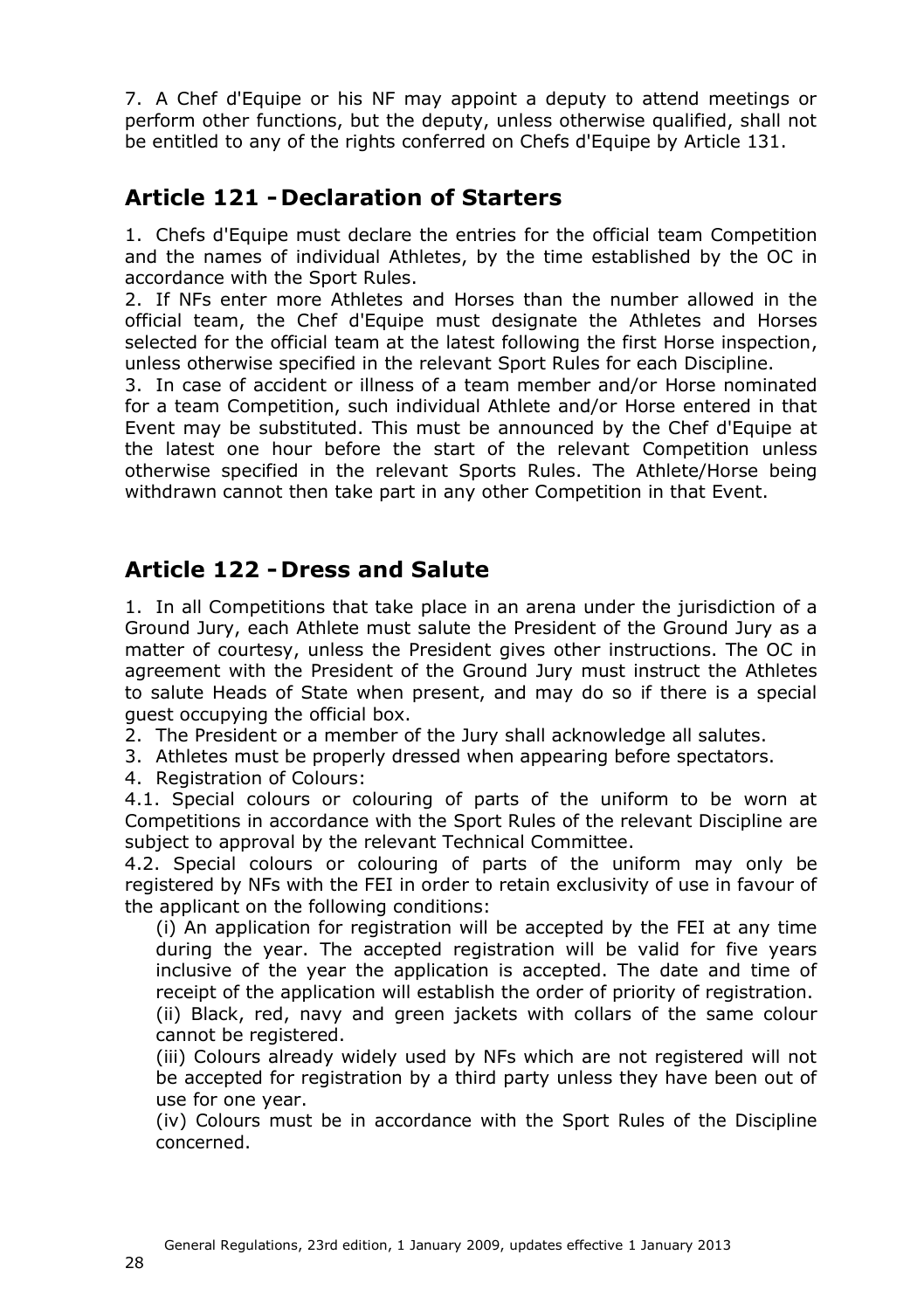7. A Chef d'Equipe or his NF may appoint a deputy to attend meetings or perform other functions, but the deputy, unless otherwise qualified, shall not be entitled to any of the rights conferred on Chefs d'Equipe by Article [131.](#page-30-5)

### <span id="page-27-0"></span>**Article 121 - Declaration of Starters**

1. Chefs d'Equipe must declare the entries for the official team Competition and the names of individual Athletes, by the time established by the OC in accordance with the Sport Rules.

2. If NFs enter more Athletes and Horses than the number allowed in the official team, the Chef d'Equipe must designate the Athletes and Horses selected for the official team at the latest following the first Horse inspection, unless otherwise specified in the relevant Sport Rules for each Discipline.

3. In case of accident or illness of a team member and/or Horse nominated for a team Competition, such individual Athlete and/or Horse entered in that Event may be substituted. This must be announced by the Chef d'Equipe at the latest one hour before the start of the relevant Competition unless otherwise specified in the relevant Sports Rules. The Athlete/Horse being withdrawn cannot then take part in any other Competition in that Event.

### <span id="page-27-1"></span>**Article 122 - Dress and Salute**

1. In all Competitions that take place in an arena under the jurisdiction of a Ground Jury, each Athlete must salute the President of the Ground Jury as a matter of courtesy, unless the President gives other instructions. The OC in agreement with the President of the Ground Jury must instruct the Athletes to salute Heads of State when present, and may do so if there is a special guest occupying the official box.

2. The President or a member of the Jury shall acknowledge all salutes.

3. Athletes must be properly dressed when appearing before spectators.

4. Registration of Colours:

4.1. Special colours or colouring of parts of the uniform to be worn at Competitions in accordance with the Sport Rules of the relevant Discipline are subject to approval by the relevant Technical Committee.

4.2. Special colours or colouring of parts of the uniform may only be registered by NFs with the FEI in order to retain exclusivity of use in favour of the applicant on the following conditions:

(i) An application for registration will be accepted by the FEI at any time during the year. The accepted registration will be valid for five years inclusive of the year the application is accepted. The date and time of receipt of the application will establish the order of priority of registration.

(ii) Black, red, navy and green jackets with collars of the same colour cannot be registered.

(iii) Colours already widely used by NFs which are not registered will not be accepted for registration by a third party unless they have been out of use for one year.

(iv) Colours must be in accordance with the Sport Rules of the Discipline concerned.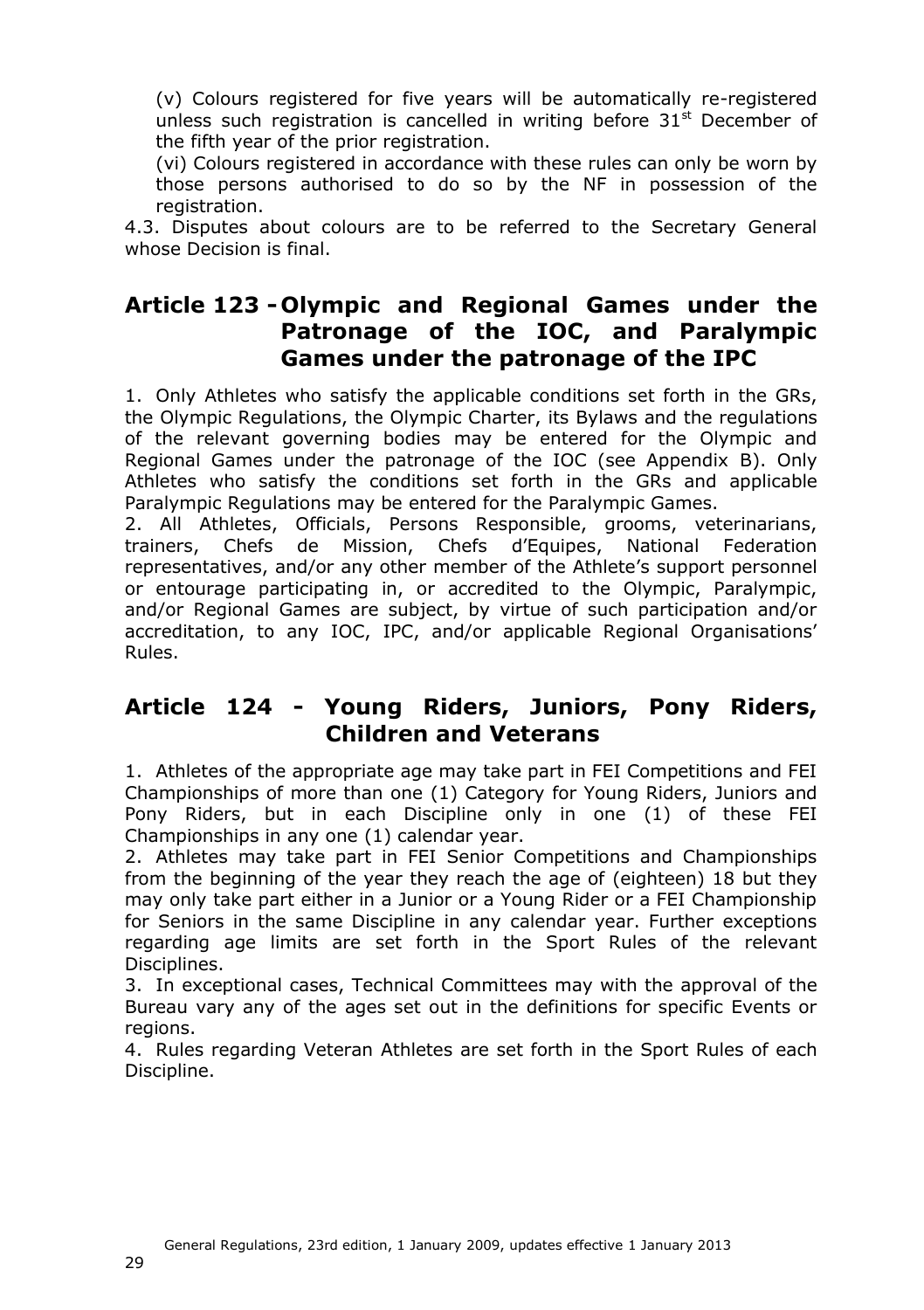(v) Colours registered for five years will be automatically re-registered unless such registration is cancelled in writing before  $31<sup>st</sup>$  December of the fifth year of the prior registration.

(vi) Colours registered in accordance with these rules can only be worn by those persons authorised to do so by the NF in possession of the registration.

4.3. Disputes about colours are to be referred to the Secretary General whose Decision is final.

#### <span id="page-28-0"></span>**Article 123 - Olympic and Regional Games under the Patronage of the IOC, and Paralympic Games under the patronage of the IPC**

1. Only Athletes who satisfy the applicable conditions set forth in the GRs, the Olympic Regulations, the Olympic Charter, its Bylaws and the regulations of the relevant governing bodies may be entered for the Olympic and Regional Games under the patronage of the IOC (see Appendix [B\)](#page-60-0). Only Athletes who satisfy the conditions set forth in the GRs and applicable Paralympic Regulations may be entered for the Paralympic Games.

2. All Athletes, Officials, Persons Responsible, grooms, veterinarians, trainers, Chefs de Mission, Chefs d'Equipes, National Federation representatives, and/or any other member of the Athlete's support personnel or entourage participating in, or accredited to the Olympic, Paralympic, and/or Regional Games are subject, by virtue of such participation and/or accreditation, to any IOC, IPC, and/or applicable Regional Organisations' Rules.

#### <span id="page-28-1"></span>**Article 124 - Young Riders, Juniors, Pony Riders, Children and Veterans**

1. Athletes of the appropriate age may take part in FEI Competitions and FEI Championships of more than one (1) Category for Young Riders, Juniors and Pony Riders, but in each Discipline only in one (1) of these FEI Championships in any one (1) calendar year.

2. Athletes may take part in FEI Senior Competitions and Championships from the beginning of the year they reach the age of (eighteen) 18 but they may only take part either in a Junior or a Young Rider or a FEI Championship for Seniors in the same Discipline in any calendar year. Further exceptions regarding age limits are set forth in the Sport Rules of the relevant Disciplines.

3. In exceptional cases, Technical Committees may with the approval of the Bureau vary any of the ages set out in the definitions for specific Events or regions.

4. Rules regarding Veteran Athletes are set forth in the Sport Rules of each Discipline.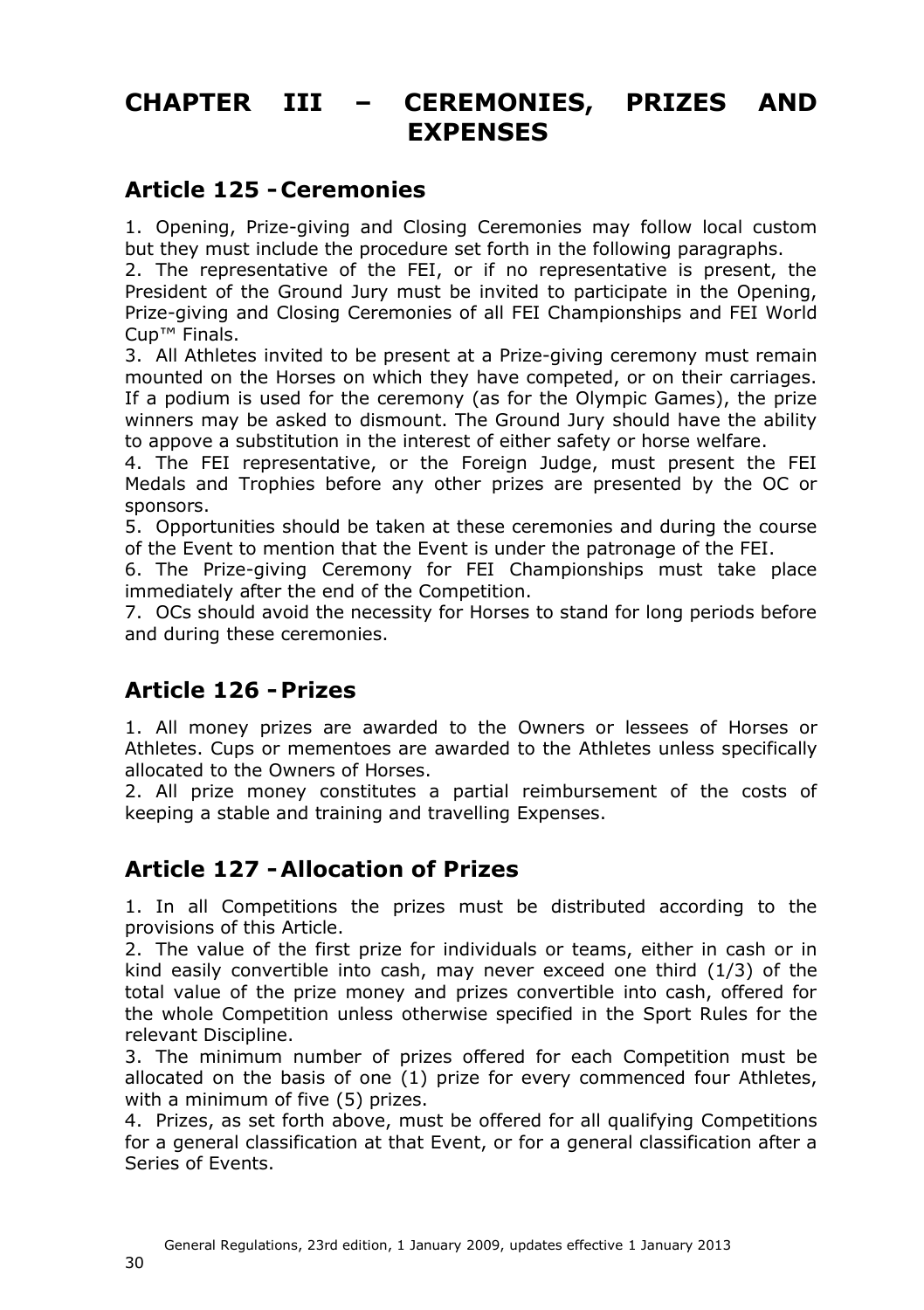## <span id="page-29-0"></span>**CHAPTER III – CEREMONIES, PRIZES AND EXPENSES**

#### <span id="page-29-1"></span>**Article 125 - Ceremonies**

1. Opening, Prize-giving and Closing Ceremonies may follow local custom but they must include the procedure set forth in the following paragraphs.

2. The representative of the FEI, or if no representative is present, the President of the Ground Jury must be invited to participate in the Opening, Prize-giving and Closing Ceremonies of all FEI Championships and FEI World Cup™ Finals.

3. All Athletes invited to be present at a Prize-giving ceremony must remain mounted on the Horses on which they have competed, or on their carriages. If a podium is used for the ceremony (as for the Olympic Games), the prize winners may be asked to dismount. The Ground Jury should have the ability to appove a substitution in the interest of either safety or horse welfare.

4. The FEI representative, or the Foreign Judge, must present the FEI Medals and Trophies before any other prizes are presented by the OC or sponsors.

5. Opportunities should be taken at these ceremonies and during the course of the Event to mention that the Event is under the patronage of the FEI.

6. The Prize-giving Ceremony for FEI Championships must take place immediately after the end of the Competition.

7. OCs should avoid the necessity for Horses to stand for long periods before and during these ceremonies.

### <span id="page-29-2"></span>**Article 126 -Prizes**

1. All money prizes are awarded to the Owners or lessees of Horses or Athletes. Cups or mementoes are awarded to the Athletes unless specifically allocated to the Owners of Horses.

2. All prize money constitutes a partial reimbursement of the costs of keeping a stable and training and travelling Expenses.

### <span id="page-29-3"></span>**Article 127 -Allocation of Prizes**

1. In all Competitions the prizes must be distributed according to the provisions of this Article.

2. The value of the first prize for individuals or teams, either in cash or in kind easily convertible into cash, may never exceed one third (1/3) of the total value of the prize money and prizes convertible into cash, offered for the whole Competition unless otherwise specified in the Sport Rules for the relevant Discipline.

3. The minimum number of prizes offered for each Competition must be allocated on the basis of one (1) prize for every commenced four Athletes, with a minimum of five (5) prizes.

4. Prizes, as set forth above, must be offered for all qualifying Competitions for a general classification at that Event, or for a general classification after a Series of Events.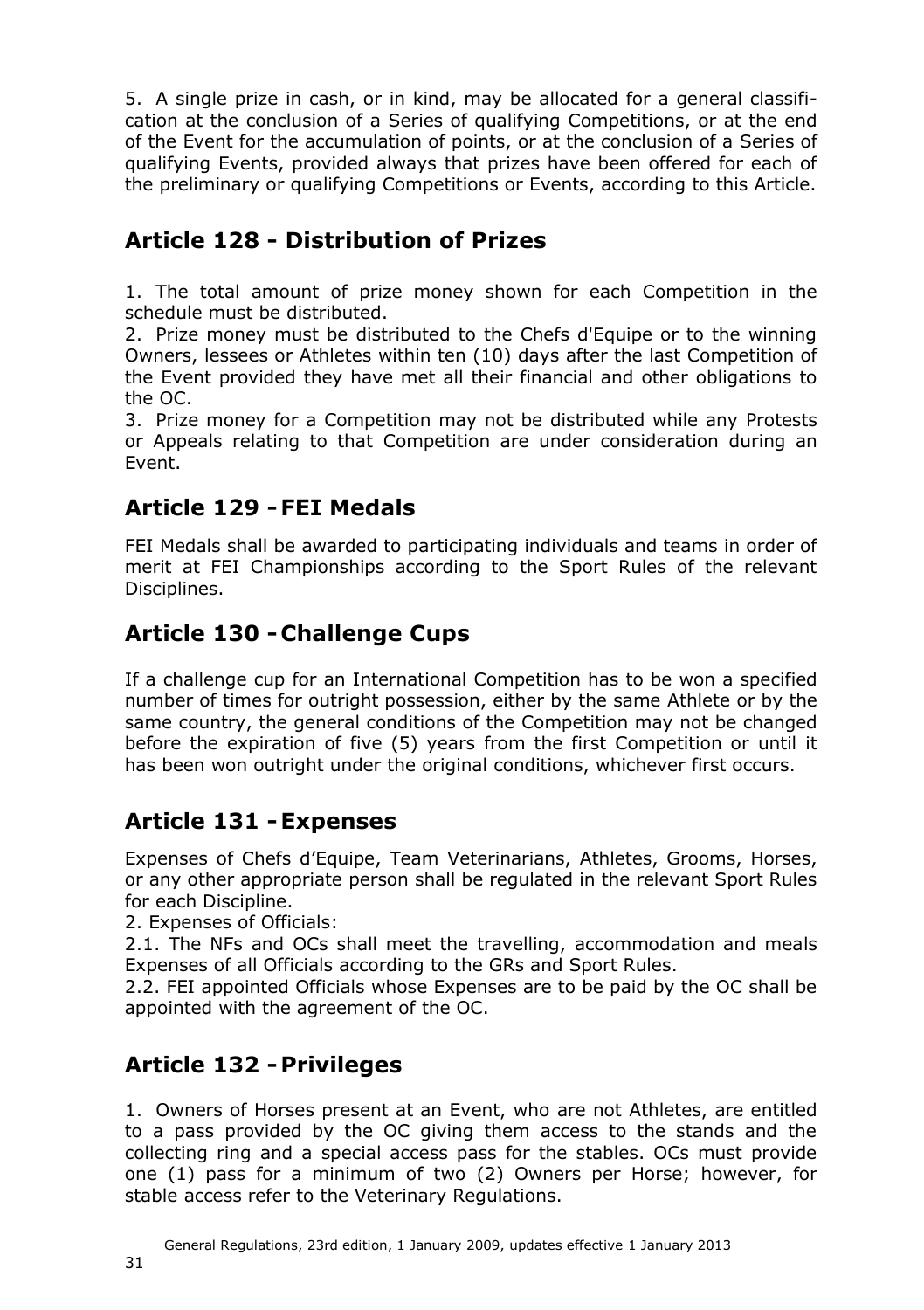5. A single prize in cash, or in kind, may be allocated for a general classification at the conclusion of a Series of qualifying Competitions, or at the end of the Event for the accumulation of points, or at the conclusion of a Series of qualifying Events, provided always that prizes have been offered for each of the preliminary or qualifying Competitions or Events, according to this Article.

### <span id="page-30-0"></span>**Article 128 - Distribution of Prizes**

1. The total amount of prize money shown for each Competition in the schedule must be distributed.

2. Prize money must be distributed to the Chefs d'Equipe or to the winning Owners, lessees or Athletes within ten (10) days after the last Competition of the Event provided they have met all their financial and other obligations to the OC.

3. Prize money for a Competition may not be distributed while any Protests or Appeals relating to that Competition are under consideration during an Event.

### <span id="page-30-1"></span>**Article 129 -FEI Medals**

FEI Medals shall be awarded to participating individuals and teams in order of merit at FEI Championships according to the Sport Rules of the relevant Disciplines.

### <span id="page-30-2"></span>**Article 130 - Challenge Cups**

If a challenge cup for an International Competition has to be won a specified number of times for outright possession, either by the same Athlete or by the same country, the general conditions of the Competition may not be changed before the expiration of five (5) years from the first Competition or until it has been won outright under the original conditions, whichever first occurs.

### <span id="page-30-5"></span><span id="page-30-3"></span>**Article 131 -Expenses**

Expenses of Chefs d'Equipe, Team Veterinarians, Athletes, Grooms, Horses, or any other appropriate person shall be regulated in the relevant Sport Rules for each Discipline.

2. Expenses of Officials:

2.1. The NFs and OCs shall meet the travelling, accommodation and meals Expenses of all Officials according to the GRs and Sport Rules.

2.2. FEI appointed Officials whose Expenses are to be paid by the OC shall be appointed with the agreement of the OC.

### <span id="page-30-4"></span>**Article 132 -Privileges**

1. Owners of Horses present at an Event, who are not Athletes, are entitled to a pass provided by the OC giving them access to the stands and the collecting ring and a special access pass for the stables. OCs must provide one (1) pass for a minimum of two (2) Owners per Horse; however, for stable access refer to the Veterinary Regulations.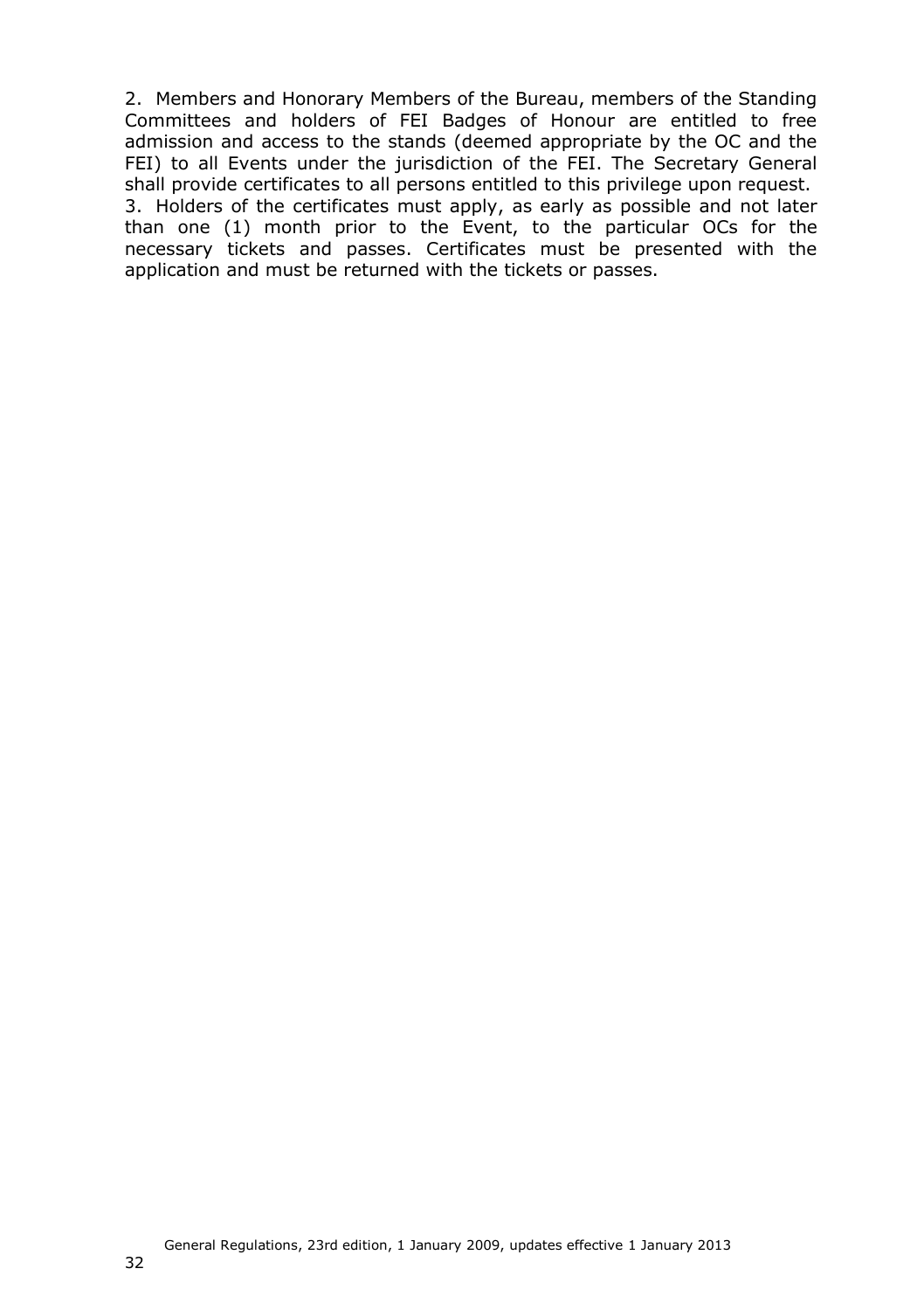<span id="page-31-0"></span>2. Members and Honorary Members of the Bureau, members of the Standing Committees and holders of FEI Badges of Honour are entitled to free admission and access to the stands (deemed appropriate by the OC and the FEI) to all Events under the jurisdiction of the FEI. The Secretary General shall provide certificates to all persons entitled to this privilege upon request. 3. Holders of the certificates must apply, as early as possible and not later than one (1) month prior to the Event, to the particular OCs for the necessary tickets and passes. Certificates must be presented with the application and must be returned with the tickets or passes.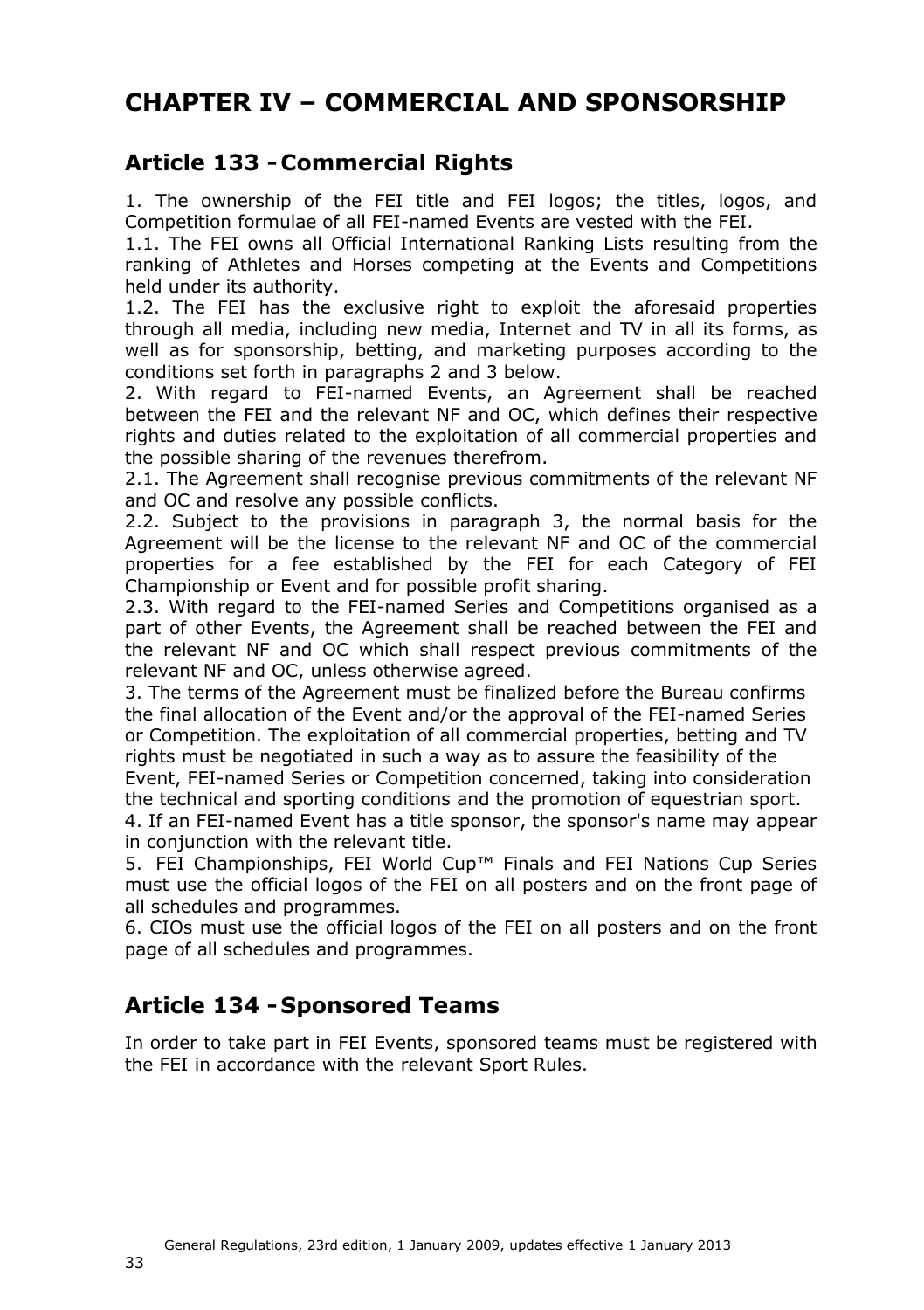# **CHAPTER IV – COMMERCIAL AND SPONSORSHIP**

### <span id="page-32-0"></span>**Article 133 - Commercial Rights**

1. The ownership of the FEI title and FEI logos; the titles, logos, and Competition formulae of all FEI-named Events are vested with the FEI.

1.1. The FEI owns all Official International Ranking Lists resulting from the ranking of Athletes and Horses competing at the Events and Competitions held under its authority.

1.2. The FEI has the exclusive right to exploit the aforesaid properties through all media, including new media, Internet and TV in all its forms, as well as for sponsorship, betting, and marketing purposes according to the conditions set forth in paragraphs 2 and 3 below.

2. With regard to FEI-named Events, an Agreement shall be reached between the FEI and the relevant NF and OC, which defines their respective rights and duties related to the exploitation of all commercial properties and the possible sharing of the revenues therefrom.

2.1. The Agreement shall recognise previous commitments of the relevant NF and OC and resolve any possible conflicts.

2.2. Subject to the provisions in paragraph 3, the normal basis for the Agreement will be the license to the relevant NF and OC of the commercial properties for a fee established by the FEI for each Category of FEI Championship or Event and for possible profit sharing.

2.3. With regard to the FEI-named Series and Competitions organised as a part of other Events, the Agreement shall be reached between the FEI and the relevant NF and OC which shall respect previous commitments of the relevant NF and OC, unless otherwise agreed.

3. The terms of the Agreement must be finalized before the Bureau confirms the final allocation of the Event and/or the approval of the FEI-named Series or Competition. The exploitation of all commercial properties, betting and TV rights must be negotiated in such a way as to assure the feasibility of the

Event, FEI-named Series or Competition concerned, taking into consideration the technical and sporting conditions and the promotion of equestrian sport.

4. If an FEI-named Event has a title sponsor, the sponsor's name may appear in conjunction with the relevant title.

5. FEI Championships, FEI World Cup™ Finals and FEI Nations Cup Series must use the official logos of the FEI on all posters and on the front page of all schedules and programmes.

6. CIOs must use the official logos of the FEI on all posters and on the front page of all schedules and programmes.

### <span id="page-32-1"></span>**Article 134 - Sponsored Teams**

In order to take part in FEI Events, sponsored teams must be registered with the FEI in accordance with the relevant Sport Rules.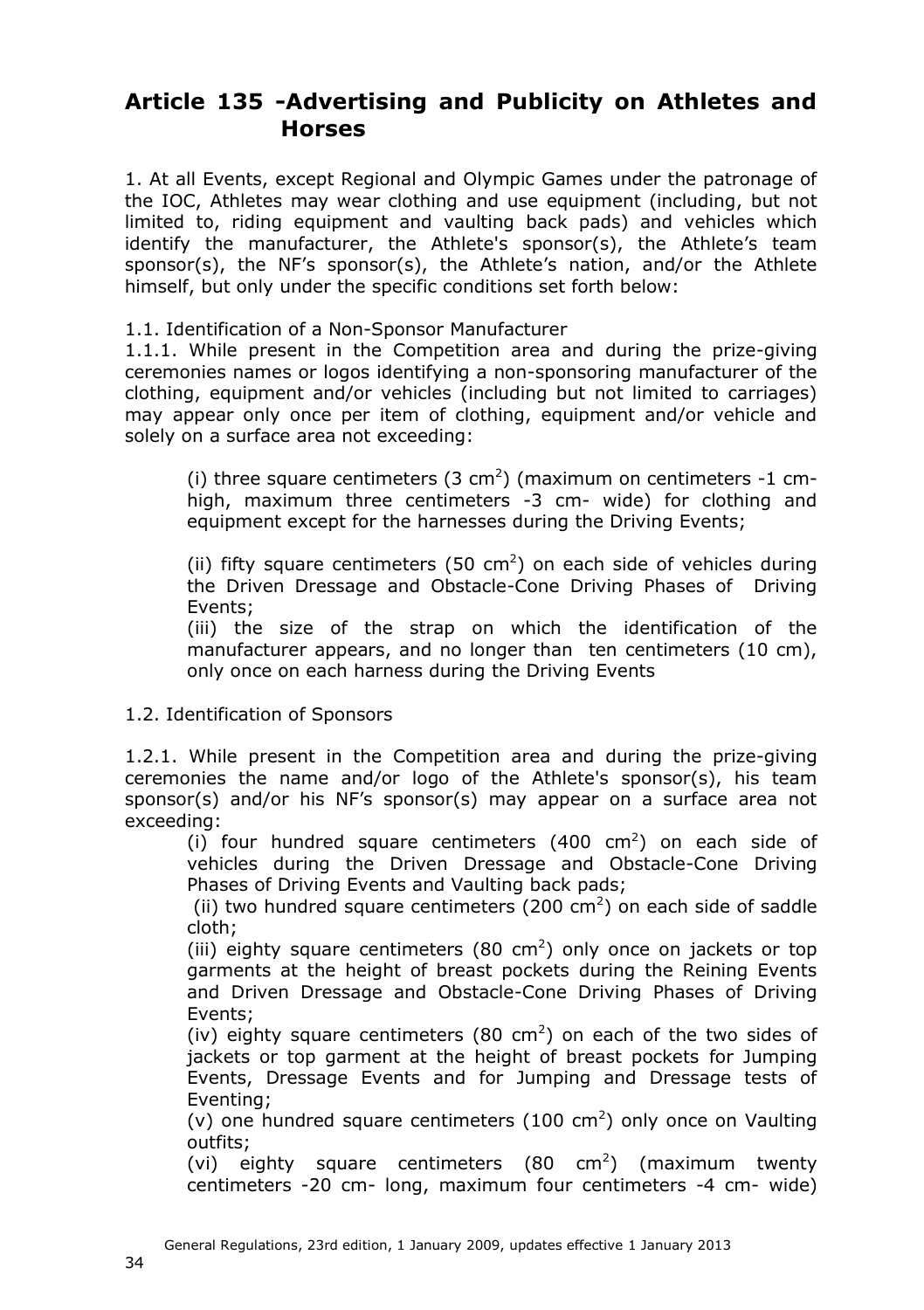### <span id="page-33-0"></span>**Article 135 -Advertising and Publicity on Athletes and Horses**

1. At all Events, except Regional and Olympic Games under the patronage of the IOC, Athletes may wear clothing and use equipment (including, but not limited to, riding equipment and vaulting back pads) and vehicles which identify the manufacturer, the Athlete's sponsor(s), the Athlete's team sponsor(s), the NF's sponsor(s), the Athlete's nation, and/or the Athlete himself, but only under the specific conditions set forth below:

1.1. Identification of a Non-Sponsor Manufacturer

1.1.1. While present in the Competition area and during the prize-giving ceremonies names or logos identifying a non-sponsoring manufacturer of the clothing, equipment and/or vehicles (including but not limited to carriages) may appear only once per item of clothing, equipment and/or vehicle and solely on a surface area not exceeding:

(i) three square centimeters  $(3 \text{ cm}^2)$  (maximum on centimeters -1 cmhigh, maximum three centimeters -3 cm- wide) for clothing and equipment except for the harnesses during the Driving Events;

(ii) fifty square centimeters (50 cm<sup>2</sup>) on each side of vehicles during the Driven Dressage and Obstacle-Cone Driving Phases of Driving Events;

(iii) the size of the strap on which the identification of the manufacturer appears, and no longer than ten centimeters (10 cm), only once on each harness during the Driving Events

#### 1.2. Identification of Sponsors

1.2.1. While present in the Competition area and during the prize-giving ceremonies the name and/or logo of the Athlete's sponsor(s), his team sponsor(s) and/or his NF's sponsor(s) may appear on a surface area not exceeding:

(i) four hundred square centimeters  $(400 \text{ cm}^2)$  on each side of vehicles during the Driven Dressage and Obstacle-Cone Driving Phases of Driving Events and Vaulting back pads;

(ii) two hundred square centimeters (200 cm<sup>2</sup>) on each side of saddle cloth;

(iii) eighty square centimeters (80 cm<sup>2</sup>) only once on jackets or top garments at the height of breast pockets during the Reining Events and Driven Dressage and Obstacle-Cone Driving Phases of Driving Events;

(iv) eighty square centimeters (80 cm<sup>2</sup>) on each of the two sides of jackets or top garment at the height of breast pockets for Jumping Events, Dressage Events and for Jumping and Dressage tests of Eventing;

(v) one hundred square centimeters  $(100 \text{ cm}^2)$  only once on Vaulting outfits;

(vi) eighty square centimeters  $(80 \text{ cm}^2)$  (maximum twenty centimeters -20 cm- long, maximum four centimeters -4 cm- wide)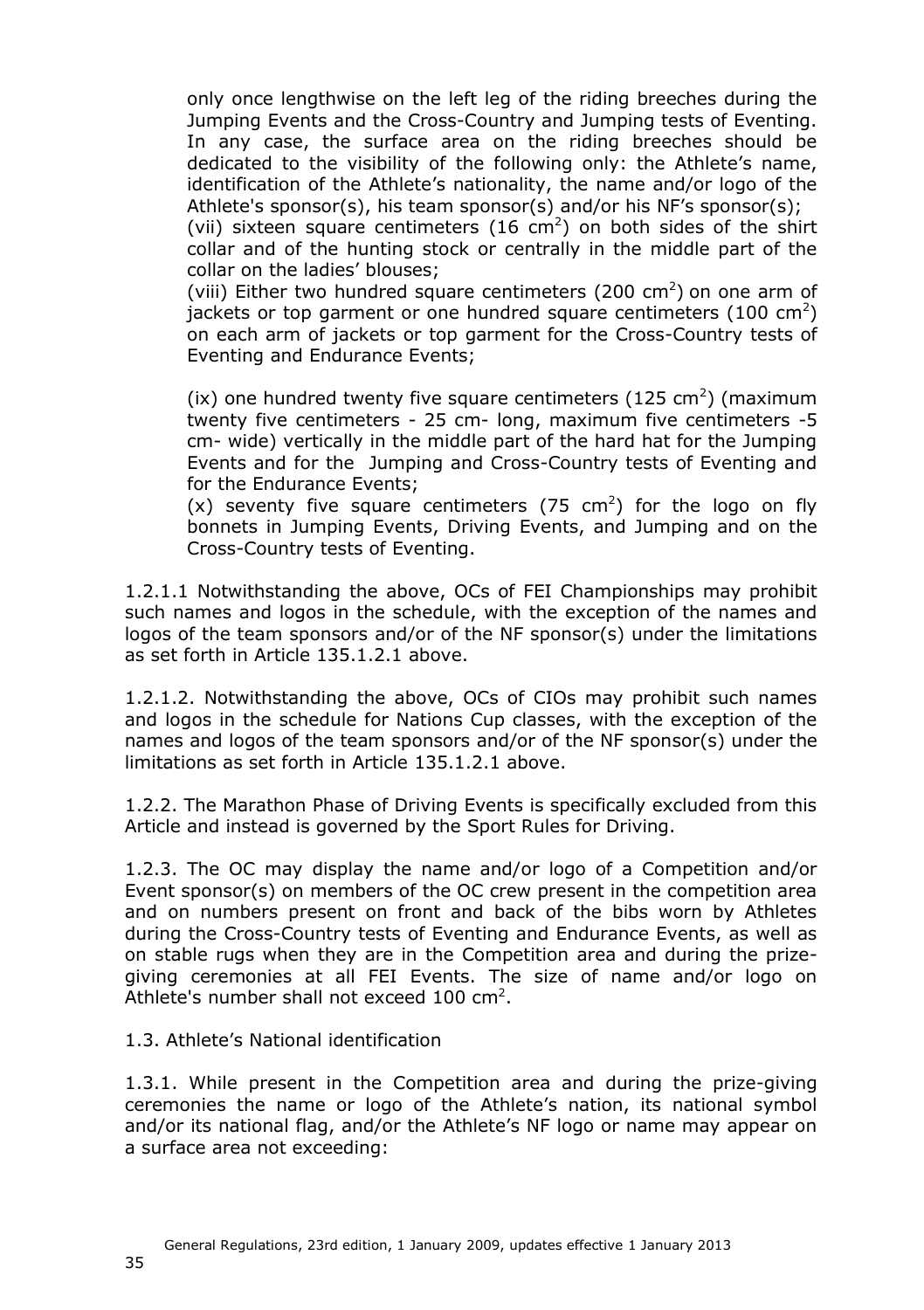only once lengthwise on the left leg of the riding breeches during the Jumping Events and the Cross-Country and Jumping tests of Eventing. In any case, the surface area on the riding breeches should be dedicated to the visibility of the following only: the Athlete's name, identification of the Athlete's nationality, the name and/or logo of the Athlete's sponsor(s), his team sponsor(s) and/or his NF's sponsor(s);

(vii) sixteen square centimeters (16 cm<sup>2</sup>) on both sides of the shirt collar and of the hunting stock or centrally in the middle part of the collar on the ladies' blouses;

(viii) Either two hundred square centimeters (200  $\text{cm}^2$ ) on one arm of jackets or top garment or one hundred square centimeters (100 cm<sup>2</sup>) on each arm of jackets or top garment for the Cross-Country tests of Eventing and Endurance Events;

(ix) one hundred twenty five square centimeters (125 cm<sup>2</sup>) (maximum twenty five centimeters - 25 cm- long, maximum five centimeters -5 cm- wide) vertically in the middle part of the hard hat for the Jumping Events and for the Jumping and Cross-Country tests of Eventing and for the Endurance Events;

 $(x)$  seventy five square centimeters (75 cm<sup>2</sup>) for the logo on fly bonnets in Jumping Events, Driving Events, and Jumping and on the Cross-Country tests of Eventing.

1.2.1.1 Notwithstanding the above, OCs of FEI Championships may prohibit such names and logos in the schedule, with the exception of the names and logos of the team sponsors and/or of the NF sponsor(s) under the limitations as set forth in Article 135.1.2.1 above.

1.2.1.2. Notwithstanding the above, OCs of CIOs may prohibit such names and logos in the schedule for Nations Cup classes, with the exception of the names and logos of the team sponsors and/or of the NF sponsor(s) under the limitations as set forth in Article 135.1.2.1 above.

1.2.2. The Marathon Phase of Driving Events is specifically excluded from this Article and instead is governed by the Sport Rules for Driving.

1.2.3. The OC may display the name and/or logo of a Competition and/or Event sponsor(s) on members of the OC crew present in the competition area and on numbers present on front and back of the bibs worn by Athletes during the Cross-Country tests of Eventing and Endurance Events, as well as on stable rugs when they are in the Competition area and during the prizegiving ceremonies at all FEI Events. The size of name and/or logo on Athlete's number shall not exceed 100 cm<sup>2</sup>.

1.3. Athlete's National identification

1.3.1. While present in the Competition area and during the prize-giving ceremonies the name or logo of the Athlete's nation, its national symbol and/or its national flag, and/or the Athlete's NF logo or name may appear on a surface area not exceeding: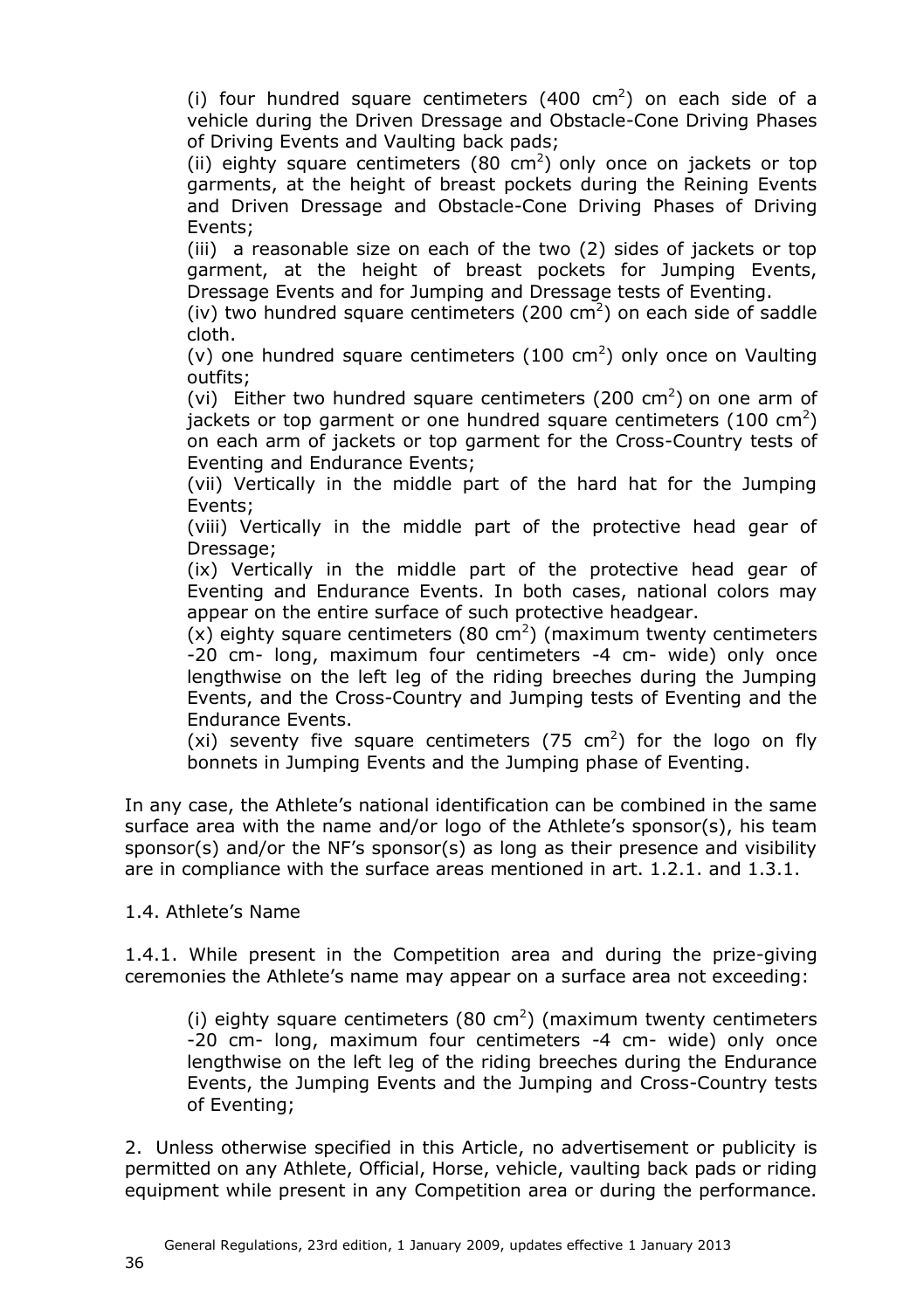(i) four hundred square centimeters  $(400 \text{ cm}^2)$  on each side of a vehicle during the Driven Dressage and Obstacle-Cone Driving Phases of Driving Events and Vaulting back pads;

(ii) eighty square centimeters (80 cm<sup>2</sup>) only once on jackets or top garments, at the height of breast pockets during the Reining Events and Driven Dressage and Obstacle-Cone Driving Phases of Driving Events;

(iii) a reasonable size on each of the two (2) sides of jackets or top garment, at the height of breast pockets for Jumping Events, Dressage Events and for Jumping and Dressage tests of Eventing.

(iv) two hundred square centimeters (200  $\text{cm}^2$ ) on each side of saddle cloth.

(v) one hundred square centimeters  $(100 \text{ cm}^2)$  only once on Vaulting outfits;

(vi) Either two hundred square centimeters (200 cm<sup>2</sup>) on one arm of jackets or top garment or one hundred square centimeters (100 cm<sup>2</sup>) on each arm of jackets or top garment for the Cross-Country tests of Eventing and Endurance Events;

(vii) Vertically in the middle part of the hard hat for the Jumping Events;

(viii) Vertically in the middle part of the protective head gear of Dressage;

(ix) Vertically in the middle part of the protective head gear of Eventing and Endurance Events. In both cases, national colors may appear on the entire surface of such protective headgear.

(x) eighty square centimeters (80 cm<sup>2</sup>) (maximum twenty centimeters -20 cm- long, maximum four centimeters -4 cm- wide) only once lengthwise on the left leg of the riding breeches during the Jumping Events, and the Cross-Country and Jumping tests of Eventing and the Endurance Events.

(xi) seventy five square centimeters (75 cm<sup>2</sup>) for the logo on fly bonnets in Jumping Events and the Jumping phase of Eventing.

In any case, the Athlete's national identification can be combined in the same surface area with the name and/or logo of the Athlete's sponsor(s), his team sponsor(s) and/or the NF's sponsor(s) as long as their presence and visibility are in compliance with the surface areas mentioned in art. 1.2.1. and 1.3.1.

1.4. Athlete's Name

1.4.1. While present in the Competition area and during the prize-giving ceremonies the Athlete's name may appear on a surface area not exceeding:

(i) eighty square centimeters (80 cm<sup>2</sup>) (maximum twenty centimeters -20 cm- long, maximum four centimeters -4 cm- wide) only once lengthwise on the left leg of the riding breeches during the Endurance Events, the Jumping Events and the Jumping and Cross-Country tests of Eventing;

2. Unless otherwise specified in this Article, no advertisement or publicity is permitted on any Athlete, Official, Horse, vehicle, vaulting back pads or riding equipment while present in any Competition area or during the performance.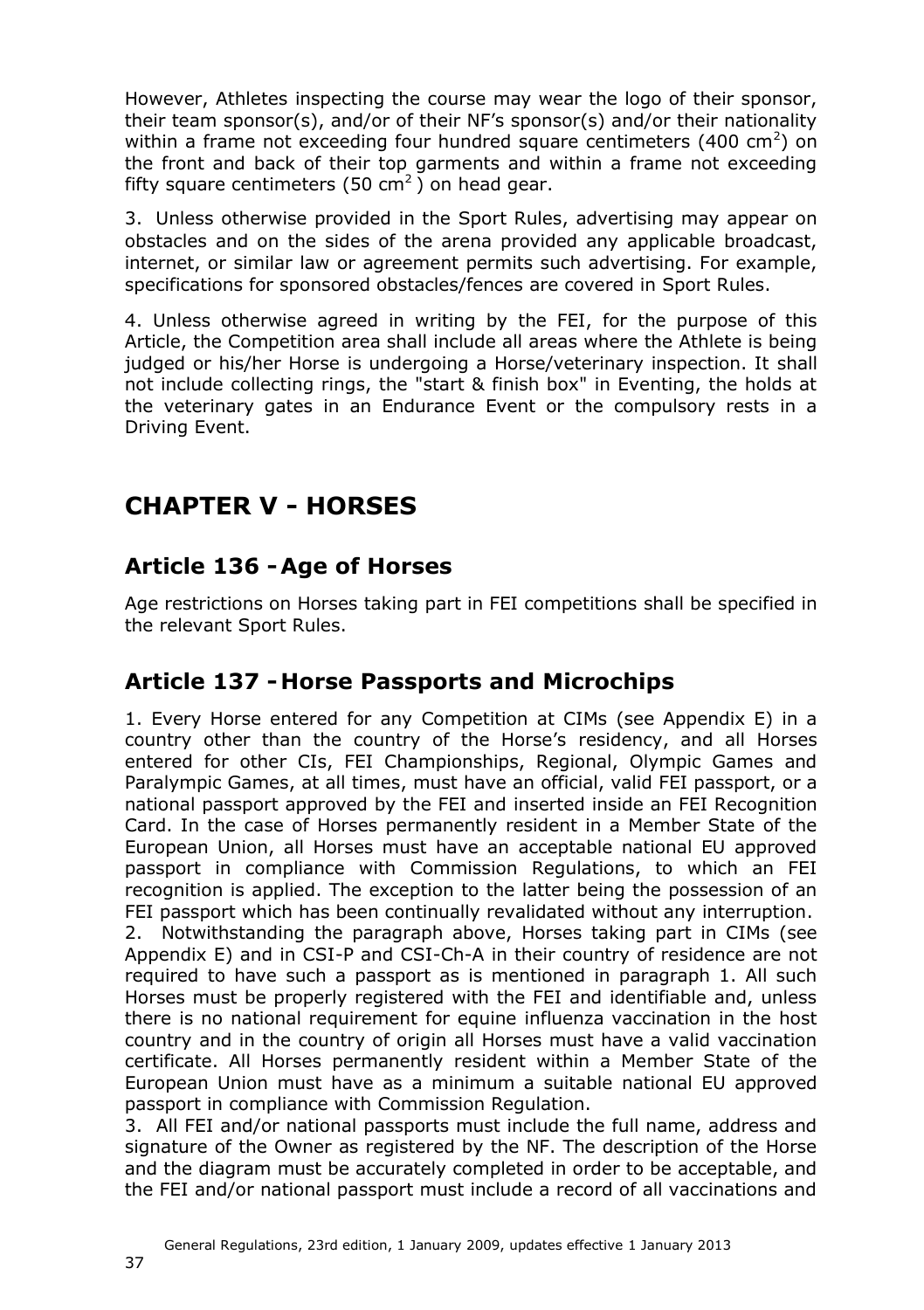However, Athletes inspecting the course may wear the logo of their sponsor, their team sponsor(s), and/or of their NF's sponsor(s) and/or their nationality within a frame not exceeding four hundred square centimeters (400 cm<sup>2</sup>) on the front and back of their top garments and within a frame not exceeding fifty square centimeters (50  $\text{cm}^2$ ) on head gear.

3. Unless otherwise provided in the Sport Rules, advertising may appear on obstacles and on the sides of the arena provided any applicable broadcast, internet, or similar law or agreement permits such advertising. For example, specifications for sponsored obstacles/fences are covered in Sport Rules.

4. Unless otherwise agreed in writing by the FEI, for the purpose of this Article, the Competition area shall include all areas where the Athlete is being judged or his/her Horse is undergoing a Horse/veterinary inspection. It shall not include collecting rings, the "start & finish box" in Eventing, the holds at the veterinary gates in an Endurance Event or the compulsory rests in a Driving Event.

# <span id="page-36-3"></span><span id="page-36-0"></span>**CHAPTER V - HORSES**

### <span id="page-36-1"></span>**Article 136 -Age of Horses**

Age restrictions on Horses taking part in FEI competitions shall be specified in the relevant Sport Rules.

### <span id="page-36-2"></span>**Article 137 - Horse Passports and Microchips**

1. Every Horse entered for any Competition at CIMs (see Appendix E) in a country other than the country of the Horse's residency, and all Horses entered for other CIs, FEI Championships, Regional, Olympic Games and Paralympic Games, at all times, must have an official, valid FEI passport, or a national passport approved by the FEI and inserted inside an FEI Recognition Card. In the case of Horses permanently resident in a Member State of the European Union, all Horses must have an acceptable national EU approved passport in compliance with Commission Regulations, to which an FEI recognition is applied. The exception to the latter being the possession of an FEI passport which has been continually revalidated without any interruption. 2. Notwithstanding the paragraph above, Horses taking part in CIMs (see

Appendix E) and in CSI-P and CSI-Ch-A in their country of residence are not required to have such a passport as is mentioned in paragraph 1. All such Horses must be properly registered with the FEI and identifiable and, unless there is no national requirement for equine influenza vaccination in the host country and in the country of origin all Horses must have a valid vaccination certificate. All Horses permanently resident within a Member State of the European Union must have as a minimum a suitable national EU approved passport in compliance with Commission Regulation.

3. All FEI and/or national passports must include the full name, address and signature of the Owner as registered by the NF. The description of the Horse and the diagram must be accurately completed in order to be acceptable, and the FEI and/or national passport must include a record of all vaccinations and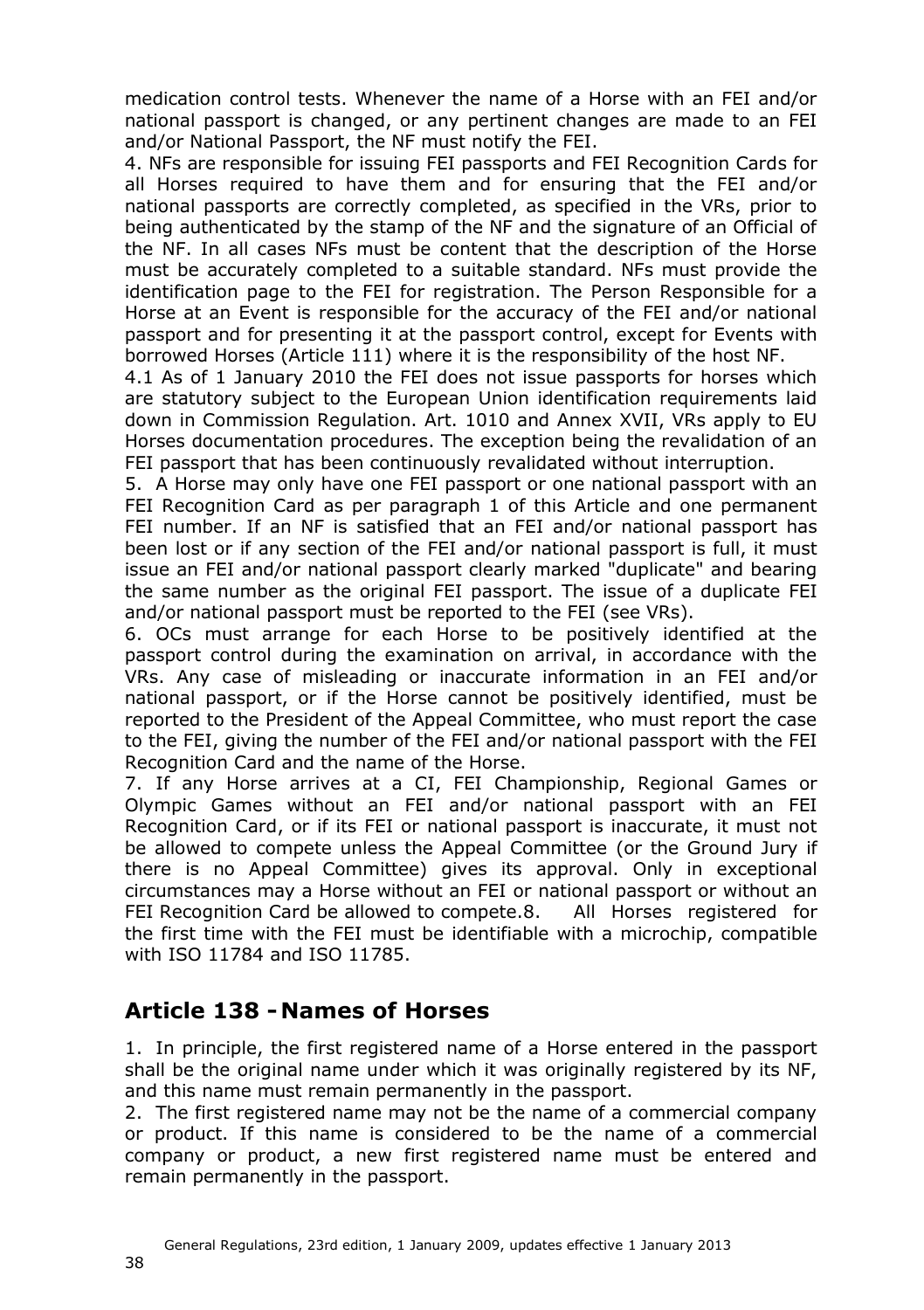medication control tests. Whenever the name of a Horse with an FEI and/or national passport is changed, or any pertinent changes are made to an FEI and/or National Passport, the NF must notify the FEI.

4. NFs are responsible for issuing FEI passports and FEI Recognition Cards for all Horses required to have them and for ensuring that the FEI and/or national passports are correctly completed, as specified in the VRs, prior to being authenticated by the stamp of the NF and the signature of an Official of the NF. In all cases NFs must be content that the description of the Horse must be accurately completed to a suitable standard. NFs must provide the identification page to the FEI for registration. The Person Responsible for a Horse at an Event is responsible for the accuracy of the FEI and/or national passport and for presenting it at the passport control, except for Events with borrowed Horses (Article 111) where it is the responsibility of the host NF.

4.1 As of 1 January 2010 the FEI does not issue passports for horses which are statutory subject to the European Union identification requirements laid down in Commission Regulation. Art. 1010 and Annex XVII, VRs apply to EU Horses documentation procedures. The exception being the revalidation of an FEI passport that has been continuously revalidated without interruption.

5. A Horse may only have one FEI passport or one national passport with an FEI Recognition Card as per paragraph 1 of this Article and one permanent FEI number. If an NF is satisfied that an FEI and/or national passport has been lost or if any section of the FEI and/or national passport is full, it must issue an FEI and/or national passport clearly marked "duplicate" and bearing the same number as the original FEI passport. The issue of a duplicate FEI and/or national passport must be reported to the FEI (see VRs).

6. OCs must arrange for each Horse to be positively identified at the passport control during the examination on arrival, in accordance with the VRs. Any case of misleading or inaccurate information in an FEI and/or national passport, or if the Horse cannot be positively identified, must be reported to the President of the Appeal Committee, who must report the case to the FEI, giving the number of the FEI and/or national passport with the FEI Recognition Card and the name of the Horse.

7. If any Horse arrives at a CI, FEI Championship, Regional Games or Olympic Games without an FEI and/or national passport with an FEI Recognition Card, or if its FEI or national passport is inaccurate, it must not be allowed to compete unless the Appeal Committee (or the Ground Jury if there is no Appeal Committee) gives its approval. Only in exceptional circumstances may a Horse without an FEI or national passport or without an FEI Recognition Card be allowed to compete.8. All Horses registered for the first time with the FEI must be identifiable with a microchip, compatible with ISO 11784 and ISO 11785.

#### <span id="page-37-0"></span>**Article 138 - Names of Horses**

1. In principle, the first registered name of a Horse entered in the passport shall be the original name under which it was originally registered by its NF, and this name must remain permanently in the passport.

2. The first registered name may not be the name of a commercial company or product. If this name is considered to be the name of a commercial company or product, a new first registered name must be entered and remain permanently in the passport.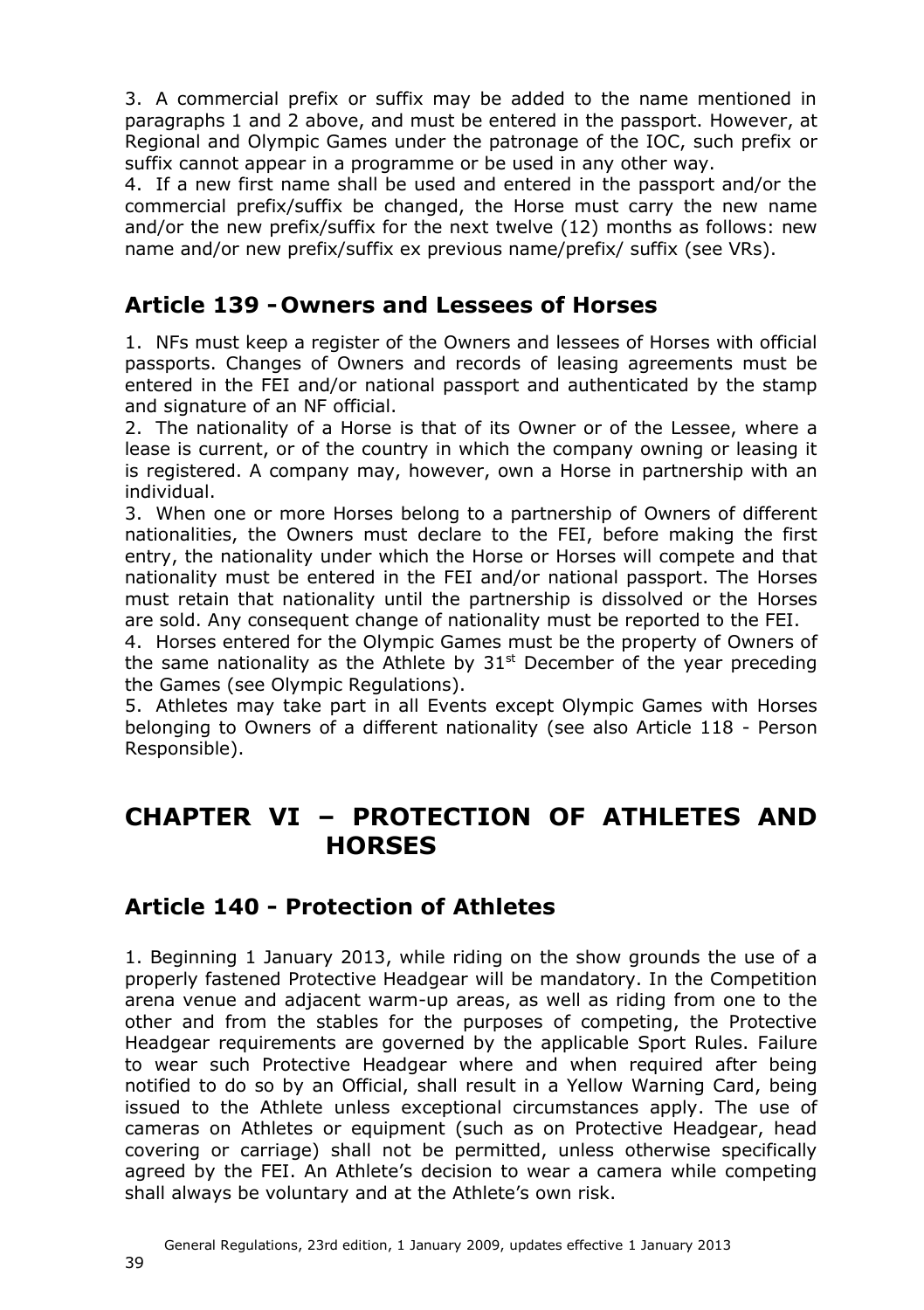3. A commercial prefix or suffix may be added to the name mentioned in paragraphs 1 and 2 above, and must be entered in the passport. However, at Regional and Olympic Games under the patronage of the IOC, such prefix or suffix cannot appear in a programme or be used in any other way.

4. If a new first name shall be used and entered in the passport and/or the commercial prefix/suffix be changed, the Horse must carry the new name and/or the new prefix/suffix for the next twelve (12) months as follows: new name and/or new prefix/suffix ex previous name/prefix/ suffix (see VRs).

#### <span id="page-38-0"></span>**Article 139 - Owners and Lessees of Horses**

1. NFs must keep a register of the Owners and lessees of Horses with official passports. Changes of Owners and records of leasing agreements must be entered in the FEI and/or national passport and authenticated by the stamp and signature of an NF official.

2. The nationality of a Horse is that of its Owner or of the Lessee, where a lease is current, or of the country in which the company owning or leasing it is registered. A company may, however, own a Horse in partnership with an individual.

3. When one or more Horses belong to a partnership of Owners of different nationalities, the Owners must declare to the FEI, before making the first entry, the nationality under which the Horse or Horses will compete and that nationality must be entered in the FEI and/or national passport. The Horses must retain that nationality until the partnership is dissolved or the Horses are sold. Any consequent change of nationality must be reported to the FEI.

4. Horses entered for the Olympic Games must be the property of Owners of the same nationality as the Athlete by  $31<sup>st</sup>$  December of the year preceding the Games (see Olympic Regulations).

5. Athletes may take part in all Events except Olympic Games with Horses belonging to Owners of a different nationality (see also Article [118](#page-23-1) - Person Responsible).

## <span id="page-38-1"></span>**CHAPTER VI – PROTECTION OF ATHLETES AND HORSES**

### <span id="page-38-2"></span>**Article 140 - Protection of Athletes**

1. Beginning 1 January 2013, while riding on the show grounds the use of a properly fastened Protective Headgear will be mandatory. In the Competition arena venue and adjacent warm-up areas, as well as riding from one to the other and from the stables for the purposes of competing, the Protective Headgear requirements are governed by the applicable Sport Rules. Failure to wear such Protective Headgear where and when required after being notified to do so by an Official, shall result in a Yellow Warning Card, being issued to the Athlete unless exceptional circumstances apply. The use of cameras on Athletes or equipment (such as on Protective Headgear, head covering or carriage) shall not be permitted, unless otherwise specifically agreed by the FEI. An Athlete's decision to wear a camera while competing shall always be voluntary and at the Athlete's own risk.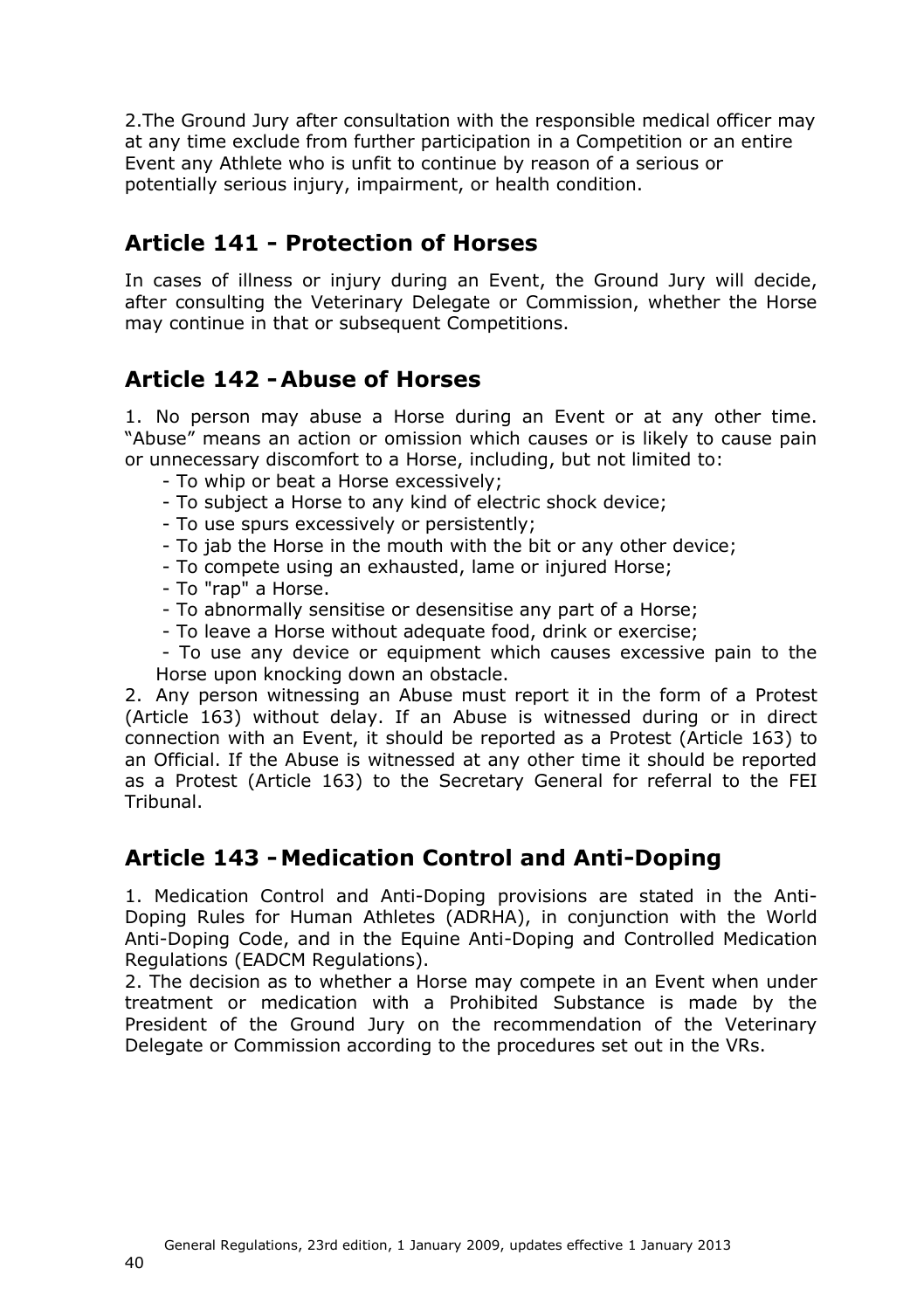2.The Ground Jury after consultation with the responsible medical officer may at any time exclude from further participation in a Competition or an entire Event any Athlete who is unfit to continue by reason of a serious or potentially serious injury, impairment, or health condition.

### <span id="page-39-0"></span>**Article 141 - Protection of Horses**

In cases of illness or injury during an Event, the Ground Jury will decide, after consulting the Veterinary Delegate or Commission, whether the Horse may continue in that or subsequent Competitions.

### <span id="page-39-1"></span>**Article 142 -Abuse of Horses**

1. No person may abuse a Horse during an Event or at any other time. "Abuse" means an action or omission which causes or is likely to cause pain or unnecessary discomfort to a Horse, including, but not limited to:

- To whip or beat a Horse excessively;
- To subject a Horse to any kind of electric shock device;
- To use spurs excessively or persistently;
- To jab the Horse in the mouth with the bit or any other device;
- To compete using an exhausted, lame or injured Horse;
- To "rap" a Horse.
- To abnormally sensitise or desensitise any part of a Horse;
- To leave a Horse without adequate food, drink or exercise;

- To use any device or equipment which causes excessive pain to the Horse upon knocking down an obstacle.

2. Any person witnessing an Abuse must report it in the form of a Protest (Article [163\)](#page-50-3) without delay. If an Abuse is witnessed during or in direct connection with an Event, it should be reported as a Protest (Article [163\)](#page-50-3) to an Official. If the Abuse is witnessed at any other time it should be reported as a Protest (Article [163\)](#page-50-3) to the Secretary General for referral to the FEI Tribunal.

### <span id="page-39-2"></span>**Article 143 -Medication Control and Anti-Doping**

1. Medication Control and Anti-Doping provisions are stated in the Anti-Doping Rules for Human Athletes (ADRHA), in conjunction with the World Anti-Doping Code, and in the Equine Anti-Doping and Controlled Medication Regulations (EADCM Regulations).

<span id="page-39-3"></span>2. The decision as to whether a Horse may compete in an Event when under treatment or medication with a Prohibited Substance is made by the President of the Ground Jury on the recommendation of the Veterinary Delegate or Commission according to the procedures set out in the VRs.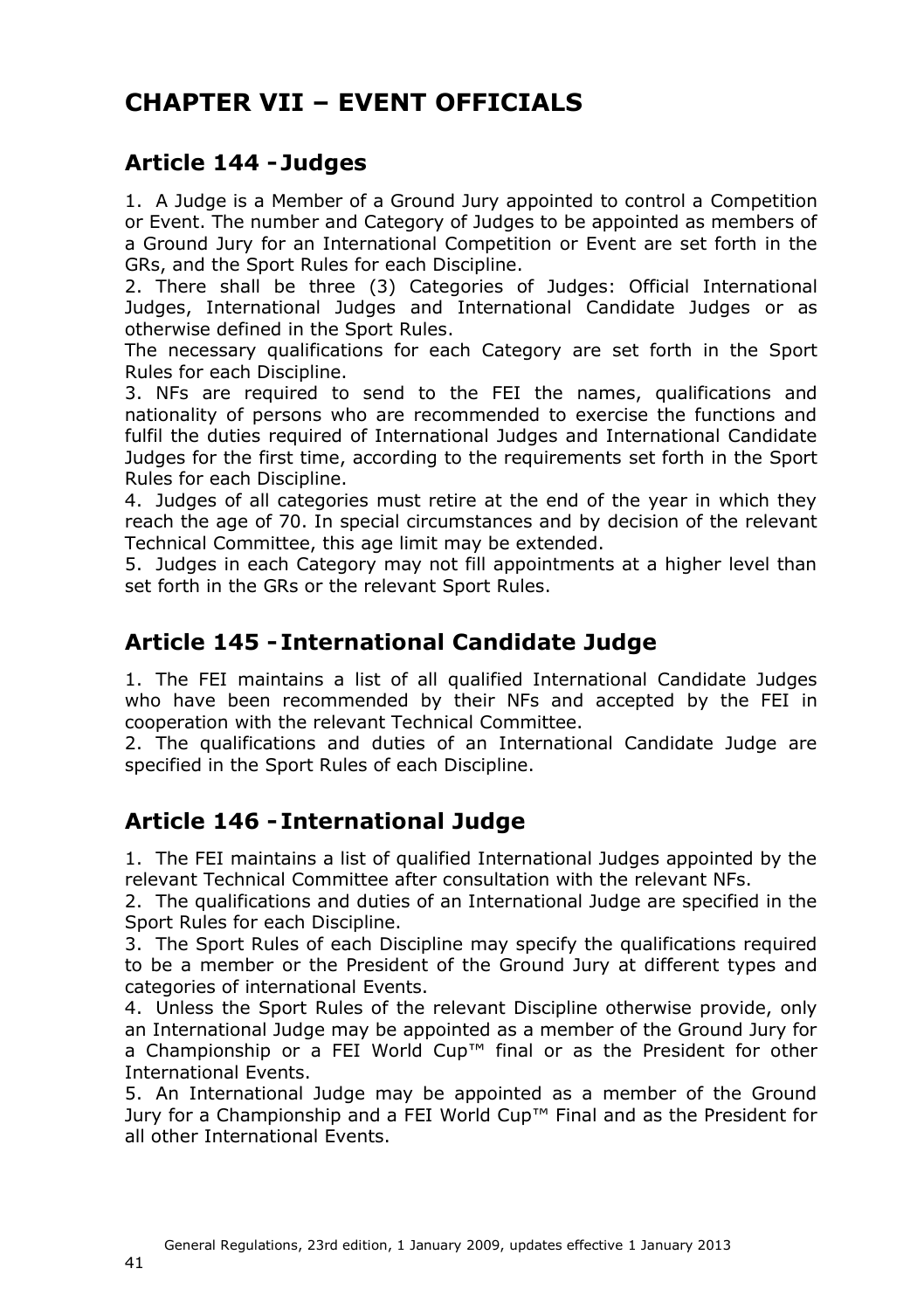# **CHAPTER VII – EVENT OFFICIALS**

### <span id="page-40-0"></span>**Article 144 - Judges**

1. A Judge is a Member of a Ground Jury appointed to control a Competition or Event. The number and Category of Judges to be appointed as members of a Ground Jury for an International Competition or Event are set forth in the GRs, and the Sport Rules for each Discipline.

2. There shall be three (3) Categories of Judges: Official International Judges, International Judges and International Candidate Judges or as otherwise defined in the Sport Rules.

The necessary qualifications for each Category are set forth in the Sport Rules for each Discipline.

3. NFs are required to send to the FEI the names, qualifications and nationality of persons who are recommended to exercise the functions and fulfil the duties required of International Judges and International Candidate Judges for the first time, according to the requirements set forth in the Sport Rules for each Discipline.

4. Judges of all categories must retire at the end of the year in which they reach the age of 70. In special circumstances and by decision of the relevant Technical Committee, this age limit may be extended.

5. Judges in each Category may not fill appointments at a higher level than set forth in the GRs or the relevant Sport Rules.

#### <span id="page-40-1"></span>**Article 145 - International Candidate Judge**

1. The FEI maintains a list of all qualified International Candidate Judges who have been recommended by their NFs and accepted by the FEI in cooperation with the relevant Technical Committee.

2. The qualifications and duties of an International Candidate Judge are specified in the Sport Rules of each Discipline.

### <span id="page-40-2"></span>**Article 146 - International Judge**

1. The FEI maintains a list of qualified International Judges appointed by the relevant Technical Committee after consultation with the relevant NFs.

2. The qualifications and duties of an International Judge are specified in the Sport Rules for each Discipline.

3. The Sport Rules of each Discipline may specify the qualifications required to be a member or the President of the Ground Jury at different types and categories of international Events.

4. Unless the Sport Rules of the relevant Discipline otherwise provide, only an International Judge may be appointed as a member of the Ground Jury for a Championship or a FEI World Cup™ final or as the President for other International Events.

<span id="page-40-3"></span>5. An International Judge may be appointed as a member of the Ground Jury for a Championship and a FEI World Cup™ Final and as the President for all other International Events.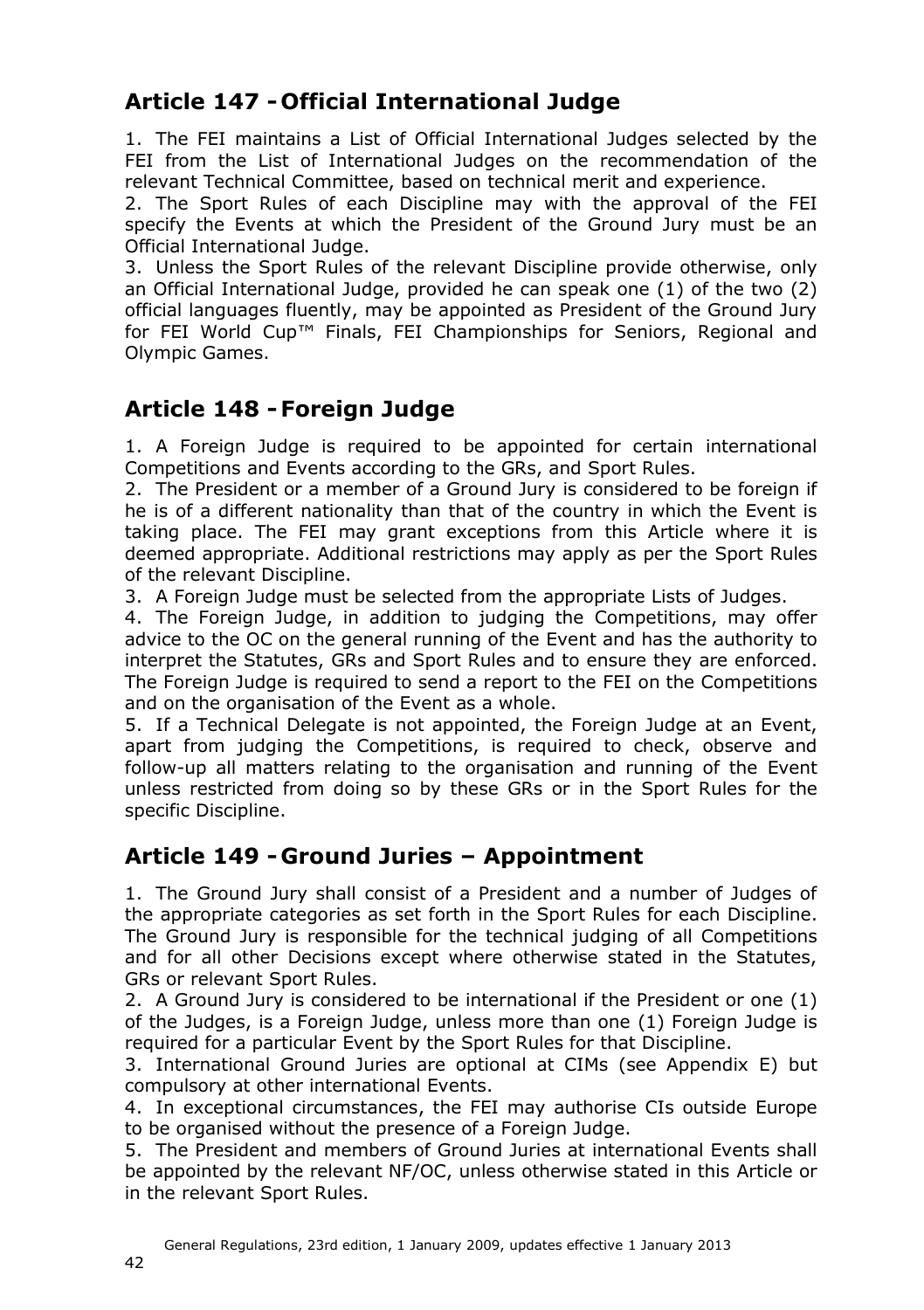## **Article 147 - Official International Judge**

1. The FEI maintains a List of Official International Judges selected by the FEI from the List of International Judges on the recommendation of the relevant Technical Committee, based on technical merit and experience.

2. The Sport Rules of each Discipline may with the approval of the FEI specify the Events at which the President of the Ground Jury must be an Official International Judge.

3. Unless the Sport Rules of the relevant Discipline provide otherwise, only an Official International Judge, provided he can speak one (1) of the two (2) official languages fluently, may be appointed as President of the Ground Jury for FEI World Cup™ Finals, FEI Championships for Seniors, Regional and Olympic Games.

### <span id="page-41-0"></span>**Article 148 -Foreign Judge**

1. A Foreign Judge is required to be appointed for certain international Competitions and Events according to the GRs, and Sport Rules.

2. The President or a member of a Ground Jury is considered to be foreign if he is of a different nationality than that of the country in which the Event is taking place. The FEI may grant exceptions from this Article where it is deemed appropriate. Additional restrictions may apply as per the Sport Rules of the relevant Discipline.

3. A Foreign Judge must be selected from the appropriate Lists of Judges.

4. The Foreign Judge, in addition to judging the Competitions, may offer advice to the OC on the general running of the Event and has the authority to interpret the Statutes, GRs and Sport Rules and to ensure they are enforced. The Foreign Judge is required to send a report to the FEI on the Competitions and on the organisation of the Event as a whole.

5. If a Technical Delegate is not appointed, the Foreign Judge at an Event, apart from judging the Competitions, is required to check, observe and follow-up all matters relating to the organisation and running of the Event unless restricted from doing so by these GRs or in the Sport Rules for the specific Discipline.

### <span id="page-41-1"></span>**Article 149 - Ground Juries – Appointment**

1. The Ground Jury shall consist of a President and a number of Judges of the appropriate categories as set forth in the Sport Rules for each Discipline. The Ground Jury is responsible for the technical judging of all Competitions and for all other Decisions except where otherwise stated in the Statutes, GRs or relevant Sport Rules.

2. A Ground Jury is considered to be international if the President or one (1) of the Judges, is a Foreign Judge, unless more than one (1) Foreign Judge is required for a particular Event by the Sport Rules for that Discipline.

3. International Ground Juries are optional at CIMs (see Appendix [E\)](#page-63-1) but compulsory at other international Events.

4. In exceptional circumstances, the FEI may authorise CIs outside Europe to be organised without the presence of a Foreign Judge.

5. The President and members of Ground Juries at international Events shall be appointed by the relevant NF/OC, unless otherwise stated in this Article or in the relevant Sport Rules.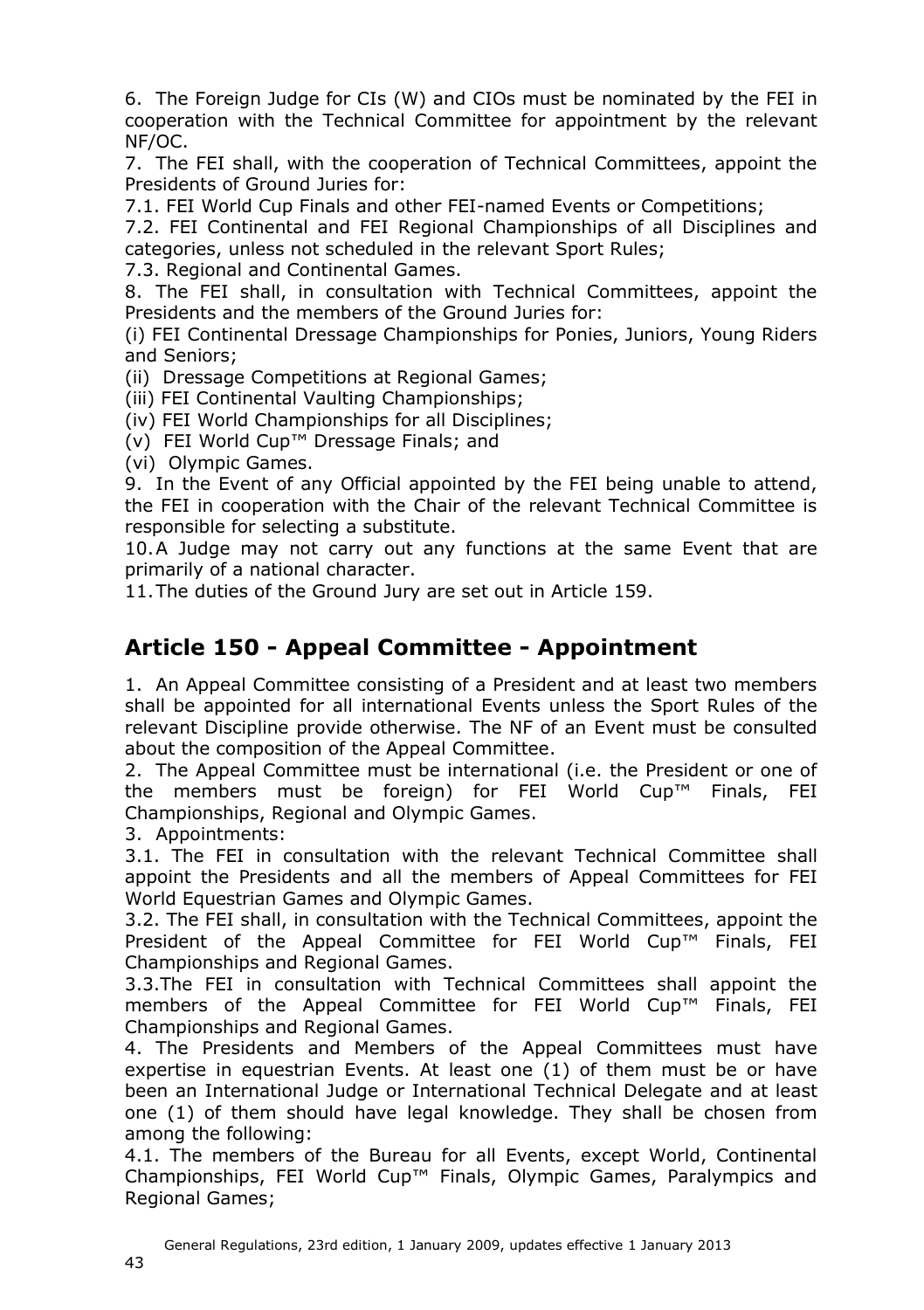6. The Foreign Judge for CIs (W) and CIOs must be nominated by the FEI in cooperation with the Technical Committee for appointment by the relevant NF/OC.

7. The FEI shall, with the cooperation of Technical Committees, appoint the Presidents of Ground Juries for:

7.1. FEI World Cup Finals and other FEI-named Events or Competitions;

7.2. FEI Continental and FEI Regional Championships of all Disciplines and categories, unless not scheduled in the relevant Sport Rules;

7.3. Regional and Continental Games.

8. The FEI shall, in consultation with Technical Committees, appoint the Presidents and the members of the Ground Juries for:

(i) FEI Continental Dressage Championships for Ponies, Juniors, Young Riders and Seniors;

(ii) Dressage Competitions at Regional Games;

(iii) FEI Continental Vaulting Championships;

(iv) FEI World Championships for all Disciplines;

(v) FEI World Cup™ Dressage Finals; and

(vi) Olympic Games.

9. In the Event of any Official appointed by the FEI being unable to attend, the FEI in cooperation with the Chair of the relevant Technical Committee is responsible for selecting a substitute.

10.A Judge may not carry out any functions at the same Event that are primarily of a national character.

11.The duties of the Ground Jury are set out in Article [159.](#page-48-1)

### <span id="page-42-0"></span>**Article 150 - Appeal Committee - Appointment**

1. An Appeal Committee consisting of a President and at least two members shall be appointed for all international Events unless the Sport Rules of the relevant Discipline provide otherwise. The NF of an Event must be consulted about the composition of the Appeal Committee.

2. The Appeal Committee must be international (i.e. the President or one of the members must be foreign) for FEI World Cup™ Finals, FEI Championships, Regional and Olympic Games.

3. Appointments:

3.1. The FEI in consultation with the relevant Technical Committee shall appoint the Presidents and all the members of Appeal Committees for FEI World Equestrian Games and Olympic Games.

3.2. The FEI shall, in consultation with the Technical Committees, appoint the President of the Appeal Committee for FEI World Cup™ Finals, FEI Championships and Regional Games.

3.3.The FEI in consultation with Technical Committees shall appoint the members of the Appeal Committee for FEI World Cup™ Finals, FEI Championships and Regional Games.

4. The Presidents and Members of the Appeal Committees must have expertise in equestrian Events. At least one (1) of them must be or have been an International Judge or International Technical Delegate and at least one (1) of them should have legal knowledge. They shall be chosen from among the following:

4.1. The members of the Bureau for all Events, except World, Continental Championships, FEI World Cup™ Finals, Olympic Games, Paralympics and Regional Games;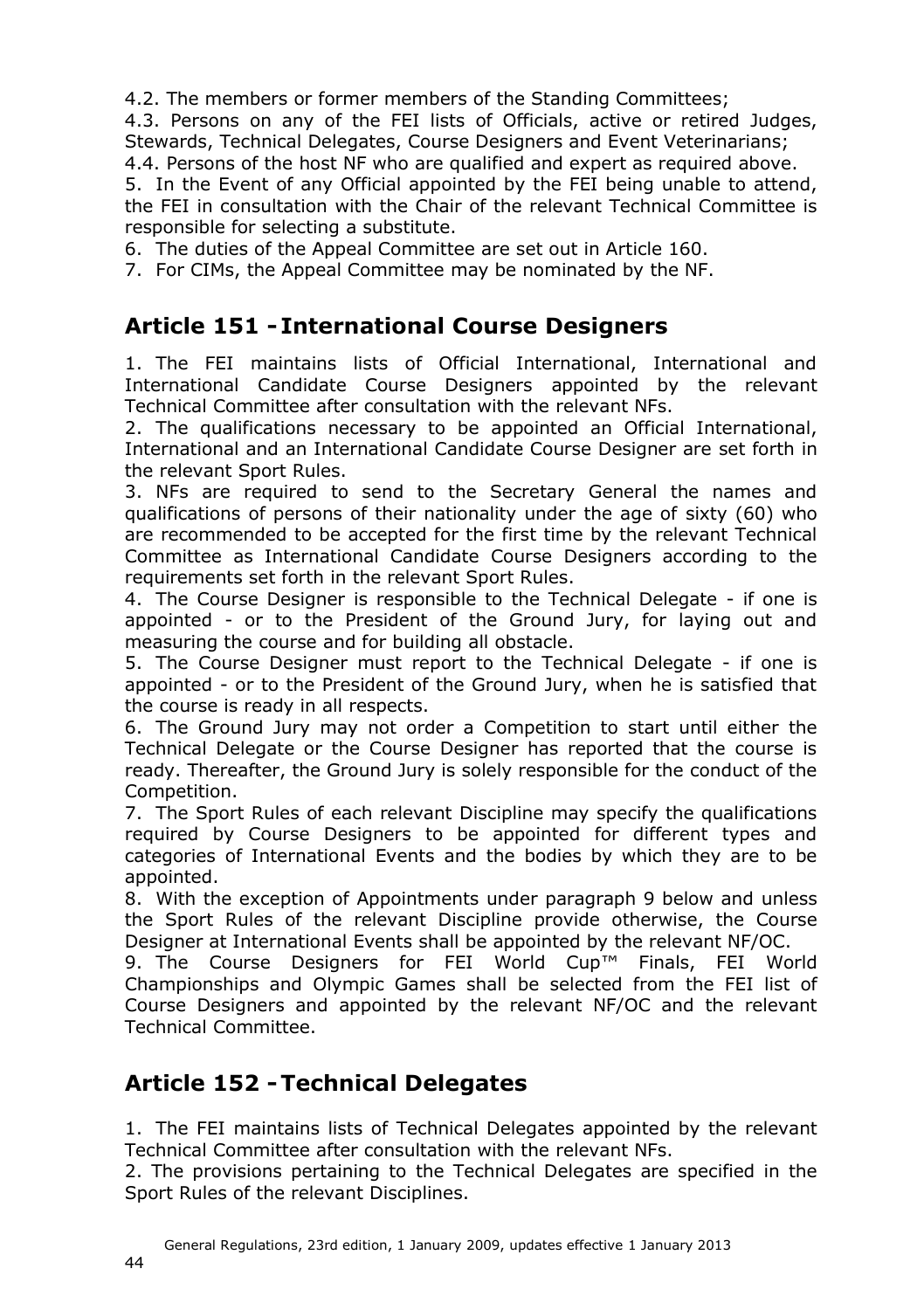4.2. The members or former members of the Standing Committees;

4.3. Persons on any of the FEI lists of Officials, active or retired Judges, Stewards, Technical Delegates, Course Designers and Event Veterinarians;

4.4. Persons of the host NF who are qualified and expert as required above.

5. In the Event of any Official appointed by the FEI being unable to attend, the FEI in consultation with the Chair of the relevant Technical Committee is responsible for selecting a substitute.

6. The duties of the Appeal Committee are set out in Article [160.](#page-49-1)

7. For CIMs, the Appeal Committee may be nominated by the NF.

## <span id="page-43-0"></span>**Article 151 - International Course Designers**

1. The FEI maintains lists of Official International, International and International Candidate Course Designers appointed by the relevant Technical Committee after consultation with the relevant NFs.

2. The qualifications necessary to be appointed an Official International, International and an International Candidate Course Designer are set forth in the relevant Sport Rules.

3. NFs are required to send to the Secretary General the names and qualifications of persons of their nationality under the age of sixty (60) who are recommended to be accepted for the first time by the relevant Technical Committee as International Candidate Course Designers according to the requirements set forth in the relevant Sport Rules.

4. The Course Designer is responsible to the Technical Delegate - if one is appointed - or to the President of the Ground Jury, for laying out and measuring the course and for building all obstacle.

5. The Course Designer must report to the Technical Delegate - if one is appointed - or to the President of the Ground Jury, when he is satisfied that the course is ready in all respects.

6. The Ground Jury may not order a Competition to start until either the Technical Delegate or the Course Designer has reported that the course is ready. Thereafter, the Ground Jury is solely responsible for the conduct of the Competition.

7. The Sport Rules of each relevant Discipline may specify the qualifications required by Course Designers to be appointed for different types and categories of International Events and the bodies by which they are to be appointed.

8. With the exception of Appointments under paragraph 9 below and unless the Sport Rules of the relevant Discipline provide otherwise, the Course Designer at International Events shall be appointed by the relevant NF/OC.

9. The Course Designers for FEI World Cup™ Finals, FEI World Championships and Olympic Games shall be selected from the FEI list of Course Designers and appointed by the relevant NF/OC and the relevant Technical Committee.

### <span id="page-43-1"></span>**Article 152 -Technical Delegates**

1. The FEI maintains lists of Technical Delegates appointed by the relevant Technical Committee after consultation with the relevant NFs.

2. The provisions pertaining to the Technical Delegates are specified in the Sport Rules of the relevant Disciplines.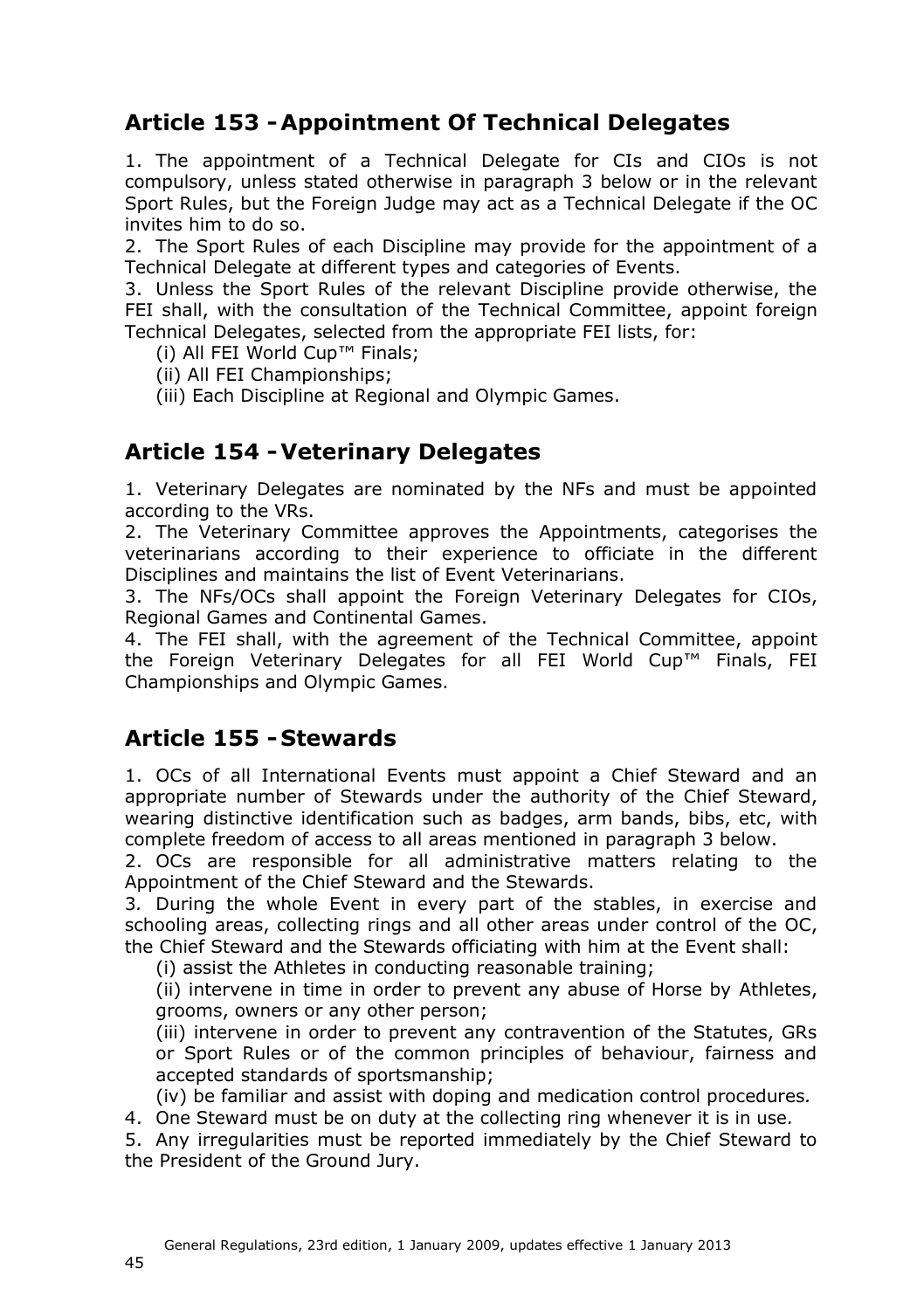### <span id="page-44-0"></span>**Article 153 -Appointment Of Technical Delegates**

1. The appointment of a Technical Delegate for CIs and CIOs is not compulsory, unless stated otherwise in paragraph 3 below or in the relevant Sport Rules, but the Foreign Judge may act as a Technical Delegate if the OC invites him to do so.

2. The Sport Rules of each Discipline may provide for the appointment of a Technical Delegate at different types and categories of Events.

3. Unless the Sport Rules of the relevant Discipline provide otherwise, the FEI shall, with the consultation of the Technical Committee, appoint foreign Technical Delegates, selected from the appropriate FEI lists, for:

(i) All FEI World Cup™ Finals;

(ii) All FEI Championships;

(iii) Each Discipline at Regional and Olympic Games.

#### <span id="page-44-1"></span>**Article 154 -Veterinary Delegates**

1. Veterinary Delegates are nominated by the NFs and must be appointed according to the VRs.

2. The Veterinary Committee approves the Appointments, categorises the veterinarians according to their experience to officiate in the different Disciplines and maintains the list of Event Veterinarians.

3. The NFs/OCs shall appoint the Foreign Veterinary Delegates for CIOs, Regional Games and Continental Games.

4. The FEI shall, with the agreement of the Technical Committee, appoint the Foreign Veterinary Delegates for all FEI World Cup™ Finals, FEI Championships and Olympic Games.

#### <span id="page-44-2"></span>**Article 155 - Stewards**

1. OCs of all International Events must appoint a Chief Steward and an appropriate number of Stewards under the authority of the Chief Steward, wearing distinctive identification such as badges, arm bands, bibs, etc, with complete freedom of access to all areas mentioned in paragraph 3 below.

2. OCs are responsible for all administrative matters relating to the Appointment of the Chief Steward and the Stewards.

3*.* During the whole Event in every part of the stables, in exercise and schooling areas, collecting rings and all other areas under control of the OC, the Chief Steward and the Stewards officiating with him at the Event shall:

(i) assist the Athletes in conducting reasonable training;

(ii) intervene in time in order to prevent any abuse of Horse by Athletes, grooms, owners or any other person;

(iii) intervene in order to prevent any contravention of the Statutes, GRs or Sport Rules or of the common principles of behaviour, fairness and accepted standards of sportsmanship;

(iv) be familiar and assist with doping and medication control procedures*.*

4. One Steward must be on duty at the collecting ring whenever it is in use*.*

5. Any irregularities must be reported immediately by the Chief Steward to the President of the Ground Jury.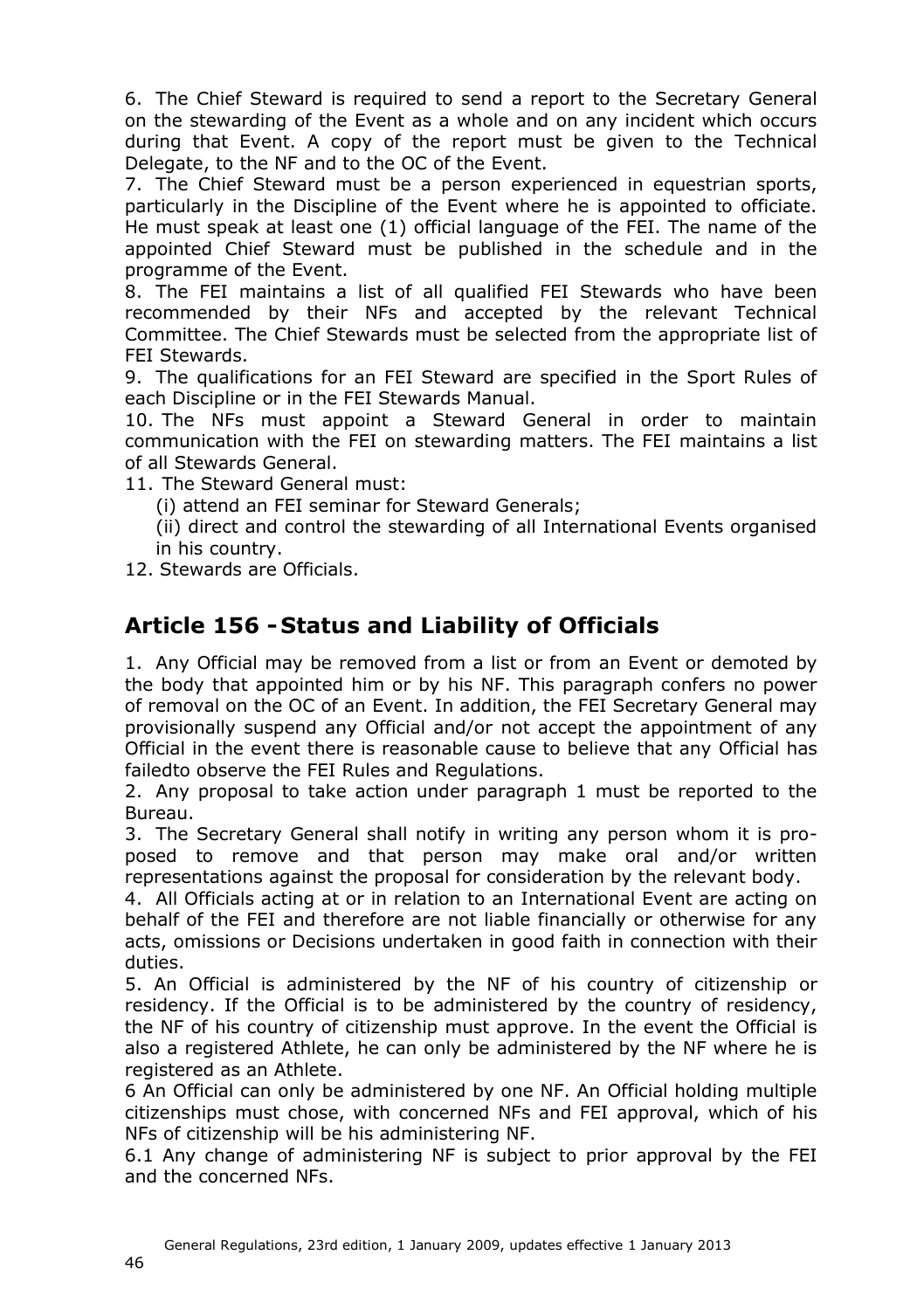6. The Chief Steward is required to send a report to the Secretary General on the stewarding of the Event as a whole and on any incident which occurs during that Event. A copy of the report must be given to the Technical Delegate, to the NF and to the OC of the Event.

7. The Chief Steward must be a person experienced in equestrian sports, particularly in the Discipline of the Event where he is appointed to officiate. He must speak at least one (1) official language of the FEI. The name of the appointed Chief Steward must be published in the schedule and in the programme of the Event.

8. The FEI maintains a list of all qualified FEI Stewards who have been recommended by their NFs and accepted by the relevant Technical Committee. The Chief Stewards must be selected from the appropriate list of FEI Stewards.

9. The qualifications for an FEI Steward are specified in the Sport Rules of each Discipline or in the FEI Stewards Manual.

10. The NFs must appoint a Steward General in order to maintain communication with the FEI on stewarding matters. The FEI maintains a list of all Stewards General.

11. The Steward General must:

(i) attend an FEI seminar for Steward Generals;

(ii) direct and control the stewarding of all International Events organised in his country.

12. Stewards are Officials.

### <span id="page-45-0"></span>**Article 156 - Status and Liability of Officials**

1. Any Official may be removed from a list or from an Event or demoted by the body that appointed him or by his NF. This paragraph confers no power of removal on the OC of an Event. In addition, the FEI Secretary General may provisionally suspend any Official and/or not accept the appointment of any Official in the event there is reasonable cause to believe that any Official has failedto observe the FEI Rules and Regulations.

2. Any proposal to take action under paragraph 1 must be reported to the Bureau.

3. The Secretary General shall notify in writing any person whom it is proposed to remove and that person may make oral and/or written representations against the proposal for consideration by the relevant body.

4. All Officials acting at or in relation to an International Event are acting on behalf of the FEI and therefore are not liable financially or otherwise for any acts, omissions or Decisions undertaken in good faith in connection with their duties.

5. An Official is administered by the NF of his country of citizenship or residency. If the Official is to be administered by the country of residency, the NF of his country of citizenship must approve. In the event the Official is also a registered Athlete, he can only be administered by the NF where he is registered as an Athlete.

6 An Official can only be administered by one NF. An Official holding multiple citizenships must chose, with concerned NFs and FEI approval, which of his NFs of citizenship will be his administering NF.

6.1 Any change of administering NF is subject to prior approval by the FEI and the concerned NFs.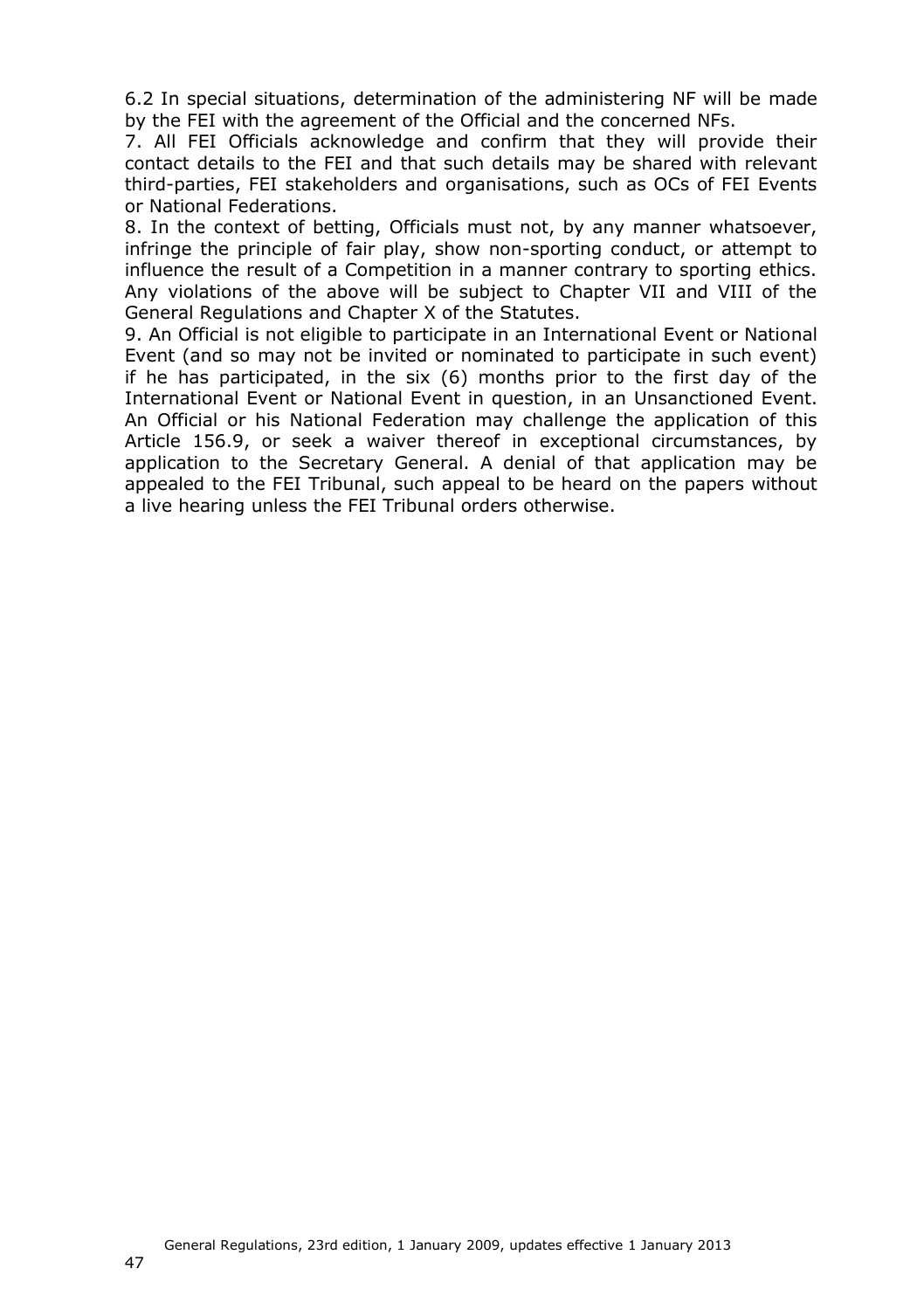6.2 In special situations, determination of the administering NF will be made by the FEI with the agreement of the Official and the concerned NFs.

7. All FEI Officials acknowledge and confirm that they will provide their contact details to the FEI and that such details may be shared with relevant third-parties, FEI stakeholders and organisations, such as OCs of FEI Events or National Federations.

8. In the context of betting, Officials must not, by any manner whatsoever, infringe the principle of fair play, show non-sporting conduct, or attempt to influence the result of a Competition in a manner contrary to sporting ethics. Any violations of the above will be subject to Chapter VII and VIII of the General Regulations and Chapter X of the Statutes.

9. An Official is not eligible to participate in an International Event or National Event (and so may not be invited or nominated to participate in such event) if he has participated, in the six (6) months prior to the first day of the International Event or National Event in question, in an Unsanctioned Event. An Official or his National Federation may challenge the application of this Article 156.9, or seek a waiver thereof in exceptional circumstances, by application to the Secretary General. A denial of that application may be appealed to the FEI Tribunal, such appeal to be heard on the papers without a live hearing unless the FEI Tribunal orders otherwise.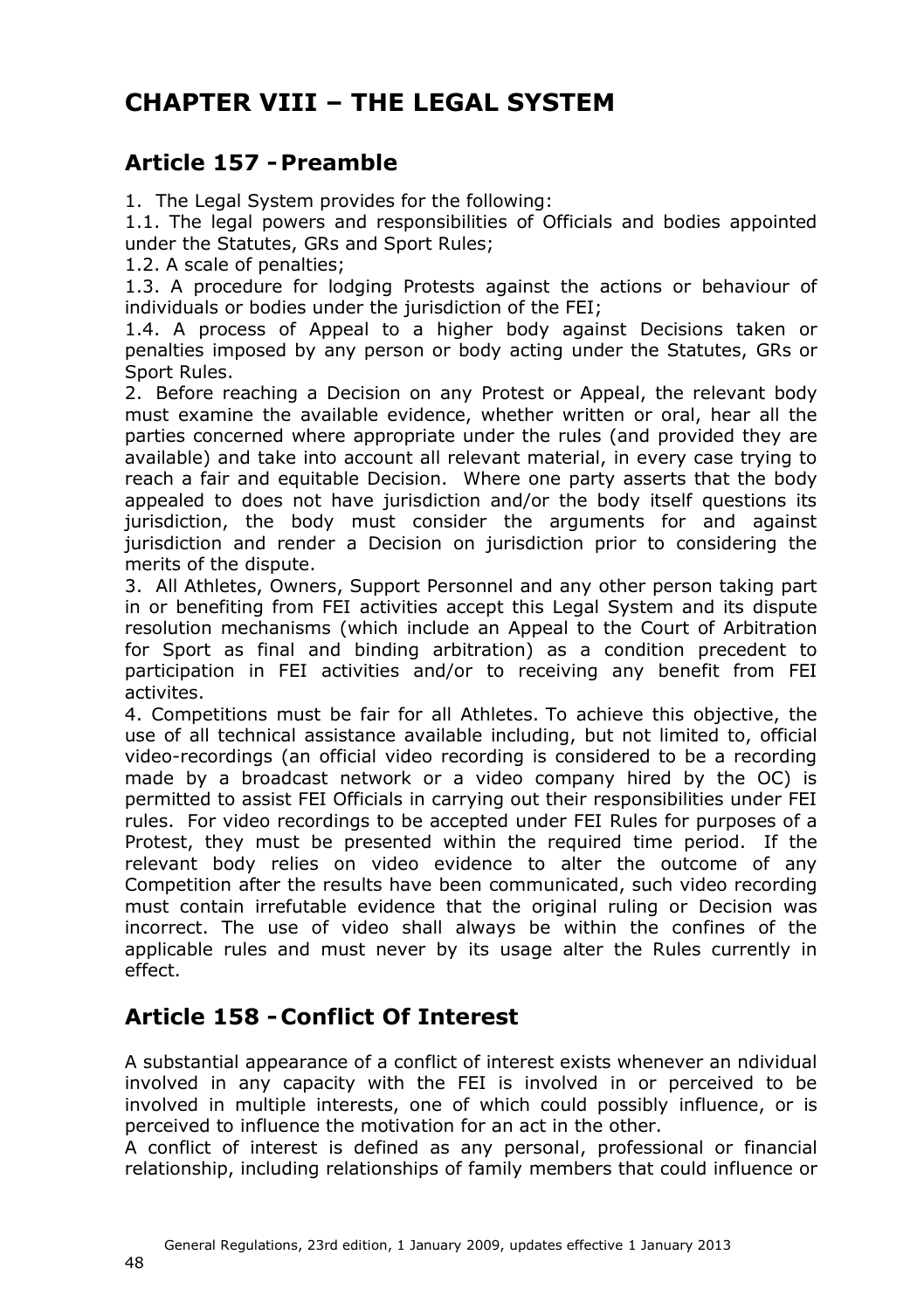# <span id="page-47-3"></span><span id="page-47-0"></span>**CHAPTER VIII – THE LEGAL SYSTEM**

### <span id="page-47-1"></span>**Article 157 -Preamble**

1. The Legal System provides for the following:

1.1. The legal powers and responsibilities of Officials and bodies appointed under the Statutes, GRs and Sport Rules;

1.2. A scale of penalties;

1.3. A procedure for lodging Protests against the actions or behaviour of individuals or bodies under the jurisdiction of the FEI;

1.4. A process of Appeal to a higher body against Decisions taken or penalties imposed by any person or body acting under the Statutes, GRs or Sport Rules.

2. Before reaching a Decision on any Protest or Appeal, the relevant body must examine the available evidence, whether written or oral, hear all the parties concerned where appropriate under the rules (and provided they are available) and take into account all relevant material, in every case trying to reach a fair and equitable Decision. Where one party asserts that the body appealed to does not have jurisdiction and/or the body itself questions its jurisdiction, the body must consider the arguments for and against jurisdiction and render a Decision on jurisdiction prior to considering the merits of the dispute.

3. All Athletes, Owners, Support Personnel and any other person taking part in or benefiting from FEI activities accept this Legal System and its dispute resolution mechanisms (which include an Appeal to the Court of Arbitration for Sport as final and binding arbitration) as a condition precedent to participation in FEI activities and/or to receiving any benefit from FEI activites.

4. Competitions must be fair for all Athletes. To achieve this objective, the use of all technical assistance available including, but not limited to, official video-recordings (an official video recording is considered to be a recording made by a broadcast network or a video company hired by the OC) is permitted to assist FEI Officials in carrying out their responsibilities under FEI rules. For video recordings to be accepted under FEI Rules for purposes of a Protest, they must be presented within the required time period. If the relevant body relies on video evidence to alter the outcome of any Competition after the results have been communicated, such video recording must contain irrefutable evidence that the original ruling or Decision was incorrect. The use of video shall always be within the confines of the applicable rules and must never by its usage alter the Rules currently in effect.

### <span id="page-47-2"></span>**Article 158 - Conflict Of Interest**

A substantial appearance of a conflict of interest exists whenever an ndividual involved in any capacity with the FEI is involved in or perceived to be involved in multiple interests, one of which could possibly influence, or is perceived to influence the motivation for an act in the other.

A conflict of interest is defined as any personal, professional or financial relationship, including relationships of family members that could influence or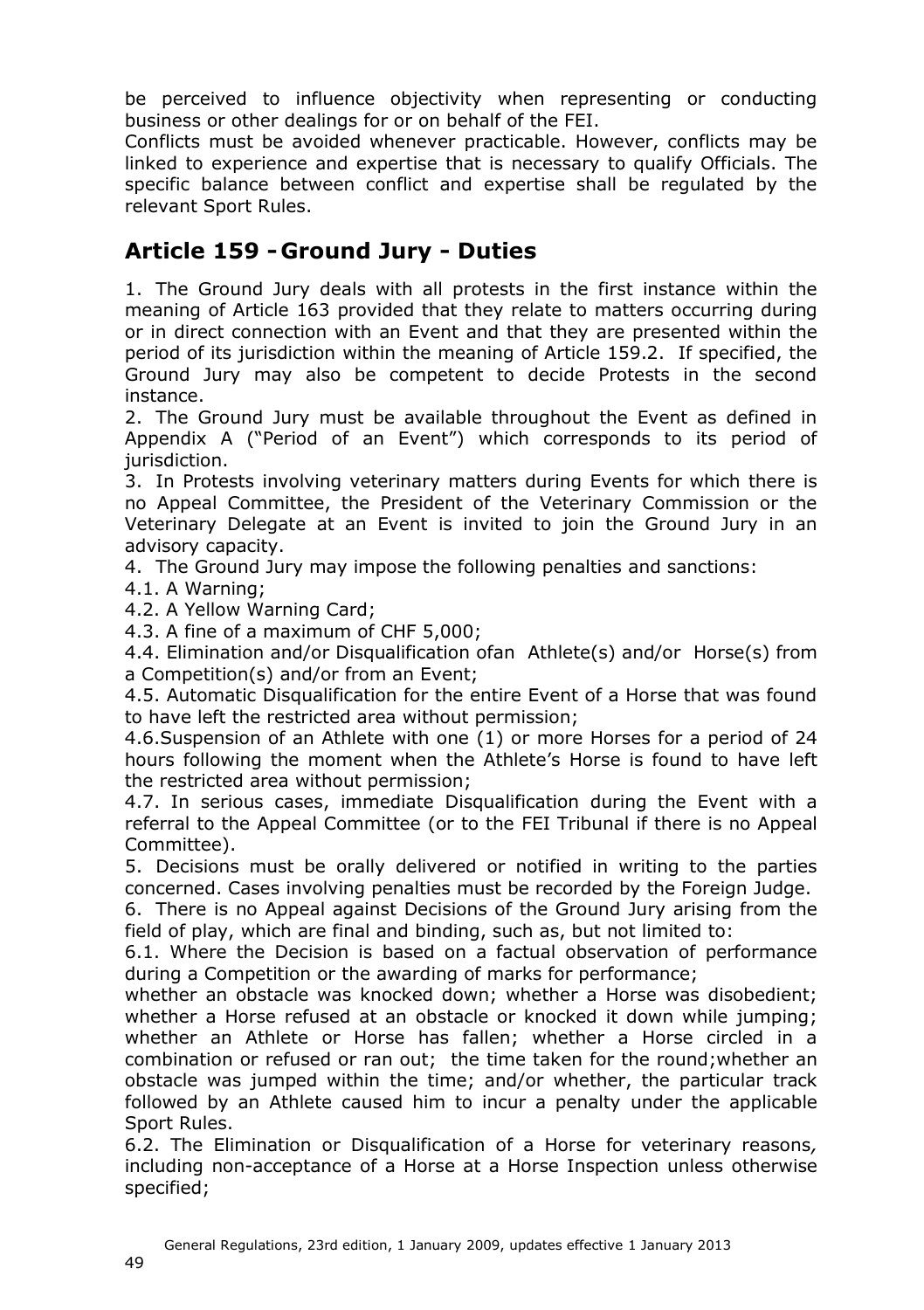be perceived to influence objectivity when representing or conducting business or other dealings for or on behalf of the FEI.

Conflicts must be avoided whenever practicable. However, conflicts may be linked to experience and expertise that is necessary to qualify Officials. The specific balance between conflict and expertise shall be regulated by the relevant Sport Rules.

### <span id="page-48-1"></span><span id="page-48-0"></span>**Article 159 - Ground Jury - Duties**

1. The Ground Jury deals with all protests in the first instance within the meaning of Article 163 provided that they relate to matters occurring during or in direct connection with an Event and that they are presented within the period of its jurisdiction within the meaning of Article 159.2. If specified, the Ground Jury may also be competent to decide Protests in the second instance.

2. The Ground Jury must be available throughout the Event as defined in Appendix A ("Period of an Event") which corresponds to its period of jurisdiction.

3. In Protests involving veterinary matters during Events for which there is no Appeal Committee, the President of the Veterinary Commission or the Veterinary Delegate at an Event is invited to join the Ground Jury in an advisory capacity.

4. The Ground Jury may impose the following penalties and sanctions:

4.1. A Warning;

4.2. A Yellow Warning Card;

4.3. A fine of a maximum of CHF 5,000;

4.4. Elimination and/or Disqualification ofan Athlete(s) and/or Horse(s) from a Competition(s) and/or from an Event;

4.5. Automatic Disqualification for the entire Event of a Horse that was found to have left the restricted area without permission;

4.6.Suspension of an Athlete with one (1) or more Horses for a period of 24 hours following the moment when the Athlete's Horse is found to have left the restricted area without permission;

4.7. In serious cases, immediate Disqualification during the Event with a referral to the Appeal Committee (or to the FEI Tribunal if there is no Appeal Committee).

5. Decisions must be orally delivered or notified in writing to the parties concerned. Cases involving penalties must be recorded by the Foreign Judge.

6. There is no Appeal against Decisions of the Ground Jury arising from the field of play, which are final and binding, such as, but not limited to:

6.1. Where the Decision is based on a factual observation of performance during a Competition or the awarding of marks for performance;

whether an obstacle was knocked down; whether a Horse was disobedient; whether a Horse refused at an obstacle or knocked it down while jumping; whether an Athlete or Horse has fallen; whether a Horse circled in a combination or refused or ran out; the time taken for the round;whether an obstacle was jumped within the time; and/or whether, the particular track followed by an Athlete caused him to incur a penalty under the applicable Sport Rules.

6.2. The Elimination or Disqualification of a Horse for veterinary reasons*,*  including non-acceptance of a Horse at a Horse Inspection unless otherwise specified;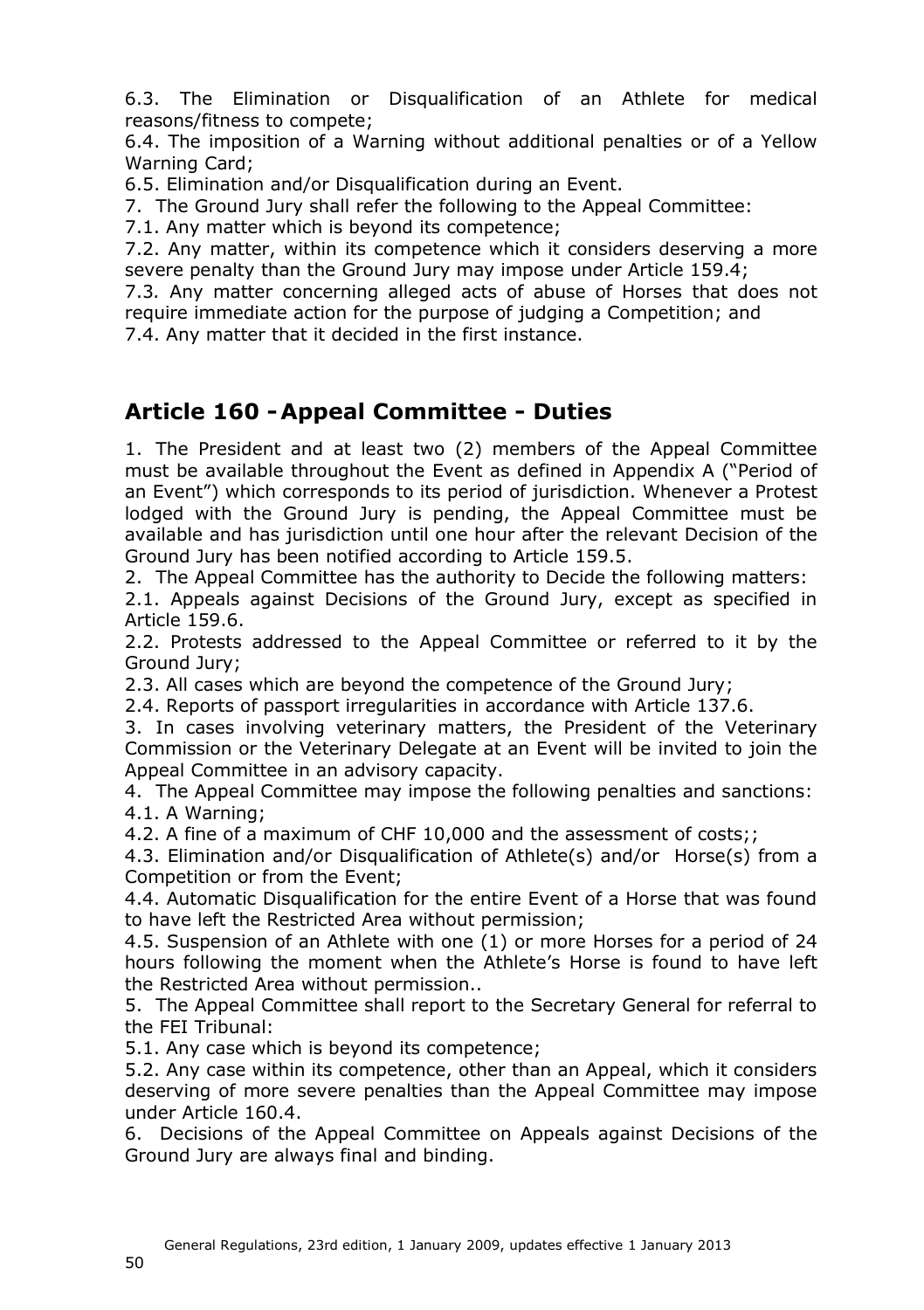6.3. The Elimination or Disqualification of an Athlete for medical reasons/fitness to compete;

6.4. The imposition of a Warning without additional penalties or of a Yellow Warning Card;

6.5. Elimination and/or Disqualification during an Event.

7. The Ground Jury shall refer the following to the Appeal Committee:

7.1. Any matter which is beyond its competence;

7.2. Any matter, within its competence which it considers deserving a more severe penalty than the Ground Jury may impose under Article 159.4;

7.3*.* Any matter concerning alleged acts of abuse of Horses that does not require immediate action for the purpose of judging a Competition; and

7.4. Any matter that it decided in the first instance.

### <span id="page-49-1"></span><span id="page-49-0"></span>**Article 160 -Appeal Committee - Duties**

1. The President and at least two (2) members of the Appeal Committee must be available throughout the Event as defined in Appendix A ("Period of an Event") which corresponds to its period of jurisdiction. Whenever a Protest lodged with the Ground Jury is pending, the Appeal Committee must be available and has jurisdiction until one hour after the relevant Decision of the Ground Jury has been notified according to Article 159.5.

2. The Appeal Committee has the authority to Decide the following matters:

2.1. Appeals against Decisions of the Ground Jury, except as specified in Article 159.6.

2.2. Protests addressed to the Appeal Committee or referred to it by the Ground Jury;

2.3. All cases which are beyond the competence of the Ground Jury;

2.4. Reports of passport irregularities in accordance with Article 137.6.

3. In cases involving veterinary matters, the President of the Veterinary Commission or the Veterinary Delegate at an Event will be invited to join the Appeal Committee in an advisory capacity.

4. The Appeal Committee may impose the following penalties and sanctions: 4.1. A Warning;

4.2. A fine of a maximum of CHF 10,000 and the assessment of costs;;

4.3. Elimination and/or Disqualification of Athlete(s) and/or Horse(s) from a Competition or from the Event;

4.4. Automatic Disqualification for the entire Event of a Horse that was found to have left the Restricted Area without permission;

4.5. Suspension of an Athlete with one (1) or more Horses for a period of 24 hours following the moment when the Athlete's Horse is found to have left the Restricted Area without permission..

5. The Appeal Committee shall report to the Secretary General for referral to the FEI Tribunal:

5.1. Any case which is beyond its competence;

5.2. Any case within its competence, other than an Appeal, which it considers deserving of more severe penalties than the Appeal Committee may impose under Article 160.4.

6. Decisions of the Appeal Committee on Appeals against Decisions of the Ground Jury are always final and binding.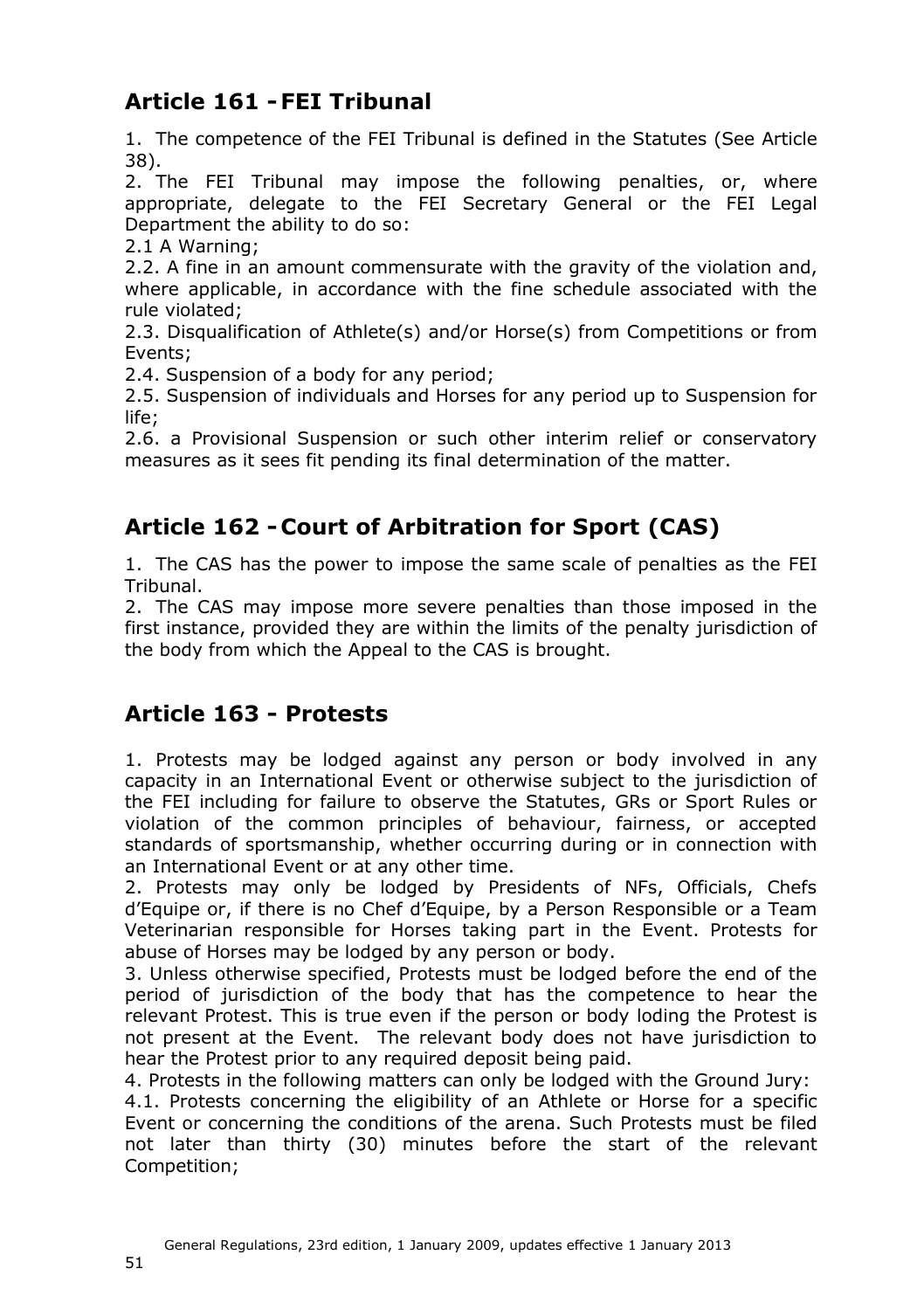## <span id="page-50-0"></span>**Article 161 -FEI Tribunal**

1. The competence of the FEI Tribunal is defined in the Statutes (See Article 38).

2. The FEI Tribunal may impose the following penalties, or, where appropriate, delegate to the FEI Secretary General or the FEI Legal Department the ability to do so:

2.1 A Warning;

2.2. A fine in an amount commensurate with the gravity of the violation and, where applicable, in accordance with the fine schedule associated with the rule violated;

2.3. Disqualification of Athlete(s) and/or Horse(s) from Competitions or from Events;

2.4. Suspension of a body for any period;

2.5. Suspension of individuals and Horses for any period up to Suspension for life;

2.6. a Provisional Suspension or such other interim relief or conservatory measures as it sees fit pending its final determination of the matter.

## <span id="page-50-1"></span>**Article 162 - Court of Arbitration for Sport (CAS)**

1. The CAS has the power to impose the same scale of penalties as the FEI Tribunal.

2. The CAS may impose more severe penalties than those imposed in the first instance, provided they are within the limits of the penalty jurisdiction of the body from which the Appeal to the CAS is brought.

### <span id="page-50-3"></span><span id="page-50-2"></span>**Article 163 - Protests**

1. Protests may be lodged against any person or body involved in any capacity in an International Event or otherwise subject to the jurisdiction of the FEI including for failure to observe the Statutes, GRs or Sport Rules or violation of the common principles of behaviour, fairness, or accepted standards of sportsmanship, whether occurring during or in connection with an International Event or at any other time.

2. Protests may only be lodged by Presidents of NFs, Officials, Chefs d'Equipe or, if there is no Chef d'Equipe, by a Person Responsible or a Team Veterinarian responsible for Horses taking part in the Event. Protests for abuse of Horses may be lodged by any person or body.

3. Unless otherwise specified, Protests must be lodged before the end of the period of jurisdiction of the body that has the competence to hear the relevant Protest. This is true even if the person or body loding the Protest is not present at the Event. The relevant body does not have jurisdiction to hear the Protest prior to any required deposit being paid.

4. Protests in the following matters can only be lodged with the Ground Jury: 4.1. Protests concerning the eligibility of an Athlete or Horse for a specific Event or concerning the conditions of the arena. Such Protests must be filed not later than thirty (30) minutes before the start of the relevant Competition;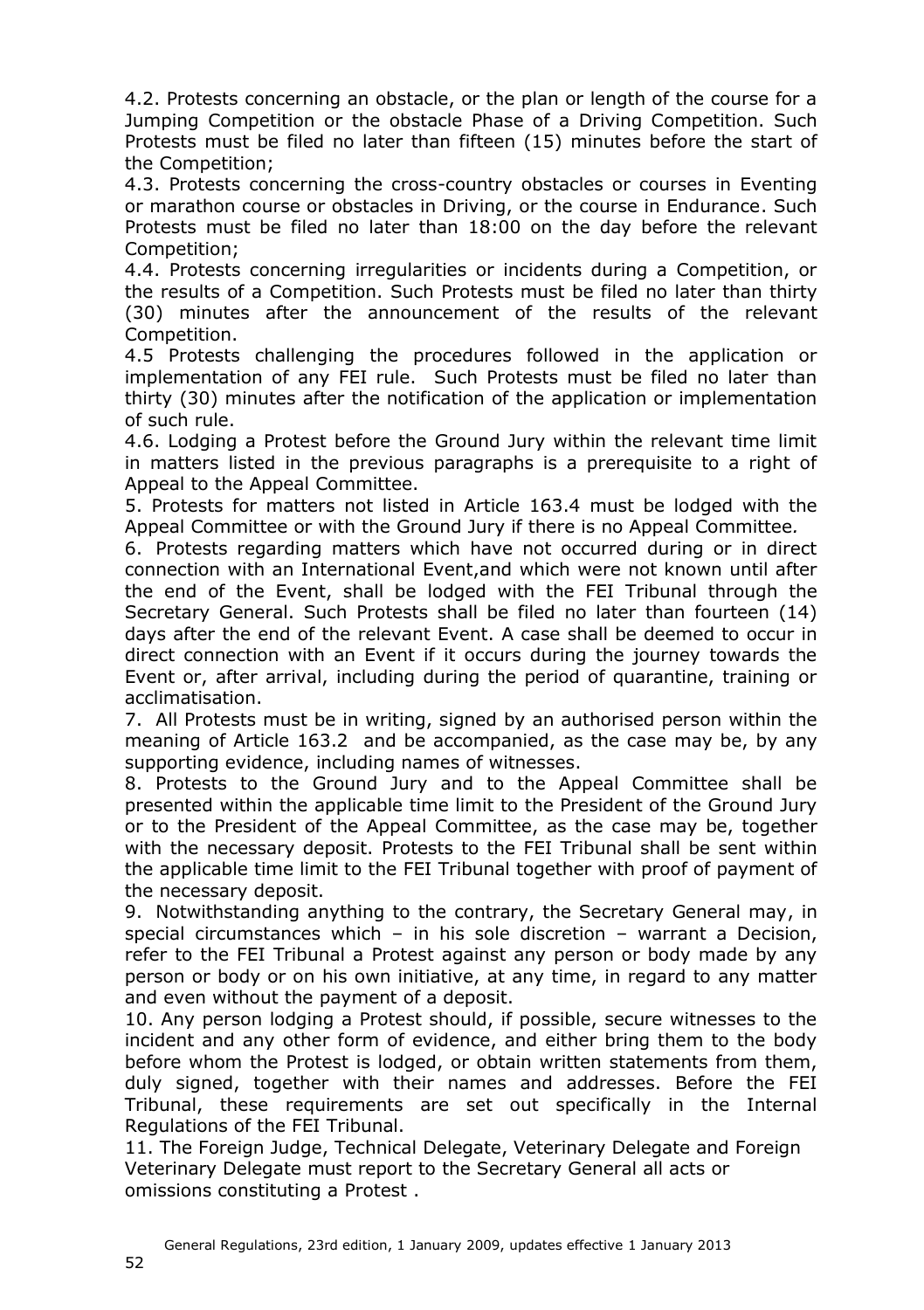4.2. Protests concerning an obstacle, or the plan or length of the course for a Jumping Competition or the obstacle Phase of a Driving Competition. Such Protests must be filed no later than fifteen (15) minutes before the start of the Competition;

4.3. Protests concerning the cross-country obstacles or courses in Eventing or marathon course or obstacles in Driving, or the course in Endurance. Such Protests must be filed no later than 18:00 on the day before the relevant Competition;

4.4. Protests concerning irregularities or incidents during a Competition, or the results of a Competition. Such Protests must be filed no later than thirty (30) minutes after the announcement of the results of the relevant Competition.

4.5 Protests challenging the procedures followed in the application or implementation of any FEI rule. Such Protests must be filed no later than thirty (30) minutes after the notification of the application or implementation of such rule.

4.6. Lodging a Protest before the Ground Jury within the relevant time limit in matters listed in the previous paragraphs is a prerequisite to a right of Appeal to the Appeal Committee.

5. Protests for matters not listed in Article 163.4 must be lodged with the Appeal Committee or with the Ground Jury if there is no Appeal Committee*.*

6. Protests regarding matters which have not occurred during or in direct connection with an International Event,and which were not known until after the end of the Event, shall be lodged with the FEI Tribunal through the Secretary General. Such Protests shall be filed no later than fourteen (14) days after the end of the relevant Event. A case shall be deemed to occur in direct connection with an Event if it occurs during the journey towards the Event or, after arrival, including during the period of quarantine, training or acclimatisation.

7. All Protests must be in writing, signed by an authorised person within the meaning of Article 163.2 and be accompanied, as the case may be, by any supporting evidence, including names of witnesses.

8. Protests to the Ground Jury and to the Appeal Committee shall be presented within the applicable time limit to the President of the Ground Jury or to the President of the Appeal Committee, as the case may be, together with the necessary deposit. Protests to the FEI Tribunal shall be sent within the applicable time limit to the FEI Tribunal together with proof of payment of the necessary deposit.

9. Notwithstanding anything to the contrary, the Secretary General may, in special circumstances which – in his sole discretion – warrant a Decision, refer to the FEI Tribunal a Protest against any person or body made by any person or body or on his own initiative, at any time, in regard to any matter and even without the payment of a deposit.

10. Any person lodging a Protest should, if possible, secure witnesses to the incident and any other form of evidence, and either bring them to the body before whom the Protest is lodged, or obtain written statements from them, duly signed, together with their names and addresses. Before the FEI Tribunal, these requirements are set out specifically in the Internal Regulations of the FEI Tribunal.

11. The Foreign Judge, Technical Delegate, Veterinary Delegate and Foreign Veterinary Delegate must report to the Secretary General all acts or omissions constituting a Protest .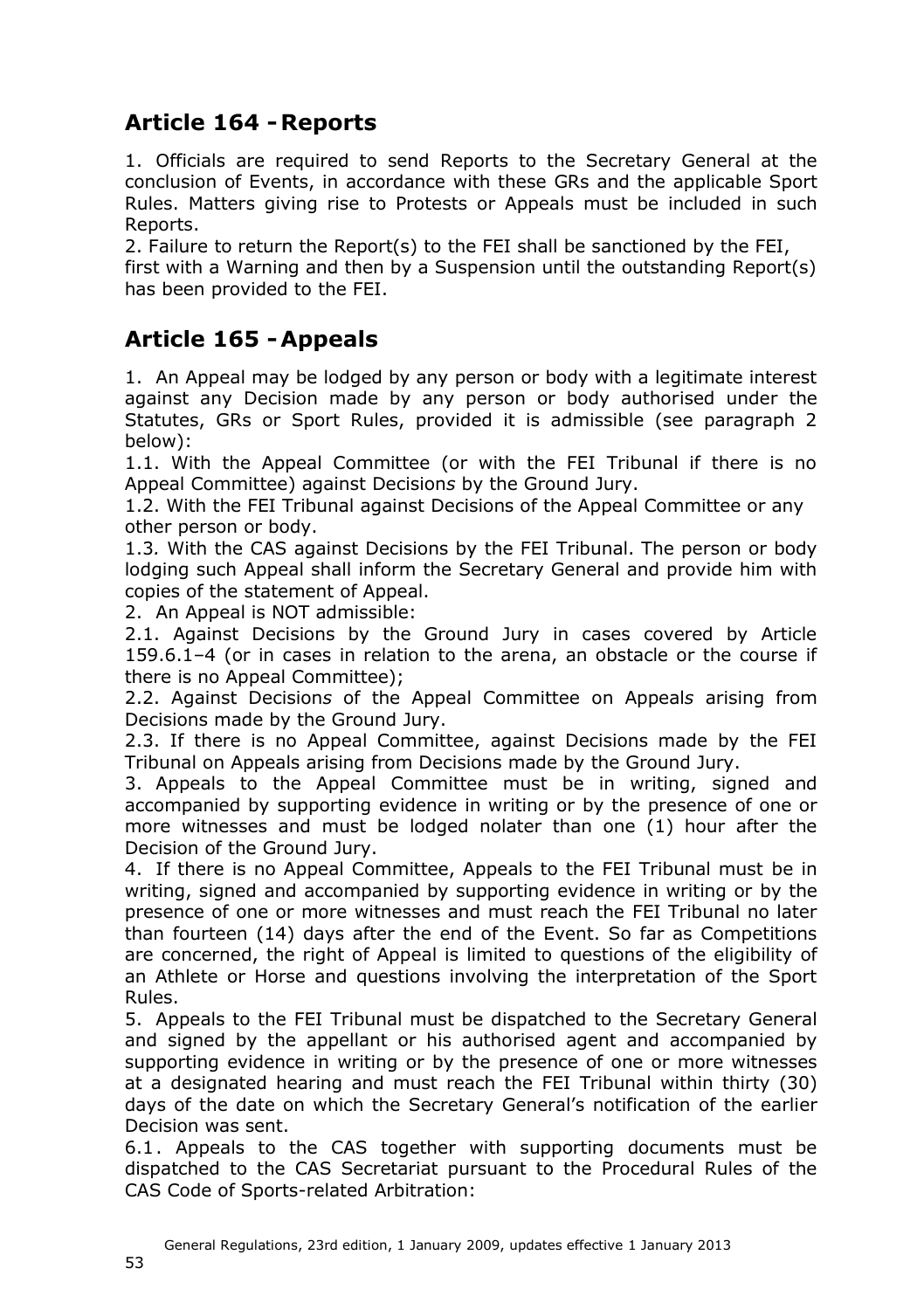### <span id="page-52-0"></span>**Article 164 -Reports**

1. Officials are required to send Reports to the Secretary General at the conclusion of Events, in accordance with these GRs and the applicable Sport Rules. Matters giving rise to Protests or Appeals must be included in such Reports.

2. Failure to return the Report(s) to the FEI shall be sanctioned by the FEI, first with a Warning and then by a Suspension until the outstanding Report(s) has been provided to the FEI.

### <span id="page-52-1"></span>**Article 165 -Appeals**

1. An Appeal may be lodged by any person or body with a legitimate interest against any Decision made by any person or body authorised under the Statutes, GRs or Sport Rules, provided it is admissible (see paragraph 2 below):

1.1. With the Appeal Committee (or with the FEI Tribunal if there is no Appeal Committee) against Decision*s* by the Ground Jury.

1.2. With the FEI Tribunal against Decisions of the Appeal Committee or any other person or body.

1.3*.* With the CAS against Decisions by the FEI Tribunal. The person or body lodging such Appeal shall inform the Secretary General and provide him with copies of the statement of Appeal.

2. An Appeal is NOT admissible:

2.1. Against Decisions by the Ground Jury in cases covered by Article 159.6.1–4 (or in cases in relation to the arena, an obstacle or the course if there is no Appeal Committee);

2.2. Against Decision*s* of the Appeal Committee on Appeal*s* arising from Decisions made by the Ground Jury.

2.3. If there is no Appeal Committee, against Decisions made by the FEI Tribunal on Appeals arising from Decisions made by the Ground Jury.

3. Appeals to the Appeal Committee must be in writing, signed and accompanied by supporting evidence in writing or by the presence of one or more witnesses and must be lodged nolater than one (1) hour after the Decision of the Ground Jury.

4. If there is no Appeal Committee, Appeals to the FEI Tribunal must be in writing, signed and accompanied by supporting evidence in writing or by the presence of one or more witnesses and must reach the FEI Tribunal no later than fourteen (14) days after the end of the Event. So far as Competitions are concerned, the right of Appeal is limited to questions of the eligibility of an Athlete or Horse and questions involving the interpretation of the Sport Rules.

5. Appeals to the FEI Tribunal must be dispatched to the Secretary General and signed by the appellant or his authorised agent and accompanied by supporting evidence in writing or by the presence of one or more witnesses at a designated hearing and must reach the FEI Tribunal within thirty (30) days of the date on which the Secretary General's notification of the earlier Decision was sent.

6.1. Appeals to the CAS together with supporting documents must be dispatched to the CAS Secretariat pursuant to the Procedural Rules of the CAS Code of Sports-related Arbitration: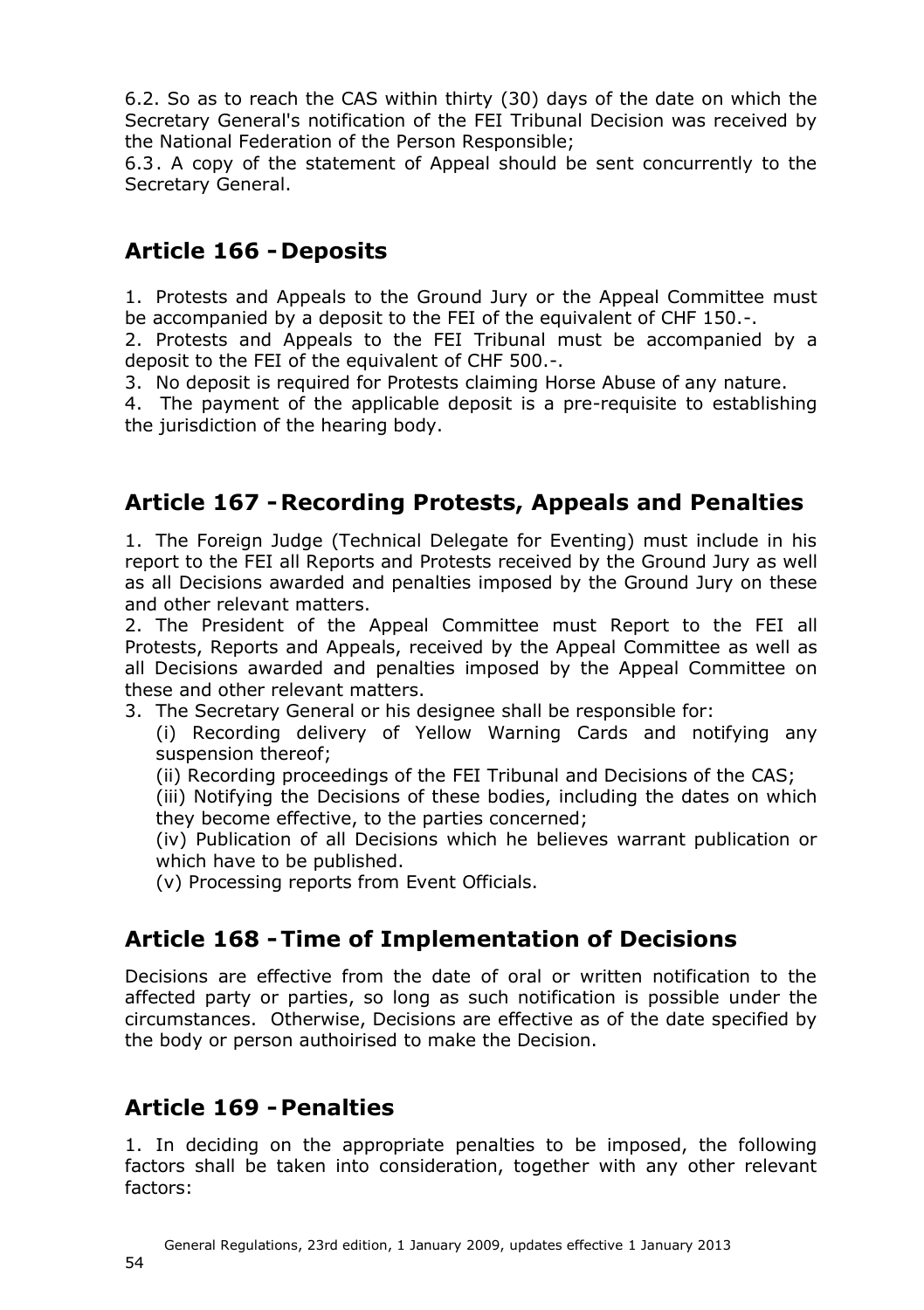6.2. So as to reach the CAS within thirty (30) days of the date on which the Secretary General's notification of the FEI Tribunal Decision was received by the National Federation of the Person Responsible;

6.3. A copy of the statement of Appeal should be sent concurrently to the Secretary General.

### <span id="page-53-0"></span>**Article 166 - Deposits**

1. Protests and Appeals to the Ground Jury or the Appeal Committee must be accompanied by a deposit to the FEI of the equivalent of CHF 150.-.

2. Protests and Appeals to the FEI Tribunal must be accompanied by a deposit to the FEI of the equivalent of CHF 500.-.

3. No deposit is required for Protests claiming Horse Abuse of any nature.

4. The payment of the applicable deposit is a pre-requisite to establishing the jurisdiction of the hearing body.

### <span id="page-53-1"></span>**Article 167 -Recording Protests, Appeals and Penalties**

1. The Foreign Judge (Technical Delegate for Eventing) must include in his report to the FEI all Reports and Protests received by the Ground Jury as well as all Decisions awarded and penalties imposed by the Ground Jury on these and other relevant matters.

2. The President of the Appeal Committee must Report to the FEI all Protests, Reports and Appeals, received by the Appeal Committee as well as all Decisions awarded and penalties imposed by the Appeal Committee on these and other relevant matters.

3. The Secretary General or his designee shall be responsible for:

(i) Recording delivery of Yellow Warning Cards and notifying any suspension thereof;

(ii) Recording proceedings of the FEI Tribunal and Decisions of the CAS;

(iii) Notifying the Decisions of these bodies, including the dates on which they become effective, to the parties concerned;

(iv) Publication of all Decisions which he believes warrant publication or which have to be published.

(v) Processing reports from Event Officials.

### <span id="page-53-2"></span>**Article 168 -Time of Implementation of Decisions**

Decisions are effective from the date of oral or written notification to the affected party or parties, so long as such notification is possible under the circumstances. Otherwise, Decisions are effective as of the date specified by the body or person authoirised to make the Decision.

### <span id="page-53-3"></span>**Article 169 -Penalties**

1. In deciding on the appropriate penalties to be imposed, the following factors shall be taken into consideration, together with any other relevant factors: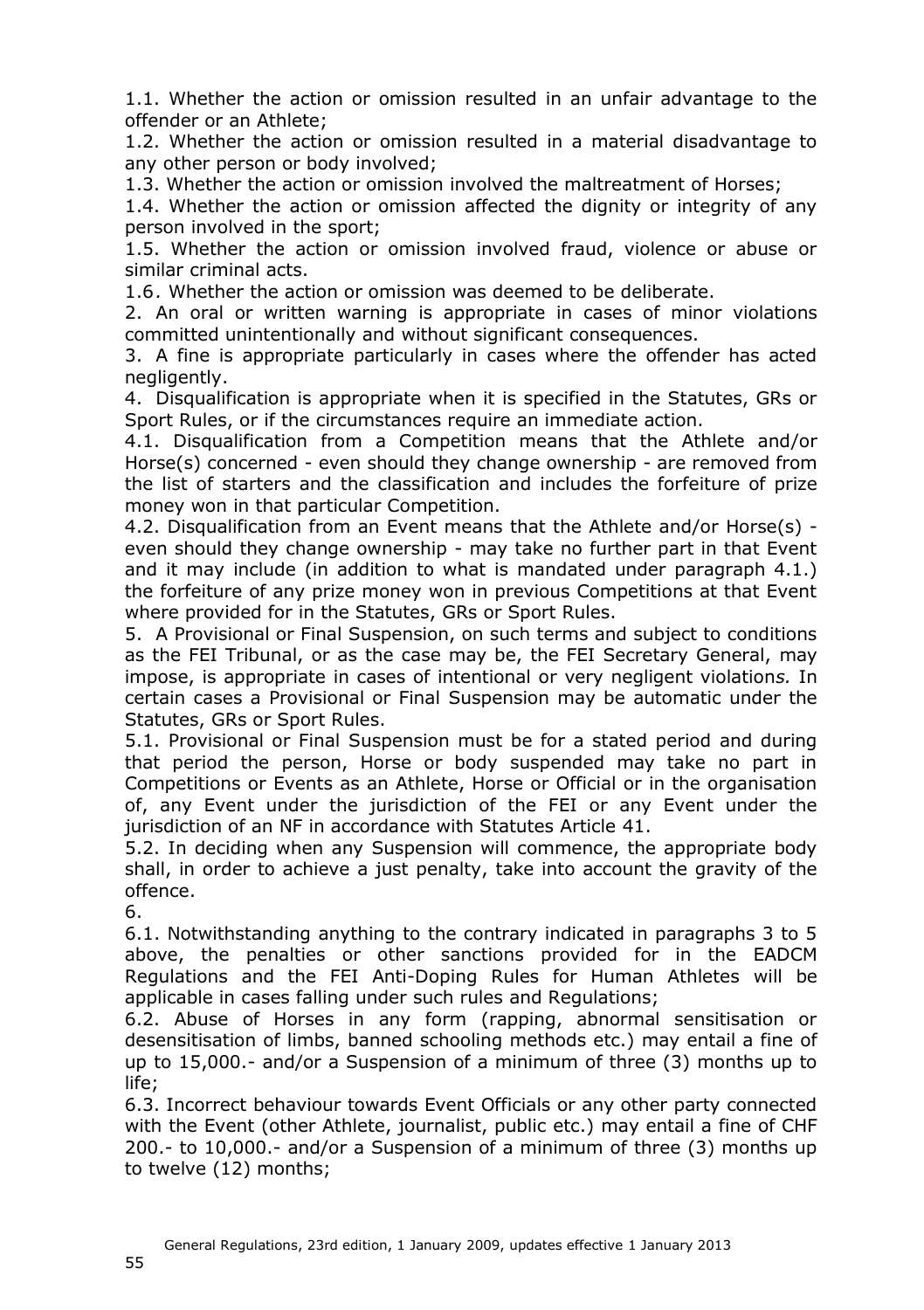1.1. Whether the action or omission resulted in an unfair advantage to the offender or an Athlete;

1.2. Whether the action or omission resulted in a material disadvantage to any other person or body involved;

1.3. Whether the action or omission involved the maltreatment of Horses;

1.4. Whether the action or omission affected the dignity or integrity of any person involved in the sport;

1.5. Whether the action or omission involved fraud, violence or abuse or similar criminal acts.

1.6*.* Whether the action or omission was deemed to be deliberate.

2. An oral or written warning is appropriate in cases of minor violations committed unintentionally and without significant consequences.

3. A fine is appropriate particularly in cases where the offender has acted negligently.

4. Disqualification is appropriate when it is specified in the Statutes, GRs or Sport Rules, or if the circumstances require an immediate action.

4.1. Disqualification from a Competition means that the Athlete and/or Horse(s) concerned - even should they change ownership - are removed from the list of starters and the classification and includes the forfeiture of prize money won in that particular Competition.

4.2. Disqualification from an Event means that the Athlete and/or Horse(s) even should they change ownership - may take no further part in that Event and it may include (in addition to what is mandated under paragraph 4.1.) the forfeiture of any prize money won in previous Competitions at that Event where provided for in the Statutes, GRs or Sport Rules.

5. A Provisional or Final Suspension, on such terms and subject to conditions as the FEI Tribunal, or as the case may be, the FEI Secretary General, may impose, is appropriate in cases of intentional or very negligent violation*s.* In certain cases a Provisional or Final Suspension may be automatic under the Statutes, GRs or Sport Rules.

5.1. Provisional or Final Suspension must be for a stated period and during that period the person, Horse or body suspended may take no part in Competitions or Events as an Athlete, Horse or Official or in the organisation of, any Event under the jurisdiction of the FEI or any Event under the jurisdiction of an NF in accordance with Statutes Article 41.

5.2. In deciding when any Suspension will commence, the appropriate body shall, in order to achieve a just penalty, take into account the gravity of the offence.

6.

6.1. Notwithstanding anything to the contrary indicated in paragraphs 3 to 5 above, the penalties or other sanctions provided for in the EADCM Regulations and the FEI Anti-Doping Rules for Human Athletes will be applicable in cases falling under such rules and Regulations;

6.2. Abuse of Horses in any form (rapping, abnormal sensitisation or desensitisation of limbs, banned schooling methods etc.) may entail a fine of up to 15,000.- and/or a Suspension of a minimum of three (3) months up to life;

6.3. Incorrect behaviour towards Event Officials or any other party connected with the Event (other Athlete, journalist, public etc.) may entail a fine of CHF 200.- to 10,000.- and/or a Suspension of a minimum of three (3) months up to twelve (12) months;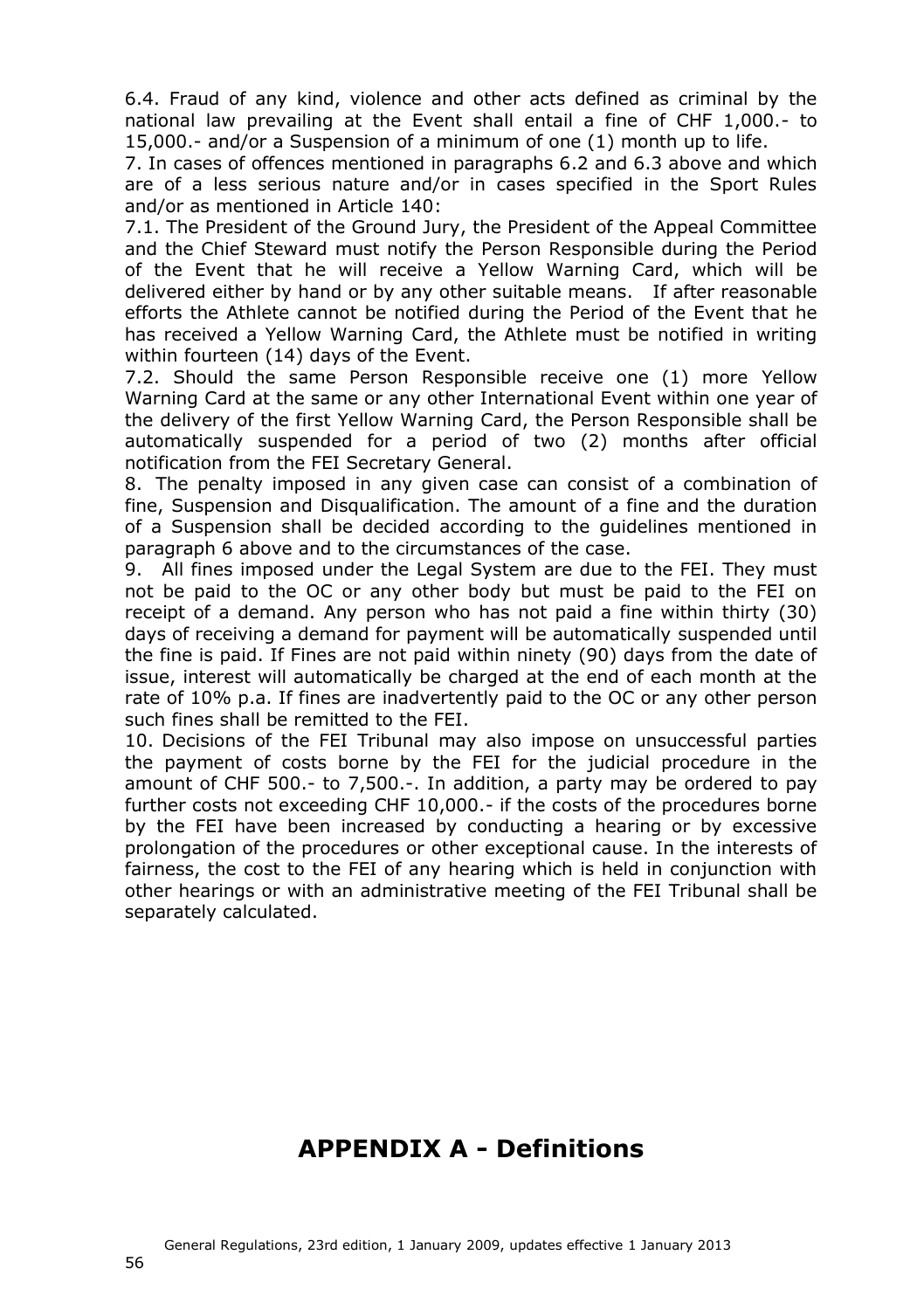6.4. Fraud of any kind, violence and other acts defined as criminal by the national law prevailing at the Event shall entail a fine of CHF 1,000.- to 15,000.- and/or a Suspension of a minimum of one (1) month up to life.

7. In cases of offences mentioned in paragraphs 6.2 and 6.3 above and which are of a less serious nature and/or in cases specified in the Sport Rules and/or as mentioned in Article 140:

7.1. The President of the Ground Jury, the President of the Appeal Committee and the Chief Steward must notify the Person Responsible during the Period of the Event that he will receive a Yellow Warning Card, which will be delivered either by hand or by any other suitable means. If after reasonable efforts the Athlete cannot be notified during the Period of the Event that he has received a Yellow Warning Card, the Athlete must be notified in writing within fourteen (14) days of the Event.

7.2. Should the same Person Responsible receive one (1) more Yellow Warning Card at the same or any other International Event within one year of the delivery of the first Yellow Warning Card, the Person Responsible shall be automatically suspended for a period of two (2) months after official notification from the FEI Secretary General.

8. The penalty imposed in any given case can consist of a combination of fine, Suspension and Disqualification. The amount of a fine and the duration of a Suspension shall be decided according to the guidelines mentioned in paragraph 6 above and to the circumstances of the case.

9. All fines imposed under the Legal System are due to the FEI. They must not be paid to the OC or any other body but must be paid to the FEI on receipt of a demand. Any person who has not paid a fine within thirty (30) days of receiving a demand for payment will be automatically suspended until the fine is paid. If Fines are not paid within ninety (90) days from the date of issue, interest will automatically be charged at the end of each month at the rate of 10% p.a. If fines are inadvertently paid to the OC or any other person such fines shall be remitted to the FEI.

10. Decisions of the FEI Tribunal may also impose on unsuccessful parties the payment of costs borne by the FEI for the judicial procedure in the amount of CHF 500.- to 7,500.-. In addition, a party may be ordered to pay further costs not exceeding CHF 10,000.- if the costs of the procedures borne by the FEI have been increased by conducting a hearing or by excessive prolongation of the procedures or other exceptional cause. In the interests of fairness, the cost to the FEI of any hearing which is held in conjunction with other hearings or with an administrative meeting of the FEI Tribunal shall be separately calculated.

## <span id="page-55-0"></span>**APPENDIX A - Definitions**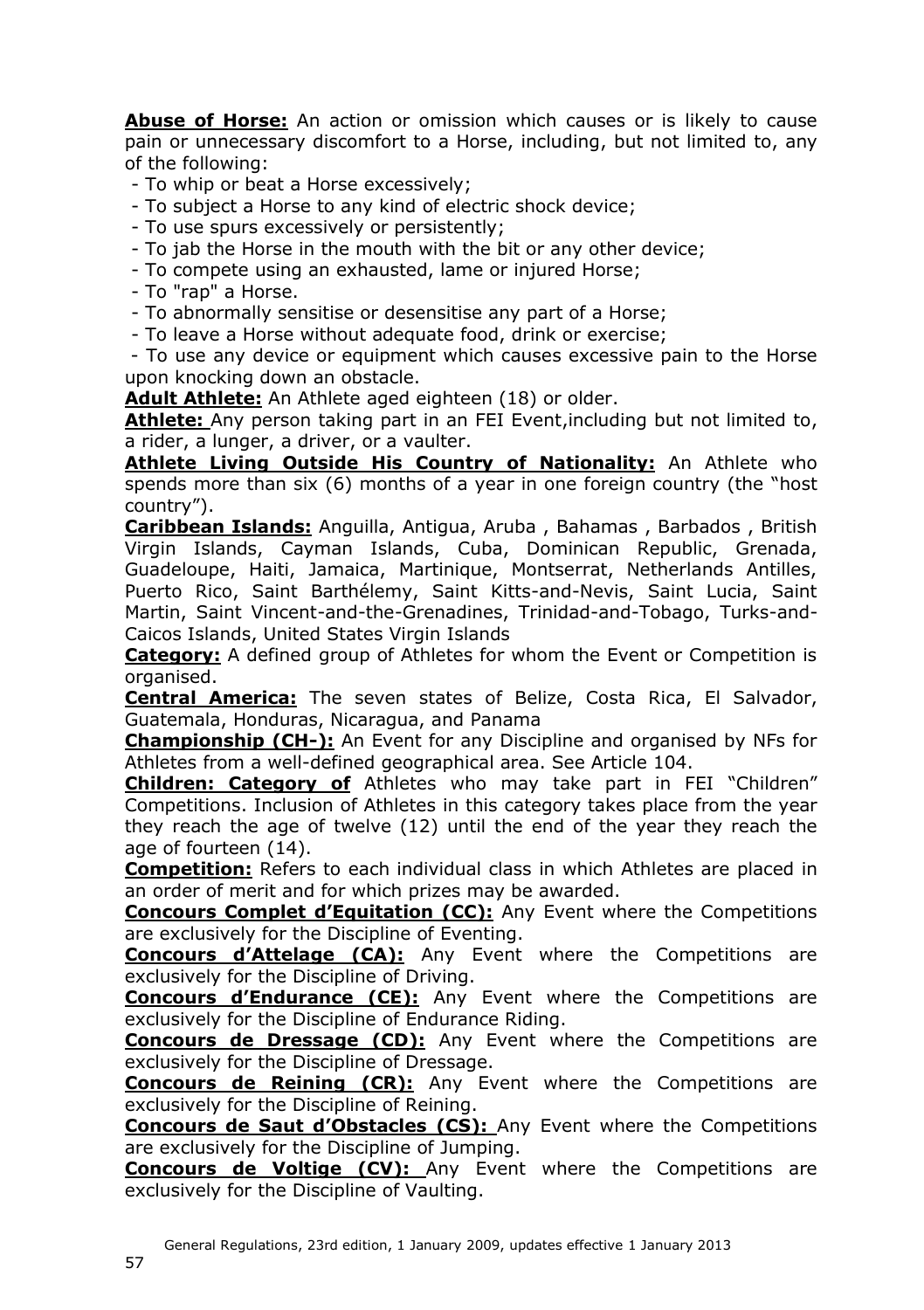**Abuse of Horse:** An action or omission which causes or is likely to cause pain or unnecessary discomfort to a Horse, including, but not limited to, any of the following:

- To whip or beat a Horse excessively;
- To subject a Horse to any kind of electric shock device;
- To use spurs excessively or persistently;
- To jab the Horse in the mouth with the bit or any other device;
- To compete using an exhausted, lame or injured Horse;
- To "rap" a Horse.
- To abnormally sensitise or desensitise any part of a Horse;
- To leave a Horse without adequate food, drink or exercise;

- To use any device or equipment which causes excessive pain to the Horse upon knocking down an obstacle.

**Adult Athlete:** An Athlete aged eighteen (18) or older.

Athlete: Any person taking part in an FEI Event, including but not limited to. a rider, a lunger, a driver, or a vaulter.

**Athlete Living Outside His Country of Nationality:** An Athlete who spends more than six (6) months of a year in one foreign country (the "host country").

**Caribbean Islands:** Anguilla, Antigua, Aruba , Bahamas , Barbados , British Virgin Islands, Cayman Islands, Cuba, Dominican Republic, Grenada, Guadeloupe, Haiti, Jamaica, Martinique, Montserrat, Netherlands Antilles, Puerto Rico, Saint Barthélemy, Saint Kitts-and-Nevis, Saint Lucia, Saint Martin, Saint Vincent-and-the-Grenadines, Trinidad-and-Tobago, Turks-and-Caicos Islands, United States Virgin Islands

**Category:** A defined group of Athletes for whom the Event or Competition is organised.

**Central America:** The seven states of Belize, Costa Rica, El Salvador, Guatemala, Honduras, Nicaragua, and Panama

**Championship (CH-):** An Event for any Discipline and organised by NFs for Athletes from a well-defined geographical area. See Article 104.

**Children: Category of** Athletes who may take part in FEI "Children" Competitions. Inclusion of Athletes in this category takes place from the year they reach the age of twelve (12) until the end of the year they reach the age of fourteen (14).

**Competition:** Refers to each individual class in which Athletes are placed in an order of merit and for which prizes may be awarded.

**Concours Complet d'Equitation (CC):** Any Event where the Competitions are exclusively for the Discipline of Eventing.

**Concours d'Attelage (CA):** Any Event where the Competitions are exclusively for the Discipline of Driving.

**Concours d'Endurance (CE):** Any Event where the Competitions are exclusively for the Discipline of Endurance Riding.

**Concours de Dressage (CD):** Any Event where the Competitions are exclusively for the Discipline of Dressage.

**Concours de Reining (CR):** Any Event where the Competitions are exclusively for the Discipline of Reining.

**Concours de Saut d'Obstacles (CS):** Any Event where the Competitions are exclusively for the Discipline of Jumping.

**Concours de Voltige (CV):** Any Event where the Competitions are exclusively for the Discipline of Vaulting.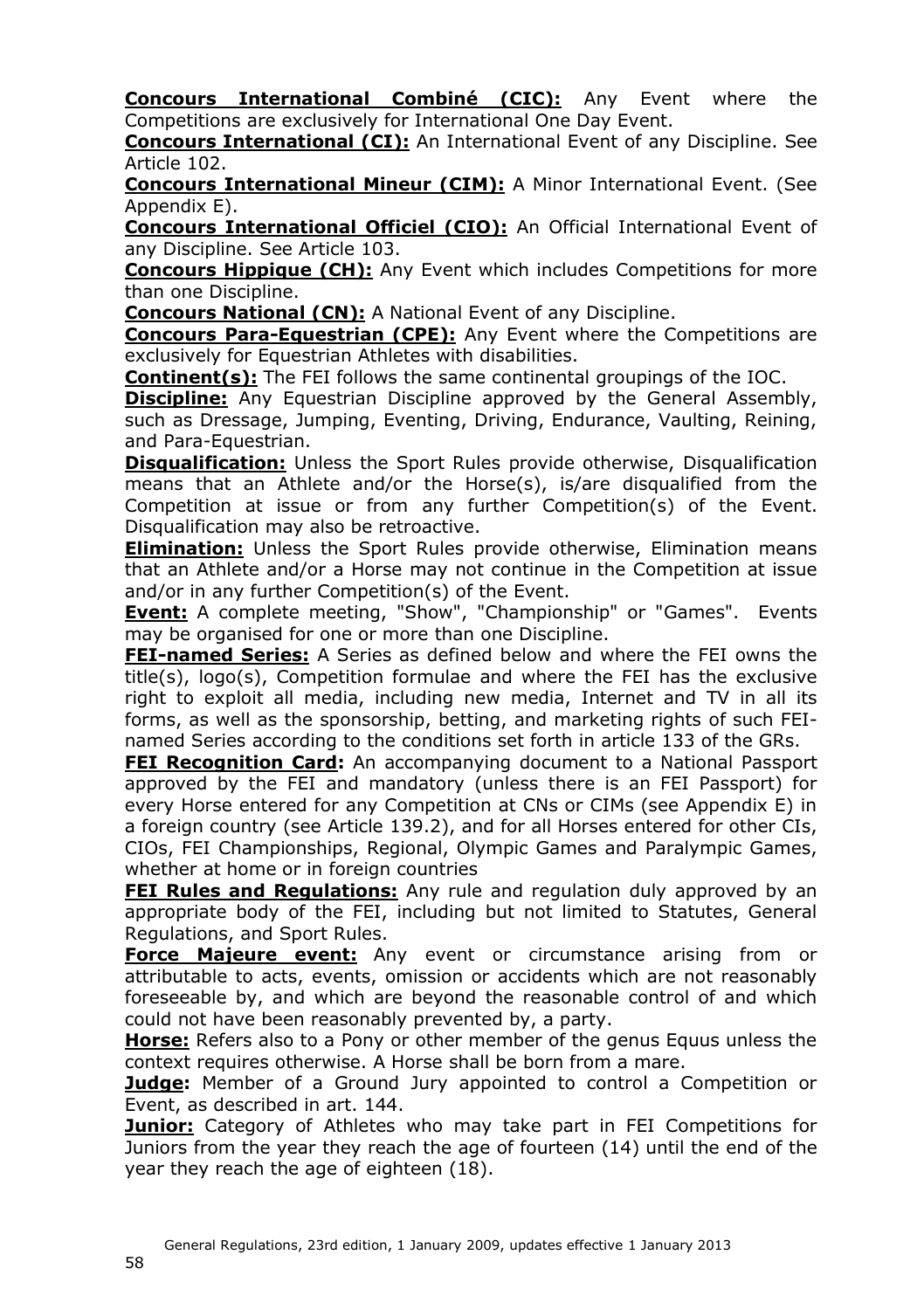**Concours International Combiné (CIC):** Any Event where the Competitions are exclusively for International One Day Event.

**Concours International (CI):** An International Event of any Discipline. See Article 102.

**Concours International Mineur (CIM):** A Minor International Event. (See Appendix E).

**Concours International Officiel (CIO):** An Official International Event of any Discipline. See Article [103.](#page-13-2)

**Concours Hippique (CH):** Any Event which includes Competitions for more than one Discipline.

**Concours National (CN):** A National Event of any Discipline.

**Concours Para-Equestrian (CPE):** Any Event where the Competitions are exclusively for Equestrian Athletes with disabilities.

**Continent(s):** The FEI follows the same continental groupings of the IOC.

**Discipline:** Any Equestrian Discipline approved by the General Assembly, such as Dressage, Jumping, Eventing, Driving, Endurance, Vaulting, Reining, and Para-Equestrian.

**Disqualification:** Unless the Sport Rules provide otherwise, Disqualification means that an Athlete and/or the Horse(s), is/are disqualified from the Competition at issue or from any further Competition(s) of the Event. Disqualification may also be retroactive.

**Elimination:** Unless the Sport Rules provide otherwise, Elimination means that an Athlete and/or a Horse may not continue in the Competition at issue and/or in any further Competition(s) of the Event.

**Event:** A complete meeting, "Show", "Championship" or "Games". Events may be organised for one or more than one Discipline.

**FEI-named Series:** A Series as defined below and where the FEI owns the title(s), logo(s), Competition formulae and where the FEI has the exclusive right to exploit all media, including new media, Internet and TV in all its forms, as well as the sponsorship, betting, and marketing rights of such FEInamed Series according to the conditions set forth in article 133 of the GRs.

**FEI Recognition Card:** An accompanying document to a National Passport approved by the FEI and mandatory (unless there is an FEI Passport) for every Horse entered for any Competition at CNs or CIMs (see Appendix E) in a foreign country (see Article 139.2), and for all Horses entered for other CIs, CIOs, FEI Championships, Regional, Olympic Games and Paralympic Games, whether at home or in foreign countries

**FEI Rules and Regulations:** Any rule and regulation duly approved by an appropriate body of the FEI, including but not limited to Statutes, General Regulations, and Sport Rules.

**Force Majeure event:** Any event or circumstance arising from or attributable to acts, events, omission or accidents which are not reasonably foreseeable by, and which are beyond the reasonable control of and which could not have been reasonably prevented by, a party.

**Horse:** Refers also to a Pony or other member of the genus Equus unless the context requires otherwise. A Horse shall be born from a mare.

**Judge:** Member of a Ground Jury appointed to control a Competition or Event, as described in art. 144.

**Junior:** Category of Athletes who may take part in FEI Competitions for Juniors from the year they reach the age of fourteen (14) until the end of the year they reach the age of eighteen (18).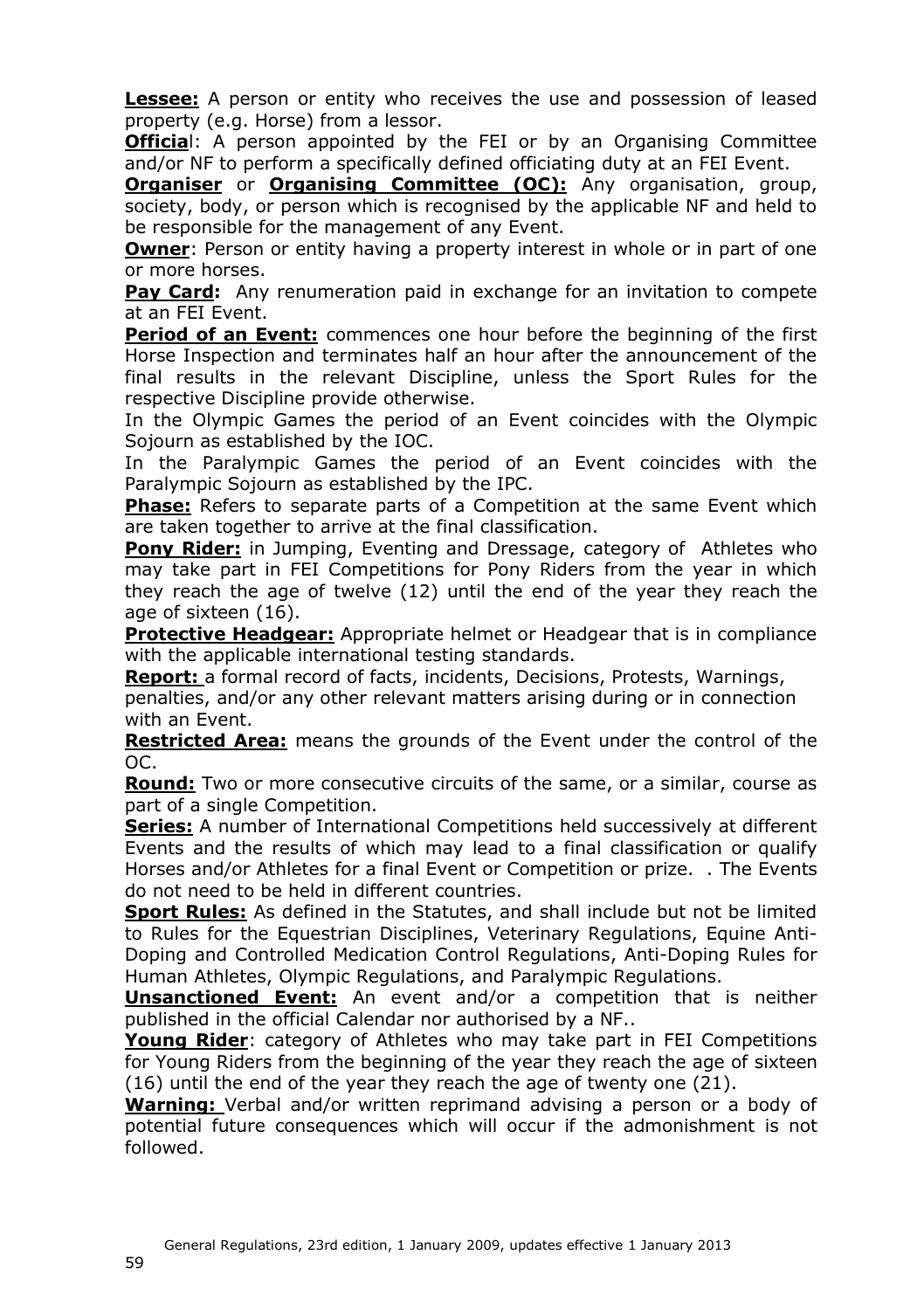**Lessee:** A person or entity who receives the use and possession of leased property (e.g. Horse) from a lessor.

**Official:** A person appointed by the FEI or by an Organising Committee and/or NF to perform a specifically defined officiating duty at an FEI Event.

**Organiser** or **Organising Committee (OC):** Any organisation, group, society, body, or person which is recognised by the applicable NF and held to be responsible for the management of any Event.

**Owner**: Person or entity having a property interest in whole or in part of one or more horses.

**Pay Card:** Any renumeration paid in exchange for an invitation to compete at an FEI Event.

**Period of an Event:** commences one hour before the beginning of the first Horse Inspection and terminates half an hour after the announcement of the final results in the relevant Discipline, unless the Sport Rules for the respective Discipline provide otherwise.

In the Olympic Games the period of an Event coincides with the Olympic Sojourn as established by the IOC.

In the Paralympic Games the period of an Event coincides with the Paralympic Sojourn as established by the IPC.

**Phase:** Refers to separate parts of a Competition at the same Event which are taken together to arrive at the final classification.

**Pony Rider:** in Jumping, Eventing and Dressage, category of Athletes who may take part in FEI Competitions for Pony Riders from the year in which they reach the age of twelve (12) until the end of the year they reach the age of sixteen (16).

**Protective Headgear:** Appropriate helmet or Headgear that is in compliance with the applicable international testing standards.

**Report:** a formal record of facts, incidents, Decisions, Protests, Warnings,

penalties, and/or any other relevant matters arising during or in connection with an Event.

**Restricted Area:** means the grounds of the Event under the control of the OC.

**Round:** Two or more consecutive circuits of the same, or a similar, course as part of a single Competition.

**Series:** A number of International Competitions held successively at different Events and the results of which may lead to a final classification or qualify Horses and/or Athletes for a final Event or Competition or prize. . The Events do not need to be held in different countries.

**Sport Rules:** As defined in the Statutes, and shall include but not be limited to Rules for the Equestrian Disciplines, Veterinary Regulations, Equine Anti-Doping and Controlled Medication Control Regulations, Anti-Doping Rules for Human Athletes, Olympic Regulations, and Paralympic Regulations.

**Unsanctioned Event:** An event and/or a competition that is neither published in the official Calendar nor authorised by a NF..

**Young Rider**: category of Athletes who may take part in FEI Competitions for Young Riders from the beginning of the year they reach the age of sixteen (16) until the end of the year they reach the age of twenty one (21).

**Warning:** Verbal and/or written reprimand advising a person or a body of potential future consequences which will occur if the admonishment is not followed.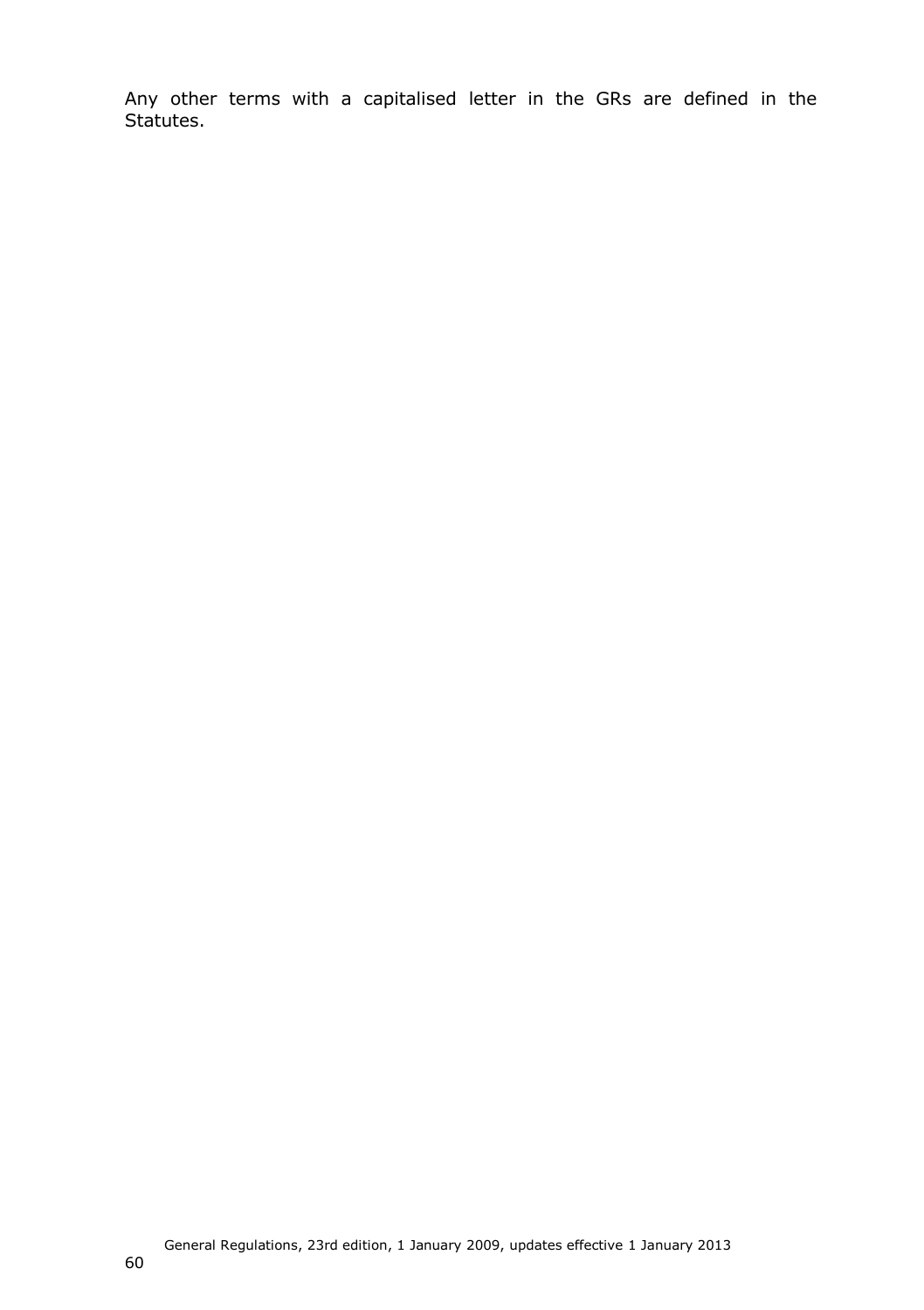<span id="page-59-0"></span>Any other terms with a capitalised letter in the GRs are defined in the Statutes.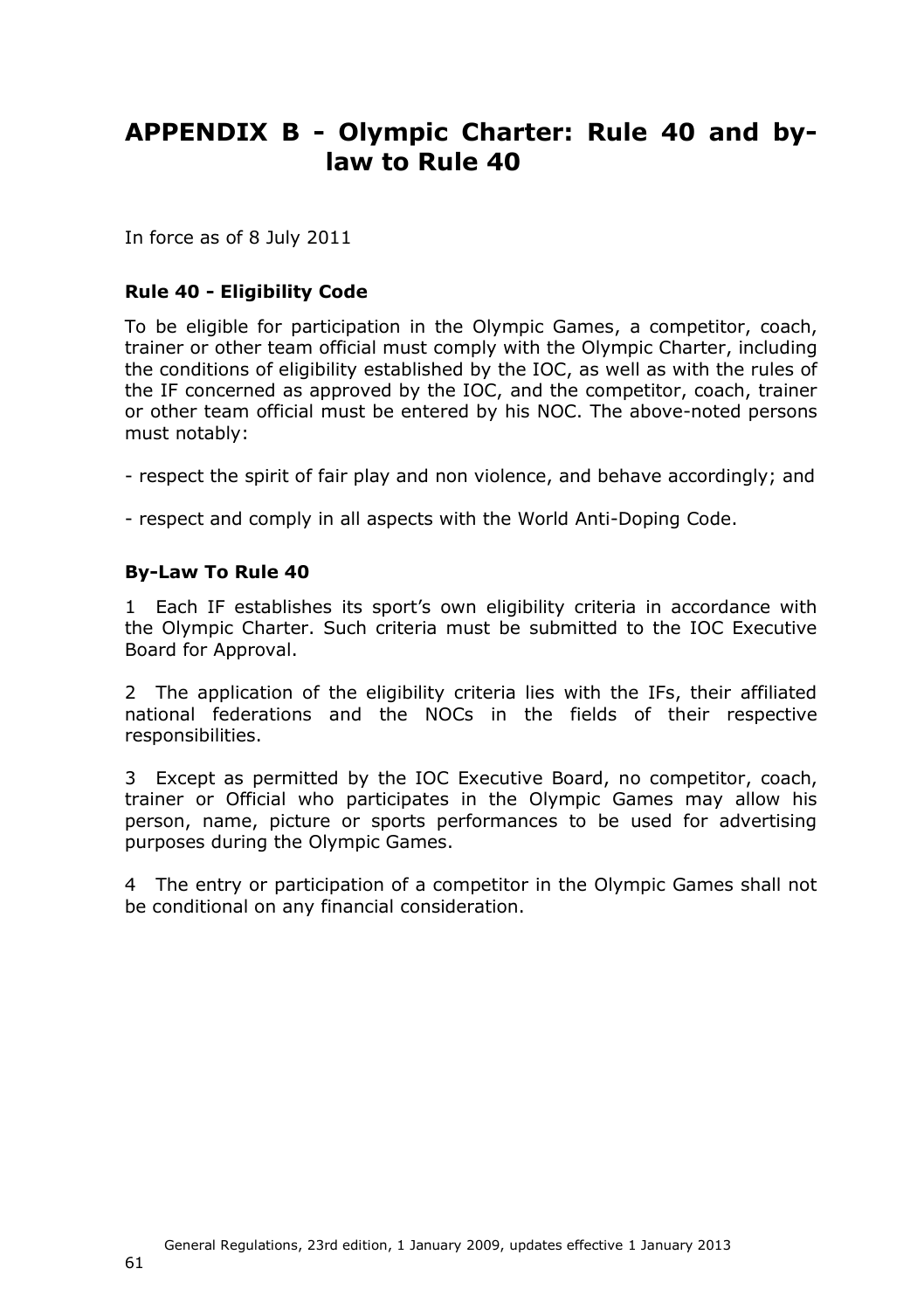# <span id="page-60-0"></span>**APPENDIX B - Olympic Charter: Rule 40 and bylaw to Rule 40**

In force as of 8 July 2011

#### **Rule 40 - Eligibility Code**

To be eligible for participation in the Olympic Games, a competitor, coach, trainer or other team official must comply with the Olympic Charter, including the conditions of eligibility established by the IOC, as well as with the rules of the IF concerned as approved by the IOC, and the competitor, coach, trainer or other team official must be entered by his NOC. The above-noted persons must notably:

- respect the spirit of fair play and non violence, and behave accordingly; and

- respect and comply in all aspects with the World Anti-Doping Code.

#### **By-Law To Rule 40**

1 Each IF establishes its sport's own eligibility criteria in accordance with the Olympic Charter. Such criteria must be submitted to the IOC Executive Board for Approval.

2 The application of the eligibility criteria lies with the IFs, their affiliated national federations and the NOCs in the fields of their respective responsibilities.

3 Except as permitted by the IOC Executive Board, no competitor, coach, trainer or Official who participates in the Olympic Games may allow his person, name, picture or sports performances to be used for advertising purposes during the Olympic Games.

4 The entry or participation of a competitor in the Olympic Games shall not be conditional on any financial consideration.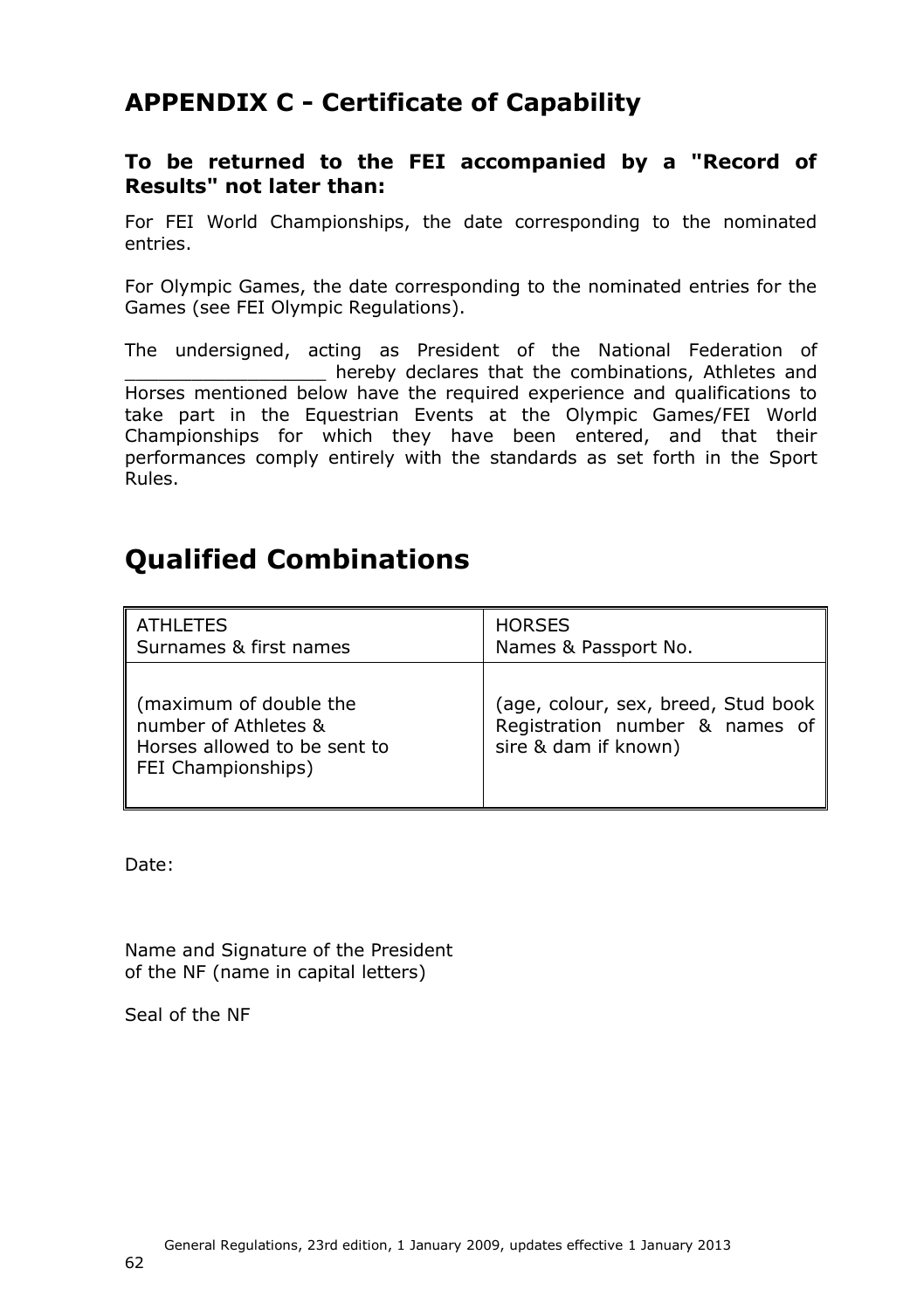# **APPENDIX C - Certificate of Capability**

#### **To be returned to the FEI accompanied by a "Record of Results" not later than:**

For FEI World Championships, the date corresponding to the nominated entries.

For Olympic Games, the date corresponding to the nominated entries for the Games (see FEI Olympic Regulations).

The undersigned, acting as President of the National Federation of hereby declares that the combinations, Athletes and Horses mentioned below have the required experience and qualifications to take part in the Equestrian Events at the Olympic Games/FEI World Championships for which they have been entered, and that their performances comply entirely with the standards as set forth in the Sport Rules.

# **Qualified Combinations**

| <b>ATHLETES</b>                                                                                      | <b>HORSES</b>                                                                                   |
|------------------------------------------------------------------------------------------------------|-------------------------------------------------------------------------------------------------|
| Surnames & first names                                                                               | Names & Passport No.                                                                            |
| (maximum of double the<br>number of Athletes &<br>Horses allowed to be sent to<br>FEI Championships) | (age, colour, sex, breed, Stud book  <br>Registration number & names of<br>sire & dam if known) |

Date:

Name and Signature of the President of the NF (name in capital letters)

Seal of the NF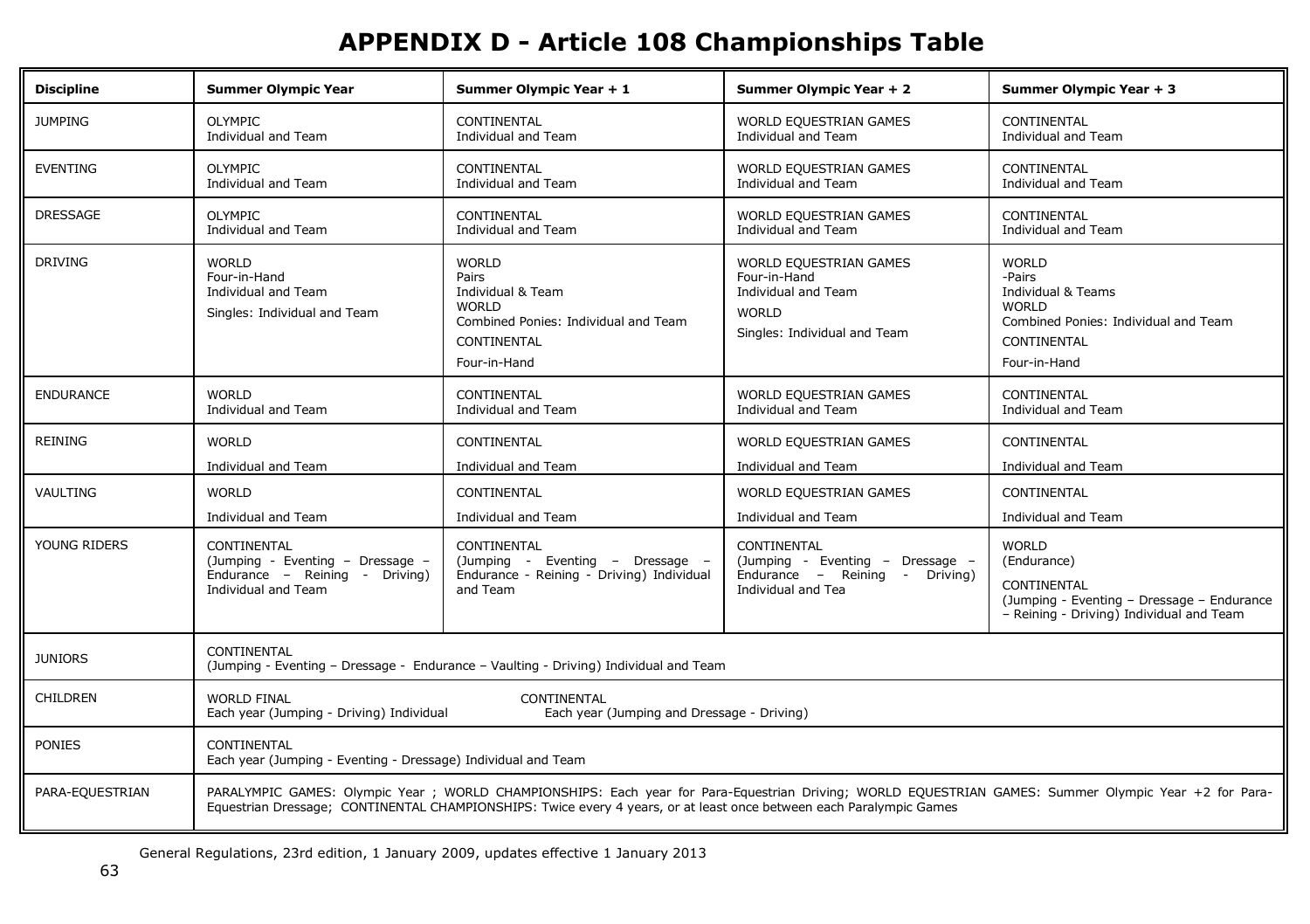# **APPENDIX D - Article 108 Championships Table**

<span id="page-62-0"></span>

| <b>Discipline</b> | <b>Summer Olympic Year</b>                                                                                                                                                                                                                                                  | Summer Olympic Year + 1                                                                                                           | Summer Olympic Year + 2                                                                                       | Summer Olympic Year + 3                                                                                                                    |
|-------------------|-----------------------------------------------------------------------------------------------------------------------------------------------------------------------------------------------------------------------------------------------------------------------------|-----------------------------------------------------------------------------------------------------------------------------------|---------------------------------------------------------------------------------------------------------------|--------------------------------------------------------------------------------------------------------------------------------------------|
| <b>JUMPING</b>    | <b>OLYMPIC</b><br>Individual and Team                                                                                                                                                                                                                                       | <b>CONTINENTAL</b><br>Individual and Team                                                                                         | WORLD EQUESTRIAN GAMES<br>Individual and Team                                                                 | <b>CONTINENTAL</b><br>Individual and Team                                                                                                  |
| <b>EVENTING</b>   | <b>OLYMPIC</b><br>Individual and Team                                                                                                                                                                                                                                       | CONTINENTAL<br>Individual and Team                                                                                                | <b>WORLD EQUESTRIAN GAMES</b><br>Individual and Team                                                          | CONTINENTAL<br>Individual and Team                                                                                                         |
| DRESSAGE          | <b>OLYMPIC</b><br>Individual and Team                                                                                                                                                                                                                                       | CONTINENTAL<br>Individual and Team                                                                                                | WORLD EQUESTRIAN GAMES<br>Individual and Team                                                                 | CONTINENTAL<br>Individual and Team                                                                                                         |
| <b>DRIVING</b>    | <b>WORLD</b><br>Four-in-Hand<br>Individual and Team<br>Singles: Individual and Team                                                                                                                                                                                         | <b>WORLD</b><br>Pairs<br>Individual & Team<br><b>WORLD</b><br>Combined Ponies: Individual and Team<br>CONTINENTAL<br>Four-in-Hand | WORLD EQUESTRIAN GAMES<br>Four-in-Hand<br>Individual and Team<br><b>WORLD</b><br>Singles: Individual and Team | <b>WORLD</b><br>-Pairs<br>Individual & Teams<br><b>WORLD</b><br>Combined Ponies: Individual and Team<br><b>CONTINENTAL</b><br>Four-in-Hand |
| <b>ENDURANCE</b>  | <b>WORLD</b><br>Individual and Team                                                                                                                                                                                                                                         | CONTINENTAL<br>Individual and Team                                                                                                | WORLD EQUESTRIAN GAMES<br>Individual and Team                                                                 | CONTINENTAL<br>Individual and Team                                                                                                         |
| <b>REINING</b>    | <b>WORLD</b><br>Individual and Team                                                                                                                                                                                                                                         | CONTINENTAL<br>Individual and Team                                                                                                | <b>WORLD EQUESTRIAN GAMES</b><br>Individual and Team                                                          | <b>CONTINENTAL</b><br>Individual and Team                                                                                                  |
| VAULTING          | <b>WORLD</b><br>Individual and Team                                                                                                                                                                                                                                         | CONTINENTAL<br>Individual and Team                                                                                                | WORLD EQUESTRIAN GAMES<br>Individual and Team                                                                 | CONTINENTAL<br>Individual and Team                                                                                                         |
| YOUNG RIDERS      | CONTINENTAL<br>(Jumping - Eventing - Dressage -<br>Endurance - Reining - Driving)<br>Individual and Team                                                                                                                                                                    | CONTINENTAL<br>(Jumping - Eventing - Dressage -<br>Endurance - Reining - Driving) Individual<br>and Team                          | CONTINENTAL<br>(Jumping - Eventing - Dressage -<br>Endurance - Reining - Driving)<br>Individual and Tea       | <b>WORLD</b><br>(Endurance)<br>CONTINENTAL<br>(Jumping - Eventing - Dressage - Endurance<br>- Reining - Driving) Individual and Team       |
| <b>JUNIORS</b>    | CONTINENTAL<br>(Jumping - Eventing - Dressage - Endurance - Vaulting - Driving) Individual and Team                                                                                                                                                                         |                                                                                                                                   |                                                                                                               |                                                                                                                                            |
| <b>CHILDREN</b>   | <b>WORLD FINAL</b><br><b>CONTINENTAL</b><br>Each year (Jumping - Driving) Individual<br>Each year (Jumping and Dressage - Driving)                                                                                                                                          |                                                                                                                                   |                                                                                                               |                                                                                                                                            |
| <b>PONIES</b>     | CONTINENTAL<br>Each year (Jumping - Eventing - Dressage) Individual and Team                                                                                                                                                                                                |                                                                                                                                   |                                                                                                               |                                                                                                                                            |
| PARA-EQUESTRIAN   | PARALYMPIC GAMES: Olympic Year; WORLD CHAMPIONSHIPS: Each year for Para-Equestrian Driving; WORLD EQUESTRIAN GAMES: Summer Olympic Year +2 for Para-<br>Equestrian Dressage; CONTINENTAL CHAMPIONSHIPS: Twice every 4 years, or at least once between each Paralympic Games |                                                                                                                                   |                                                                                                               |                                                                                                                                            |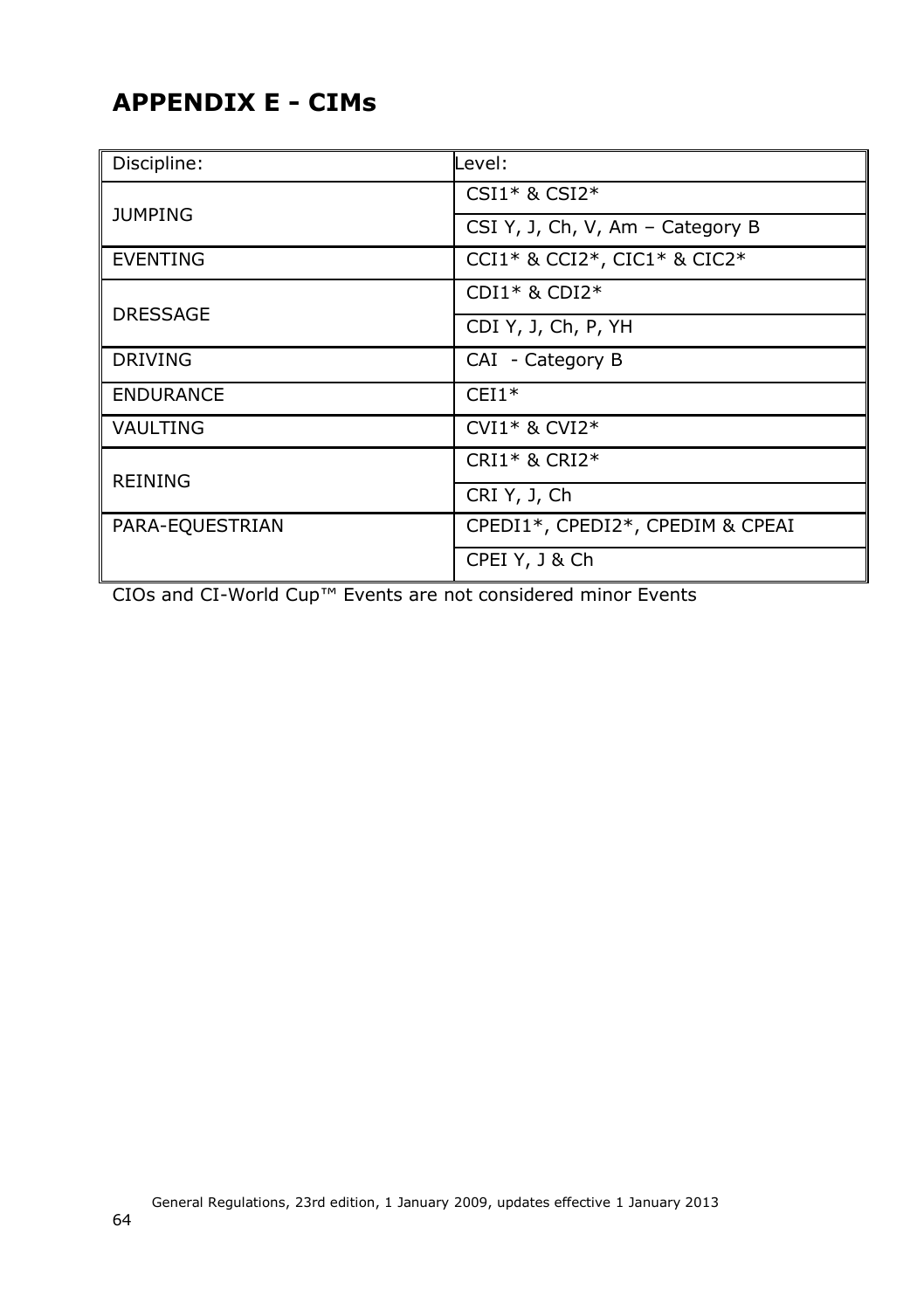# <span id="page-63-1"></span><span id="page-63-0"></span>**APPENDIX E - CIMs**

| Discipline:      | Level :                          |  |  |
|------------------|----------------------------------|--|--|
|                  | $CSI1*$ & $CSI2*$                |  |  |
| <b>JUMPING</b>   | CSI Y, J, Ch, V, Am - Category B |  |  |
| <b>EVENTING</b>  | CCI1* & CCI2*, CIC1* & CIC2*     |  |  |
|                  | $CDI1* & CDI2*$                  |  |  |
| <b>DRESSAGE</b>  | CDI Y, J, Ch, P, YH              |  |  |
| <b>DRIVING</b>   | CAI - Category B                 |  |  |
| <b>ENDURANCE</b> | $CEI1*$                          |  |  |
| VAULTING         | $CVI1*$ & $CVI2*$                |  |  |
|                  | $CRI1*$ & $CRI2*$                |  |  |
| <b>REINING</b>   | CRI Y, J, Ch                     |  |  |
| PARA-EQUESTRIAN  | CPEDI1*, CPEDI2*, CPEDIM & CPEAI |  |  |
|                  | CPEI Y, J & Ch                   |  |  |

CIOs and CI-World Cup™ Events are not considered minor Events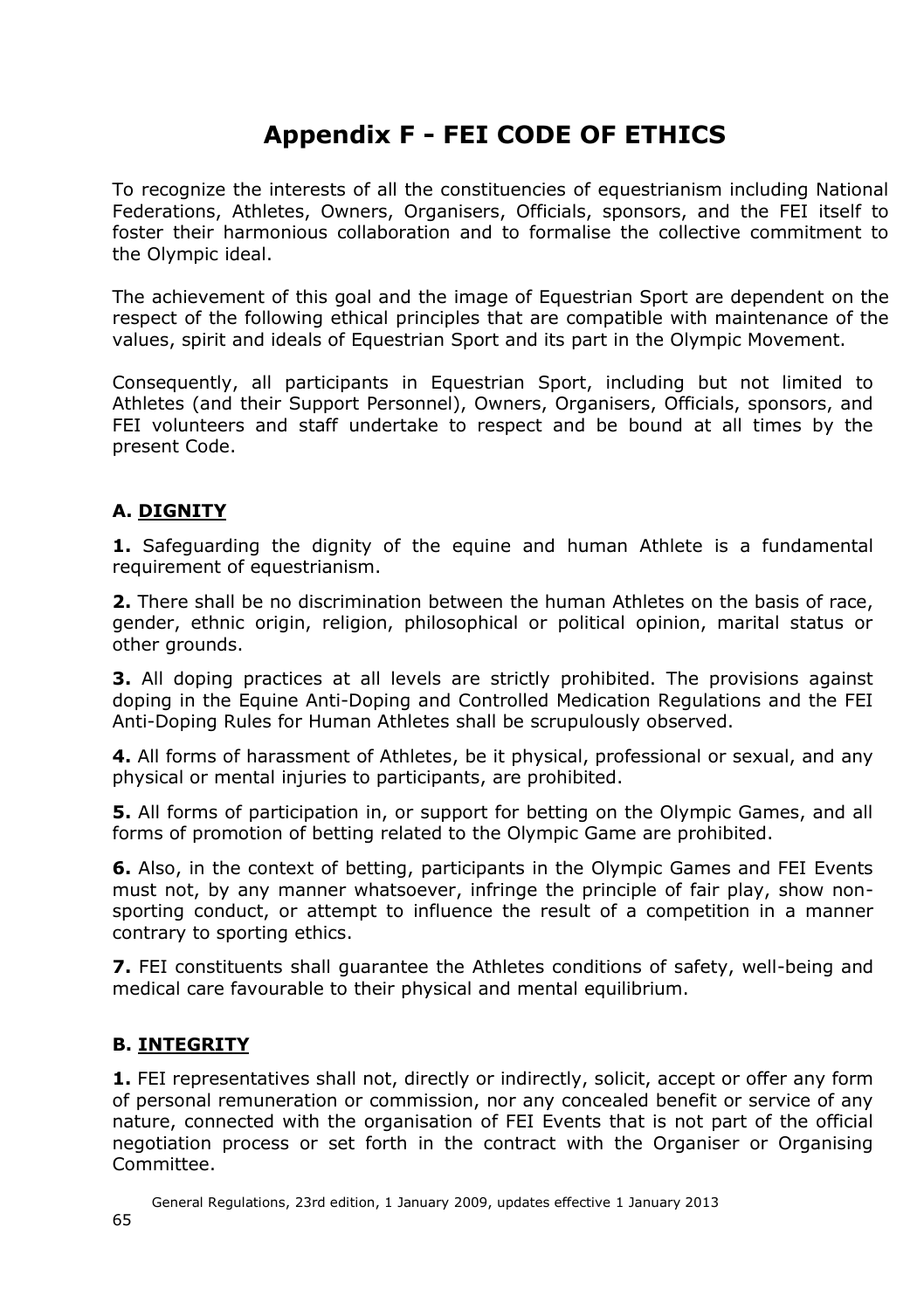# **Appendix F - FEI CODE OF ETHICS**

To recognize the interests of all the constituencies of equestrianism including National Federations, Athletes, Owners, Organisers, Officials, sponsors, and the FEI itself to foster their harmonious collaboration and to formalise the collective commitment to the Olympic ideal.

The achievement of this goal and the image of Equestrian Sport are dependent on the respect of the following ethical principles that are compatible with maintenance of the values, spirit and ideals of Equestrian Sport and its part in the Olympic Movement.

Consequently, all participants in Equestrian Sport, including but not limited to Athletes (and their Support Personnel), Owners, Organisers, Officials, sponsors, and FEI volunteers and staff undertake to respect and be bound at all times by the present Code.

#### **A. DIGNITY**

**1.** Safeguarding the dignity of the equine and human Athlete is a fundamental requirement of equestrianism.

**2.** There shall be no discrimination between the human Athletes on the basis of race, gender, ethnic origin, religion, philosophical or political opinion, marital status or other grounds.

**3.** All doping practices at all levels are strictly prohibited. The provisions against doping in the Equine Anti-Doping and Controlled Medication Regulations and the FEI Anti-Doping Rules for Human Athletes shall be scrupulously observed.

**4.** All forms of harassment of Athletes, be it physical, professional or sexual, and any physical or mental injuries to participants, are prohibited.

**5.** All forms of participation in, or support for betting on the Olympic Games, and all forms of promotion of betting related to the Olympic Game are prohibited.

**6.** Also, in the context of betting, participants in the Olympic Games and FEI Events must not, by any manner whatsoever, infringe the principle of fair play, show nonsporting conduct, or attempt to influence the result of a competition in a manner contrary to sporting ethics.

**7.** FEI constituents shall guarantee the Athletes conditions of safety, well-being and medical care favourable to their physical and mental equilibrium.

#### **B. INTEGRITY**

**1.** FEI representatives shall not, directly or indirectly, solicit, accept or offer any form of personal remuneration or commission, nor any concealed benefit or service of any nature, connected with the organisation of FEI Events that is not part of the official negotiation process or set forth in the contract with the Organiser or Organising Committee.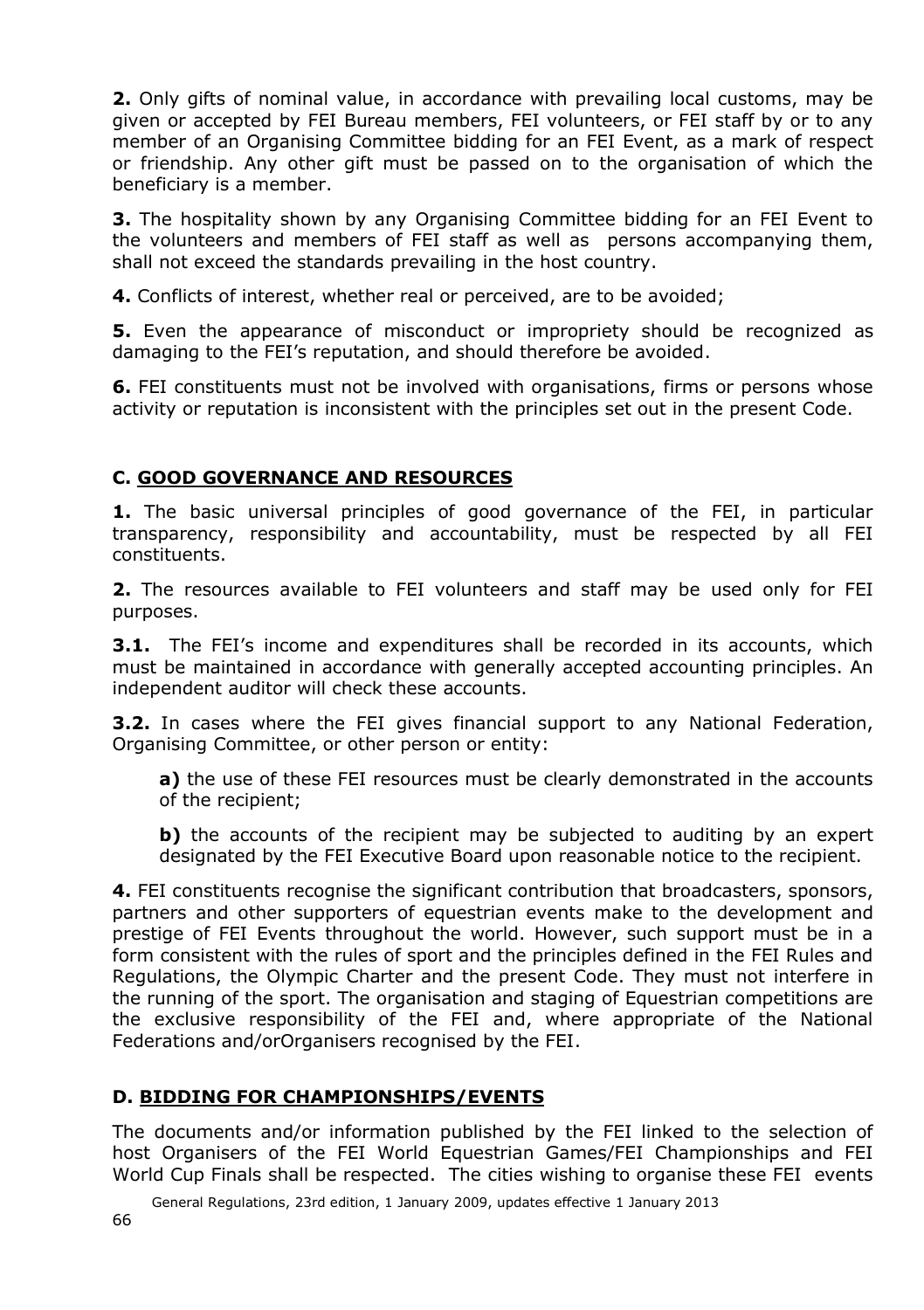**2.** Only gifts of nominal value, in accordance with prevailing local customs, may be given or accepted by FEI Bureau members, FEI volunteers, or FEI staff by or to any member of an Organising Committee bidding for an FEI Event, as a mark of respect or friendship. Any other gift must be passed on to the organisation of which the beneficiary is a member.

**3.** The hospitality shown by any Organising Committee bidding for an FEI Event to the volunteers and members of FEI staff as well as persons accompanying them, shall not exceed the standards prevailing in the host country.

**4.** Conflicts of interest, whether real or perceived, are to be avoided;

**5.** Even the appearance of misconduct or impropriety should be recognized as damaging to the FEI's reputation, and should therefore be avoided.

**6.** FEI constituents must not be involved with organisations, firms or persons whose activity or reputation is inconsistent with the principles set out in the present Code.

#### **C. GOOD GOVERNANCE AND RESOURCES**

**1.** The basic universal principles of good governance of the FEI, in particular transparency, responsibility and accountability, must be respected by all FEI constituents.

**2.** The resources available to FEI volunteers and staff may be used only for FEI purposes.

**3.1.** The FEI's income and expenditures shall be recorded in its accounts, which must be maintained in accordance with generally accepted accounting principles. An independent auditor will check these accounts.

**3.2.** In cases where the FEI gives financial support to any National Federation, Organising Committee, or other person or entity:

**a)** the use of these FEI resources must be clearly demonstrated in the accounts of the recipient;

**b)** the accounts of the recipient may be subjected to auditing by an expert designated by the FEI Executive Board upon reasonable notice to the recipient.

**4.** FEI constituents recognise the significant contribution that broadcasters, sponsors, partners and other supporters of equestrian events make to the development and prestige of FEI Events throughout the world. However, such support must be in a form consistent with the rules of sport and the principles defined in the FEI Rules and Regulations, the Olympic Charter and the present Code. They must not interfere in the running of the sport. The organisation and staging of Equestrian competitions are the exclusive responsibility of the FEI and, where appropriate of the National Federations and/orOrganisers recognised by the FEI.

#### **D. BIDDING FOR CHAMPIONSHIPS/EVENTS**

The documents and/or information published by the FEI linked to the selection of host Organisers of the FEI World Equestrian Games/FEI Championships and FEI World Cup Finals shall be respected. The cities wishing to organise these FEI events